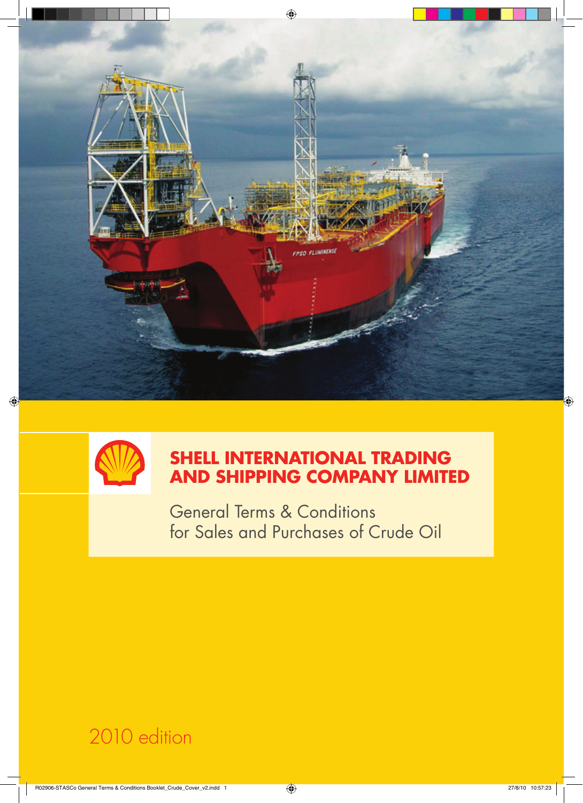



# **Shell International Trading and Shipping Company Limited**

General Terms & Conditions for Sales and Purchases of Crude Oil

2010 edition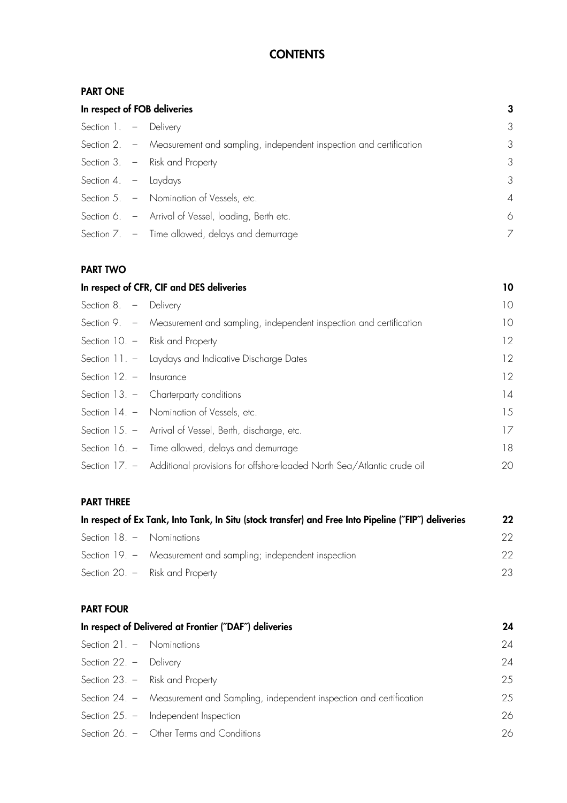## **CONTENTS**

## **PART ONE**

| In respect of FOB deliveries |  | 3                                                                               |                |
|------------------------------|--|---------------------------------------------------------------------------------|----------------|
| Section 1. - Delivery        |  |                                                                                 | 3              |
|                              |  | Section 2. - Measurement and sampling, independent inspection and certification | 3              |
|                              |  | Section 3. - Risk and Property                                                  | $\mathcal{S}$  |
| Section 4. $-$ Laydays       |  |                                                                                 | 3              |
|                              |  | Section 5. - Nomination of Vessels, etc.                                        | $\overline{A}$ |
|                              |  | Section 6. - Arrival of Vessel, loading, Berth etc.                             | 6              |
|                              |  | Section 7. - Time allowed, delays and demurrage                                 |                |

## **PART TWO**

|                           | In respect of CFR, CIF and DES deliveries                                            | 10 |
|---------------------------|--------------------------------------------------------------------------------------|----|
| Section 8. - Delivery     |                                                                                      | 10 |
|                           | Section 9. – Measurement and sampling, independent inspection and certification      | 10 |
|                           | Section $10. -$ Risk and Property                                                    | 12 |
|                           | Section 11. - Laydays and Indicative Discharge Dates                                 | 12 |
| Section $12. -$ Insurance |                                                                                      | 12 |
|                           | Section 13. - Charterparty conditions                                                | 4  |
|                           | Section 14. - Nomination of Vessels, etc.                                            | 15 |
|                           | Section 15. - Arrival of Vessel, Berth, discharge, etc.                              | 17 |
|                           | Section 16. - Time allowed, delays and demurrage                                     | 18 |
|                           | Section 17. - Additional provisions for offshore-loaded North Sea/Atlantic crude oil | 20 |
|                           |                                                                                      |    |

## **PART THREE**

| In respect of Ex Tank, Into Tank, In Situ (stock transfer) and Free Into Pipeline ("FIP") deliveries |                                                                | $22\,$ |
|------------------------------------------------------------------------------------------------------|----------------------------------------------------------------|--------|
| Section 18. - Nominations                                                                            |                                                                | 22.    |
|                                                                                                      | Section 19. - Measurement and sampling; independent inspection | 22.    |
|                                                                                                      | Section 20. $-$ Risk and Property                              | 23.    |

## **PART FOUR**

| In respect of Delivered at Frontier ("DAF") deliveries |                                                                                  | 24 |
|--------------------------------------------------------|----------------------------------------------------------------------------------|----|
| Section $21. -$ Nominations                            |                                                                                  | 24 |
| Section $22. -$ Delivery                               |                                                                                  | 24 |
|                                                        | Section 23. - Risk and Property                                                  | 25 |
|                                                        | Section 24. - Measurement and Sampling, independent inspection and certification | 25 |
|                                                        | Section $25. -$ Independent Inspection                                           | 26 |
|                                                        | Section 26. - Other Terms and Conditions                                         | 26 |
|                                                        |                                                                                  |    |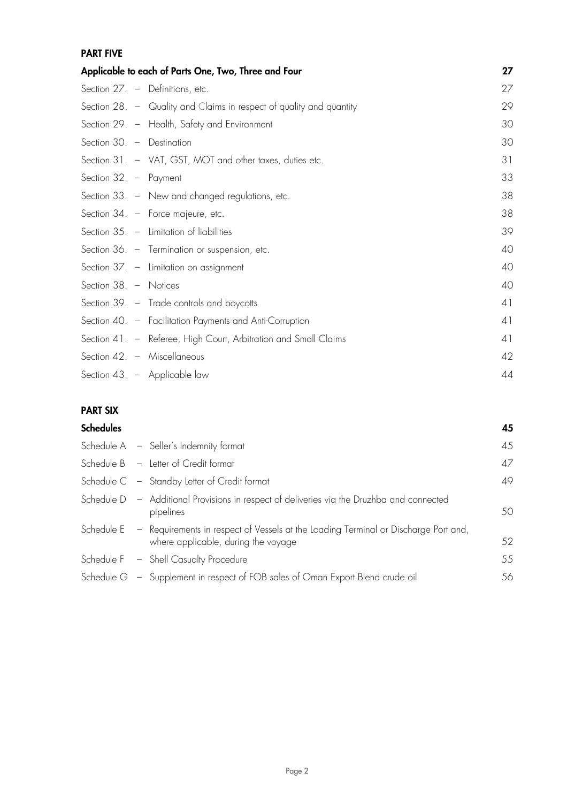## **PART FIVE**

|                              | Applicable to each of Parts One, Two, Three and Four                | 27 |
|------------------------------|---------------------------------------------------------------------|----|
|                              | Section $27. -$ Definitions, etc.                                   | 27 |
|                              | Section 28. - Quality and Claims in respect of quality and quantity | 29 |
|                              | Section 29. - Health, Safety and Environment                        | 30 |
| Section 30. - Destination    |                                                                     | 30 |
|                              | Section 31. - VAT, GST, MOT and other taxes, duties etc.            | 31 |
| Section $32. - \rho$ Payment |                                                                     | 33 |
|                              | Section 33. - New and changed regulations, etc.                     | 38 |
|                              | Section 34. - Force majeure, etc.                                   | 38 |
|                              | Section $35. -$ Limitation of liabilities                           | 39 |
|                              | Section 36. - Termination or suspension, etc.                       | 40 |
|                              | Section $37. -$ Limitation on assignment                            | 40 |
| Section 38. - Notices        |                                                                     | 40 |
|                              | Section 39. - Trade controls and boycotts                           | 41 |
|                              | Section 40. - Facilitation Payments and Anti-Corruption             | 41 |
|                              | Section 41. - Referee, High Court, Arbitration and Small Claims     | 41 |
|                              | Section 42. - Miscellaneous                                         | 42 |
|                              | Section 43. - Applicable law                                        | 44 |

## **PART SIX**

| <b>Schedules</b> |                                                                                                                                       | 45 |
|------------------|---------------------------------------------------------------------------------------------------------------------------------------|----|
|                  | Schedule A - Seller's Indemnity format                                                                                                | 45 |
|                  | Schedule B - Letter of Credit format                                                                                                  | 47 |
|                  | Schedule C - Standby Letter of Credit format                                                                                          | 49 |
|                  | Schedule D - Additional Provisions in respect of deliveries via the Druzhba and connected<br>pipelines                                | 50 |
|                  | Schedule E - Requirements in respect of Vessels at the Loading Terminal or Discharge Port and,<br>where applicable, during the voyage | 52 |
|                  | Schedule F - Shell Casualty Procedure                                                                                                 | 55 |
|                  | Schedule G - Supplement in respect of FOB sales of Oman Export Blend crude oil                                                        | 56 |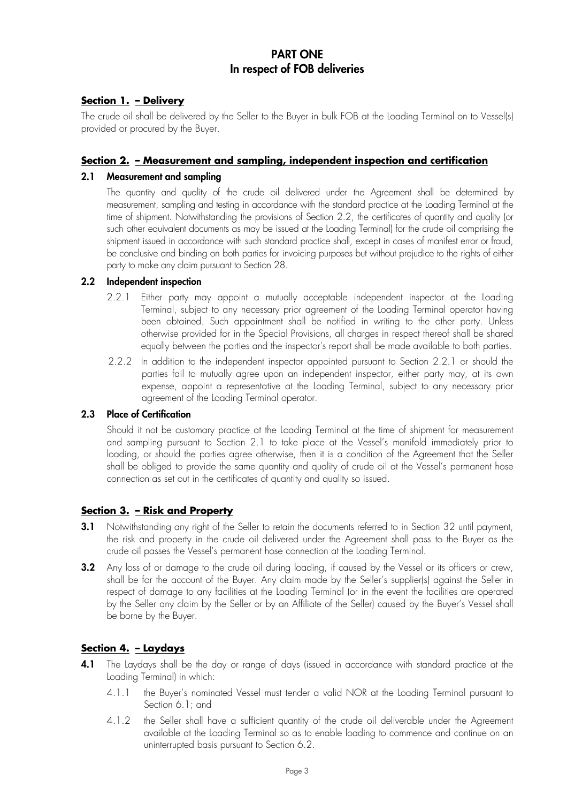## **PART ONE In respect of FOB deliveries**

## **Section 1. – Delivery**

The crude oil shall be delivered by the Seller to the Buyer in bulk FOB at the Loading Terminal on to Vessel(s) provided or procured by the Buyer.

## **Section 2. – Measurement and sampling, independent inspection and certification**

#### **2.1 Measurement and sampling**

The quantity and quality of the crude oil delivered under the Agreement shall be determined by measurement, sampling and testing in accordance with the standard practice at the Loading Terminal at the time of shipment. Notwithstanding the provisions of Section 2.2, the certificates of quantity and quality (or such other equivalent documents as may be issued at the Loading Terminal) for the crude oil comprising the shipment issued in accordance with such standard practice shall, except in cases of manifest error or fraud, be conclusive and binding on both parties for invoicing purposes but without prejudice to the rights of either party to make any claim pursuant to Section 28.

#### **2.2 Independent inspection**

- 2.2.1 Either party may appoint a mutually acceptable independent inspector at the Loading Terminal, subject to any necessary prior agreement of the Loading Terminal operator having been obtained. Such appointment shall be notified in writing to the other party. Unless otherwise provided for in the Special Provisions, all charges in respect thereof shall be shared equally between the parties and the inspector's report shall be made available to both parties.
- 2.2.2 In addition to the independent inspector appointed pursuant to Section 2.2.1 or should the parties fail to mutually agree upon an independent inspector, either party may, at its own expense, appoint a representative at the Loading Terminal, subject to any necessary prior agreement of the Loading Terminal operator.

### **2.3 Place of Certification**

Should it not be customary practice at the Loading Terminal at the time of shipment for measurement and sampling pursuant to Section 2.1 to take place at the Vessel's manifold immediately prior to loading, or should the parties agree otherwise, then it is a condition of the Agreement that the Seller shall be obliged to provide the same quantity and quality of crude oil at the Vessel's permanent hose connection as set out in the certificates of quantity and quality so issued.

## **Section 3. – Risk and Property**

- **3.1** Notwithstanding any right of the Seller to retain the documents referred to in Section 32 until payment, the risk and property in the crude oil delivered under the Agreement shall pass to the Buyer as the crude oil passes the Vessel's permanent hose connection at the Loading Terminal.
- **3.2** Any loss of or damage to the crude oil during loading, if caused by the Vessel or its officers or crew, shall be for the account of the Buyer. Any claim made by the Seller's supplier(s) against the Seller in respect of damage to any facilities at the Loading Terminal (or in the event the facilities are operated by the Seller any claim by the Seller or by an Affiliate of the Seller) caused by the Buyer's Vessel shall be borne by the Buyer.

## **Section 4. – Laydays**

- **4.1** The Laydays shall be the day or range of days (issued in accordance with standard practice at the Loading Terminal) in which:
	- 4.1.1 the Buyer's nominated Vessel must tender a valid NOR at the Loading Terminal pursuant to Section 6.1; and
	- 4.1.2 the Seller shall have a sufficient quantity of the crude oil deliverable under the Agreement available at the Loading Terminal so as to enable loading to commence and continue on an uninterrupted basis pursuant to Section 6.2.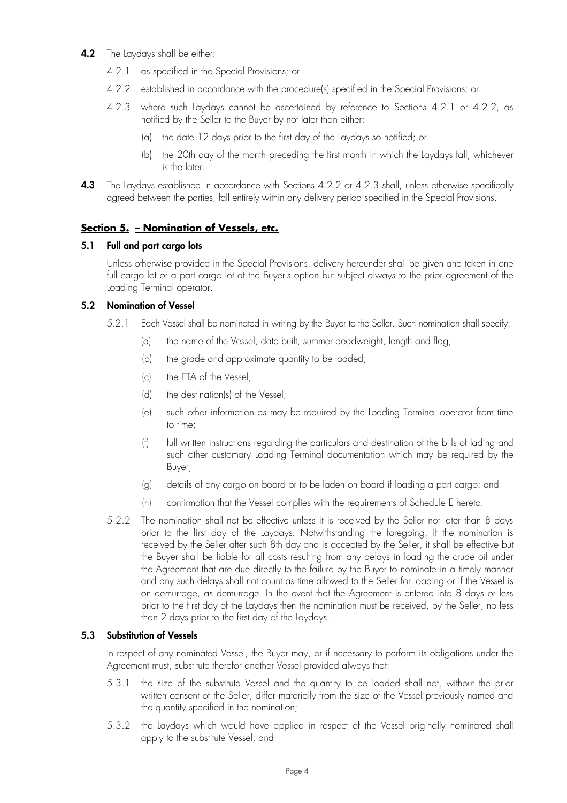## **4.2** The Laydays shall be either:

- 4.2.1 as specified in the Special Provisions; or
- 4.2.2 established in accordance with the procedure(s) specified in the Special Provisions; or
- 4.2.3 where such Laydays cannot be ascertained by reference to Sections 4.2.1 or 4.2.2, as notified by the Seller to the Buyer by not later than either:
	- (a) the date 12 days prior to the first day of the Laydays so notified; or
	- (b) the 20th day of the month preceding the first month in which the Laydays fall, whichever is the later.
- **4.3** The Laydays established in accordance with Sections 4.2.2 or 4.2.3 shall, unless otherwise specifically agreed between the parties, fall entirely within any delivery period specified in the Special Provisions.

## **Section 5. – Nomination of Vessels, etc.**

## **5.1 Full and part cargo lots**

Unless otherwise provided in the Special Provisions, delivery hereunder shall be given and taken in one full cargo lot or a part cargo lot at the Buyer's option but subject always to the prior agreement of the Loading Terminal operator.

## **5.2 Nomination of Vessel**

- 5.2.1 Each Vessel shall be nominated in writing by the Buyer to the Seller. Such nomination shall specify:
	- (a) the name of the Vessel, date built, summer deadweight, length and flag;
	- (b) the grade and approximate quantity to be loaded;
	- (c) the ETA of the Vessel;
	- (d) the destination(s) of the Vessel;
	- (e) such other information as may be required by the Loading Terminal operator from time to time;
	- (f) full written instructions regarding the particulars and destination of the bills of lading and such other customary Loading Terminal documentation which may be required by the Buyer;
	- (g) details of any cargo on board or to be laden on board if loading a part cargo; and
	- (h) confirmation that the Vessel complies with the requirements of Schedule E hereto.
- 5.2.2 The nomination shall not be effective unless it is received by the Seller not later than 8 days prior to the first day of the Laydays. Notwithstanding the foregoing, if the nomination is received by the Seller after such 8th day and is accepted by the Seller, it shall be effective but the Buyer shall be liable for all costs resulting from any delays in loading the crude oil under the Agreement that are due directly to the failure by the Buyer to nominate in a timely manner and any such delays shall not count as time allowed to the Seller for loading or if the Vessel is on demurrage, as demurrage. In the event that the Agreement is entered into 8 days or less prior to the first day of the Laydays then the nomination must be received, by the Seller, no less than 2 days prior to the first day of the Laydays.

## **5.3 Substitution of Vessels**

In respect of any nominated Vessel, the Buyer may, or if necessary to perform its obligations under the Agreement must, substitute therefor another Vessel provided always that:

- 5.3.1 the size of the substitute Vessel and the quantity to be loaded shall not, without the prior written consent of the Seller, differ materially from the size of the Vessel previously named and the quantity specified in the nomination;
- 5.3.2 the Laydays which would have applied in respect of the Vessel originally nominated shall apply to the substitute Vessel; and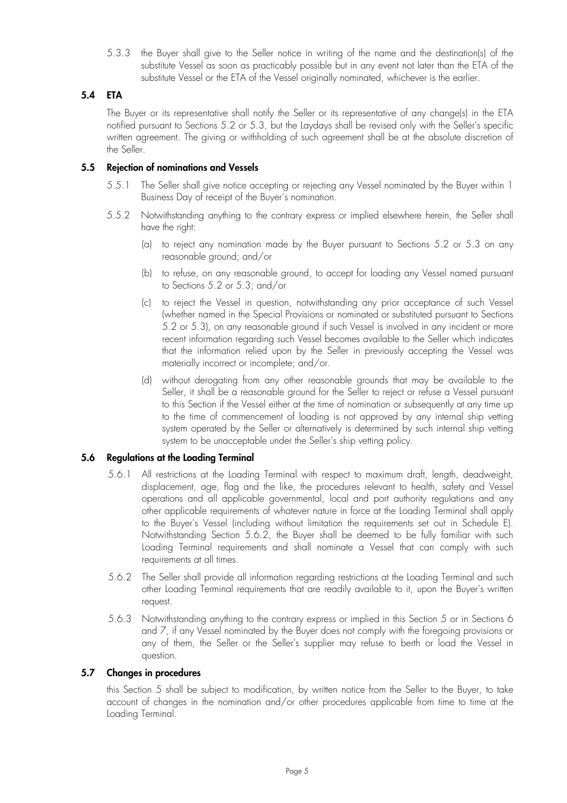5.3.3 the Buyer shall give to the Seller notice in writing of the name and the destination(s) of the substitute Vessel as soon as practicably possible but in any event not later than the ETA of the substitute Vessel or the ETA of the Vessel originally nominated, whichever is the earlier.

## **5.4 ETA**

The Buyer or its representative shall notify the Seller or its representative of any change(s) in the ETA notified pursuant to Sections 5.2 or 5.3, but the Laydays shall be revised only with the Seller's specific written agreement. The giving or withholding of such agreement shall be at the absolute discretion of the Seller.

## **5.5 Rejection of nominations and Vessels**

- 5.5.1 The Seller shall give notice accepting or rejecting any Vessel nominated by the Buyer within 1 Business Day of receipt of the Buyer's nomination.
- 5.5.2 Notwithstanding anything to the contrary express or implied elsewhere herein, the Seller shall have the right:
	- (a) to reject any nomination made by the Buyer pursuant to Sections 5.2 or 5.3 on any reasonable ground; and/or
	- (b) to refuse, on any reasonable ground, to accept for loading any Vessel named pursuant to Sections 5.2 or 5.3; and/or
	- (c) to reject the Vessel in question, notwithstanding any prior acceptance of such Vessel (whether named in the Special Provisions or nominated or substituted pursuant to Sections 5.2 or 5.3), on any reasonable ground if such Vessel is involved in any incident or more recent information regarding such Vessel becomes available to the Seller which indicates that the information relied upon by the Seller in previously accepting the Vessel was materially incorrect or incomplete; and/or.
	- (d) without derogating from any other reasonable grounds that may be available to the Seller, it shall be a reasonable ground for the Seller to reject or refuse a Vessel pursuant to this Section if the Vessel either at the time of nomination or subsequently at any time up to the time of commencement of loading is not approved by any internal ship vetting system operated by the Seller or alternatively is determined by such internal ship vetting system to be unacceptable under the Seller's ship vetting policy.

## **5.6 Regulations at the Loading Terminal**

- 5.6.1 All restrictions at the Loading Terminal with respect to maximum draft, length, deadweight, displacement, age, flag and the like, the procedures relevant to health, safety and Vessel operations and all applicable governmental, local and port authority regulations and any other applicable requirements of whatever nature in force at the Loading Terminal shall apply to the Buyer's Vessel (including without limitation the requirements set out in Schedule E). Notwithstanding Section 5.6.2, the Buyer shall be deemed to be fully familiar with such Loading Terminal requirements and shall nominate a Vessel that can comply with such requirements at all times.
- 5.6.2 The Seller shall provide all information regarding restrictions at the Loading Terminal and such other Loading Terminal requirements that are readily available to it, upon the Buyer's written request.
- 5.6.3 Notwithstanding anything to the contrary express or implied in this Section 5 or in Sections 6 and 7, if any Vessel nominated by the Buyer does not comply with the foregoing provisions or any of them, the Seller or the Seller's supplier may refuse to berth or load the Vessel in question.

## **5.7 Changes in procedures**

this Section 5 shall be subject to modification, by written notice from the Seller to the Buyer, to take account of changes in the nomination and/or other procedures applicable from time to time at the Loading Terminal.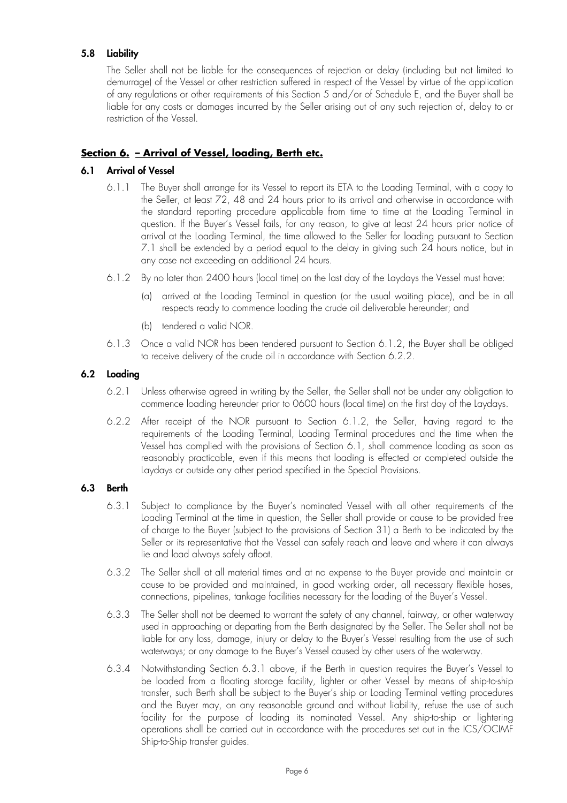## **5.8 Liability**

The Seller shall not be liable for the consequences of rejection or delay (including but not limited to demurrage) of the Vessel or other restriction suffered in respect of the Vessel by virtue of the application of any regulations or other requirements of this Section 5 and/or of Schedule E, and the Buyer shall be liable for any costs or damages incurred by the Seller arising out of any such rejection of, delay to or restriction of the Vessel.

## **Section 6. – Arrival of Vessel, loading, Berth etc.**

## **6.1 Arrival of Vessel**

- 6.1.1 The Buyer shall arrange for its Vessel to report its ETA to the Loading Terminal, with a copy to the Seller, at least 72, 48 and 24 hours prior to its arrival and otherwise in accordance with the standard reporting procedure applicable from time to time at the Loading Terminal in question. If the Buyer's Vessel fails, for any reason, to give at least 24 hours prior notice of arrival at the Loading Terminal, the time allowed to the Seller for loading pursuant to Section 7.1 shall be extended by a period equal to the delay in giving such 24 hours notice, but in any case not exceeding an additional 24 hours.
- 6.1.2 By no later than 2400 hours (local time) on the last day of the Laydays the Vessel must have:
	- (a) arrived at the Loading Terminal in question (or the usual waiting place), and be in all respects ready to commence loading the crude oil deliverable hereunder; and
	- (b) tendered a valid NOR.
- 6.1.3 Once a valid NOR has been tendered pursuant to Section 6.1.2, the Buyer shall be obliged to receive delivery of the crude oil in accordance with Section 6.2.2.

## **6.2 Loading**

- 6.2.1 Unless otherwise agreed in writing by the Seller, the Seller shall not be under any obligation to commence loading hereunder prior to 0600 hours (local time) on the first day of the Laydays.
- 6.2.2 After receipt of the NOR pursuant to Section 6.1.2, the Seller, having regard to the requirements of the Loading Terminal, Loading Terminal procedures and the time when the Vessel has complied with the provisions of Section 6.1, shall commence loading as soon as reasonably practicable, even if this means that loading is effected or completed outside the Laydays or outside any other period specified in the Special Provisions.

## **6.3 Berth**

- 6.3.1 Subject to compliance by the Buyer's nominated Vessel with all other requirements of the Loading Terminal at the time in question, the Seller shall provide or cause to be provided free of charge to the Buyer (subject to the provisions of Section 31) a Berth to be indicated by the Seller or its representative that the Vessel can safely reach and leave and where it can always lie and load always safely afloat.
- 6.3.2 The Seller shall at all material times and at no expense to the Buyer provide and maintain or cause to be provided and maintained, in good working order, all necessary flexible hoses, connections, pipelines, tankage facilities necessary for the loading of the Buyer's Vessel.
- 6.3.3 The Seller shall not be deemed to warrant the safety of any channel, fairway, or other waterway used in approaching or departing from the Berth designated by the Seller. The Seller shall not be liable for any loss, damage, injury or delay to the Buyer's Vessel resulting from the use of such waterways; or any damage to the Buyer's Vessel caused by other users of the waterway.
- 6.3.4 Notwithstanding Section 6.3.1 above, if the Berth in question requires the Buyer's Vessel to be loaded from a floating storage facility, lighter or other Vessel by means of ship-to-ship transfer, such Berth shall be subject to the Buyer's ship or Loading Terminal vetting procedures and the Buyer may, on any reasonable ground and without liability, refuse the use of such facility for the purpose of loading its nominated Vessel. Any ship-to-ship or lightering operations shall be carried out in accordance with the procedures set out in the ICS/OCIMF Ship-to-Ship transfer guides.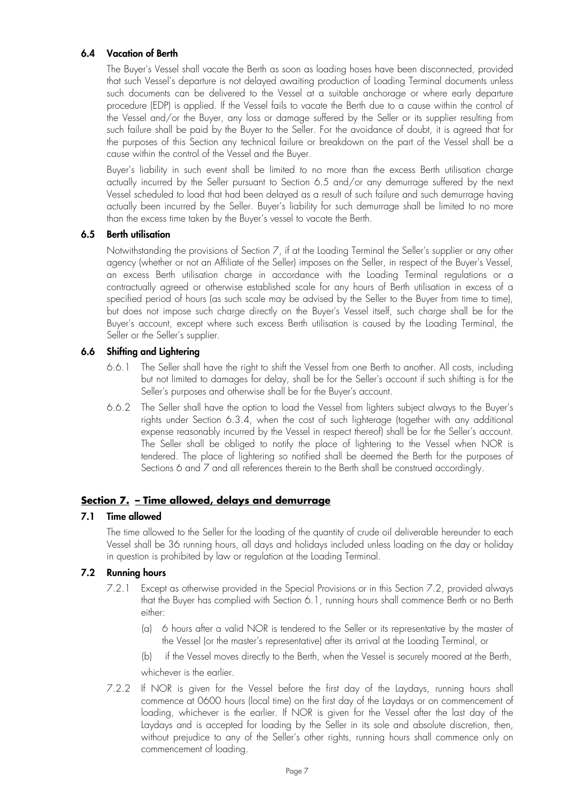## **6.4 Vacation of Berth**

The Buyer's Vessel shall vacate the Berth as soon as loading hoses have been disconnected, provided that such Vessel's departure is not delayed awaiting production of Loading Terminal documents unless such documents can be delivered to the Vessel at a suitable anchorage or where early departure procedure (EDP) is applied. If the Vessel fails to vacate the Berth due to a cause within the control of the Vessel and/or the Buyer, any loss or damage suffered by the Seller or its supplier resulting from such failure shall be paid by the Buyer to the Seller. For the avoidance of doubt, it is agreed that for the purposes of this Section any technical failure or breakdown on the part of the Vessel shall be a cause within the control of the Vessel and the Buyer.

Buyer's liability in such event shall be limited to no more than the excess Berth utilisation charge actually incurred by the Seller pursuant to Section 6.5 and/or any demurrage suffered by the next Vessel scheduled to load that had been delayed as a result of such failure and such demurrage having actually been incurred by the Seller. Buyer's liability for such demurrage shall be limited to no more than the excess time taken by the Buyer's vessel to vacate the Berth.

## **6.5 Berth utilisation**

Notwithstanding the provisions of Section 7, if at the Loading Terminal the Seller's supplier or any other agency (whether or not an Affiliate of the Seller) imposes on the Seller, in respect of the Buyer's Vessel, an excess Berth utilisation charge in accordance with the Loading Terminal regulations or a contractually agreed or otherwise established scale for any hours of Berth utilisation in excess of a specified period of hours (as such scale may be advised by the Seller to the Buyer from time to time), but does not impose such charge directly on the Buyer's Vessel itself, such charge shall be for the Buyer's account, except where such excess Berth utilisation is caused by the Loading Terminal, the Seller or the Seller's supplier.

## **6.6 Shifting and Lightering**

- 6.6.1 The Seller shall have the right to shift the Vessel from one Berth to another. All costs, including but not limited to damages for delay, shall be for the Seller's account if such shifting is for the Seller's purposes and otherwise shall be for the Buyer's account.
- 6.6.2 The Seller shall have the option to load the Vessel from lighters subject always to the Buyer's rights under Section 6.3.4, when the cost of such lighterage (together with any additional expense reasonably incurred by the Vessel in respect thereof) shall be for the Seller's account. The Seller shall be obliged to notify the place of lightering to the Vessel when NOR is tendered. The place of lightering so notified shall be deemed the Berth for the purposes of Sections 6 and 7 and all references therein to the Berth shall be construed accordingly.

## **Section 7. – Time allowed, delays and demurrage**

## **7.1 Time allowed**

The time allowed to the Seller for the loading of the quantity of crude oil deliverable hereunder to each Vessel shall be 36 running hours, all days and holidays included unless loading on the day or holiday in question is prohibited by law or regulation at the Loading Terminal.

## **7.2 Running hours**

- 7.2.1 Except as otherwise provided in the Special Provisions or in this Section 7.2, provided always that the Buyer has complied with Section 6.1, running hours shall commence Berth or no Berth either:
	- (a) 6 hours after a valid NOR is tendered to the Seller or its representative by the master of the Vessel (or the master's representative) after its arrival at the Loading Terminal, or
	- (b) if the Vessel moves directly to the Berth, when the Vessel is securely moored at the Berth, whichever is the earlier.
- 7.2.2 If NOR is given for the Vessel before the first day of the Laydays, running hours shall commence at 0600 hours (local time) on the first day of the Laydays or on commencement of loading, whichever is the earlier. If NOR is given for the Vessel after the last day of the Laydays and is accepted for loading by the Seller in its sole and absolute discretion, then, without prejudice to any of the Seller's other rights, running hours shall commence only on commencement of loading.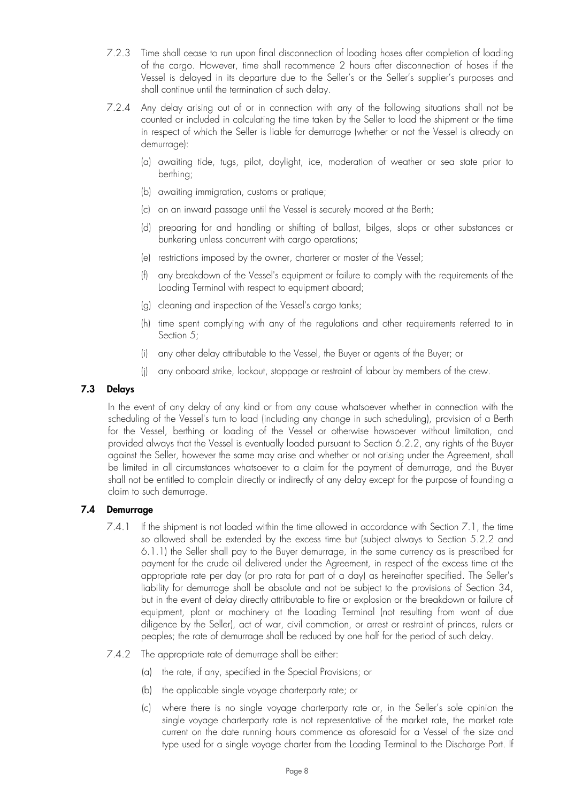- 7.2.3 Time shall cease to run upon final disconnection of loading hoses after completion of loading of the cargo. However, time shall recommence 2 hours after disconnection of hoses if the Vessel is delayed in its departure due to the Seller's or the Seller's supplier's purposes and shall continue until the termination of such delay.
- 7.2.4 Any delay arising out of or in connection with any of the following situations shall not be counted or included in calculating the time taken by the Seller to load the shipment or the time in respect of which the Seller is liable for demurrage (whether or not the Vessel is already on demurrage):
	- (a) awaiting tide, tugs, pilot, daylight, ice, moderation of weather or sea state prior to berthing;
	- (b) awaiting immigration, customs or pratique;
	- (c) on an inward passage until the Vessel is securely moored at the Berth;
	- (d) preparing for and handling or shifting of ballast, bilges, slops or other substances or bunkering unless concurrent with cargo operations;
	- (e) restrictions imposed by the owner, charterer or master of the Vessel;
	- (f) any breakdown of the Vessel's equipment or failure to comply with the requirements of the Loading Terminal with respect to equipment aboard;
	- (g) cleaning and inspection of the Vessel's cargo tanks;
	- (h) time spent complying with any of the regulations and other requirements referred to in Section 5;
	- (i) any other delay attributable to the Vessel, the Buyer or agents of the Buyer; or
	- any onboard strike, lockout, stoppage or restraint of labour by members of the crew.

## **7.3 Delays**

In the event of any delay of any kind or from any cause whatsoever whether in connection with the scheduling of the Vessel's turn to load (including any change in such scheduling), provision of a Berth for the Vessel, berthing or loading of the Vessel or otherwise howsoever without limitation, and provided always that the Vessel is eventually loaded pursuant to Section 6.2.2, any rights of the Buyer against the Seller, however the same may arise and whether or not arising under the Agreement, shall be limited in all circumstances whatsoever to a claim for the payment of demurrage, and the Buyer shall not be entitled to complain directly or indirectly of any delay except for the purpose of founding a claim to such demurrage.

## **7.4 Demurrage**

- 7.4.1 If the shipment is not loaded within the time allowed in accordance with Section 7.1, the time so allowed shall be extended by the excess time but (subject always to Section 5.2.2 and 6.1.1) the Seller shall pay to the Buyer demurrage, in the same currency as is prescribed for payment for the crude oil delivered under the Agreement, in respect of the excess time at the appropriate rate per day (or pro rata for part of a day) as hereinafter specified. The Seller's liability for demurrage shall be absolute and not be subject to the provisions of Section 34, but in the event of delay directly attributable to fire or explosion or the breakdown or failure of equipment, plant or machinery at the Loading Terminal (not resulting from want of due diligence by the Seller), act of war, civil commotion, or arrest or restraint of princes, rulers or peoples; the rate of demurrage shall be reduced by one half for the period of such delay.
- 7.4.2 The appropriate rate of demurrage shall be either:
	- (a) the rate, if any, specified in the Special Provisions; or
	- (b) the applicable single voyage charterparty rate; or
	- (c) where there is no single voyage charterparty rate or, in the Seller's sole opinion the single voyage charterparty rate is not representative of the market rate, the market rate current on the date running hours commence as aforesaid for a Vessel of the size and type used for a single voyage charter from the Loading Terminal to the Discharge Port. If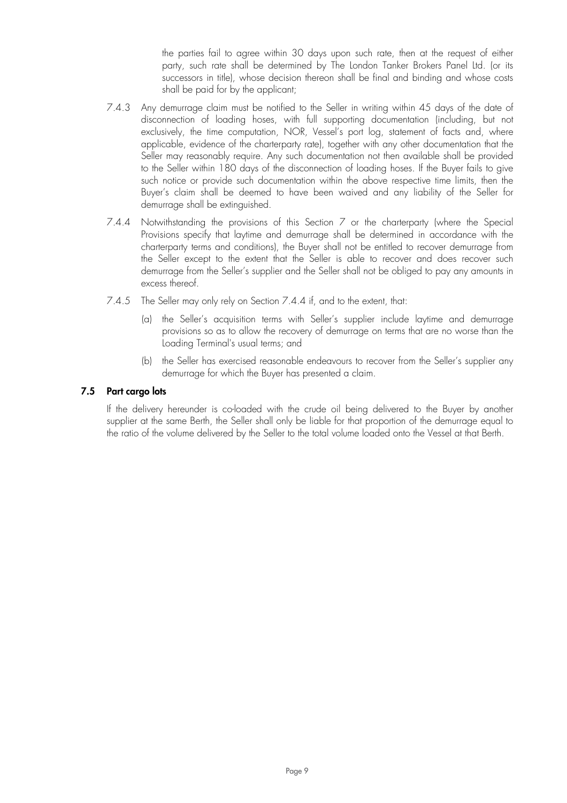the parties fail to agree within 30 days upon such rate, then at the request of either party, such rate shall be determined by The London Tanker Brokers Panel Ltd. (or its successors in title), whose decision thereon shall be final and binding and whose costs shall be paid for by the applicant;

- 7.4.3 Any demurrage claim must be notified to the Seller in writing within 45 days of the date of disconnection of loading hoses, with full supporting documentation (including, but not exclusively, the time computation, NOR, Vessel's port log, statement of facts and, where applicable, evidence of the charterparty rate), together with any other documentation that the Seller may reasonably require. Any such documentation not then available shall be provided to the Seller within 180 days of the disconnection of loading hoses. If the Buyer fails to give such notice or provide such documentation within the above respective time limits, then the Buyer's claim shall be deemed to have been waived and any liability of the Seller for demurrage shall be extinguished.
- 7.4.4 Notwithstanding the provisions of this Section 7 or the charterparty (where the Special Provisions specify that laytime and demurrage shall be determined in accordance with the charterparty terms and conditions), the Buyer shall not be entitled to recover demurrage from the Seller except to the extent that the Seller is able to recover and does recover such demurrage from the Seller's supplier and the Seller shall not be obliged to pay any amounts in excess thereof.
- 7.4.5 The Seller may only rely on Section 7.4.4 if, and to the extent, that:
	- (a) the Seller's acquisition terms with Seller's supplier include laytime and demurrage provisions so as to allow the recovery of demurrage on terms that are no worse than the Loading Terminal's usual terms; and
	- (b) the Seller has exercised reasonable endeavours to recover from the Seller's supplier any demurrage for which the Buyer has presented a claim.

## **7.5 Part cargo lots**

If the delivery hereunder is co-loaded with the crude oil being delivered to the Buyer by another supplier at the same Berth, the Seller shall only be liable for that proportion of the demurrage equal to the ratio of the volume delivered by the Seller to the total volume loaded onto the Vessel at that Berth.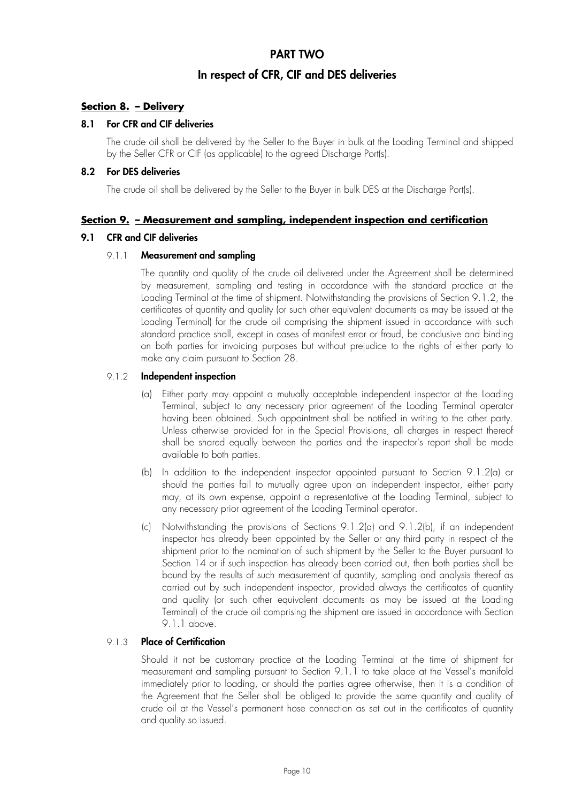## **PART TWO**

## **In respect of CFR, CIF and DES deliveries**

## **Section 8. – Delivery**

## **8.1 For CFR and CIF deliveries**

The crude oil shall be delivered by the Seller to the Buyer in bulk at the Loading Terminal and shipped by the Seller CFR or CIF (as applicable) to the agreed Discharge Port(s).

## **8.2 For DES deliveries**

The crude oil shall be delivered by the Seller to the Buyer in bulk DES at the Discharge Port(s).

## **Section 9. – Measurement and sampling, independent inspection and certification**

## **9.1 CFR and CIF deliveries**

#### 9.1.1 **Measurement and sampling**

The quantity and quality of the crude oil delivered under the Agreement shall be determined by measurement, sampling and testing in accordance with the standard practice at the Loading Terminal at the time of shipment. Notwithstanding the provisions of Section 9.1.2, the certificates of quantity and quality (or such other equivalent documents as may be issued at the Loading Terminal) for the crude oil comprising the shipment issued in accordance with such standard practice shall, except in cases of manifest error or fraud, be conclusive and binding on both parties for invoicing purposes but without prejudice to the rights of either party to make any claim pursuant to Section 28.

## 9.1.2 **Independent inspection**

- (a) Either party may appoint a mutually acceptable independent inspector at the Loading Terminal, subject to any necessary prior agreement of the Loading Terminal operator having been obtained. Such appointment shall be notified in writing to the other party. Unless otherwise provided for in the Special Provisions, all charges in respect thereof shall be shared equally between the parties and the inspector's report shall be made available to both parties.
- (b) In addition to the independent inspector appointed pursuant to Section 9.1.2(a) or should the parties fail to mutually agree upon an independent inspector, either party may, at its own expense, appoint a representative at the Loading Terminal, subject to any necessary prior agreement of the Loading Terminal operator.
- (c) Notwithstanding the provisions of Sections 9.1.2(a) and 9.1.2(b), if an independent inspector has already been appointed by the Seller or any third party in respect of the shipment prior to the nomination of such shipment by the Seller to the Buyer pursuant to Section 14 or if such inspection has already been carried out, then both parties shall be bound by the results of such measurement of quantity, sampling and analysis thereof as carried out by such independent inspector, provided always the certificates of quantity and quality (or such other equivalent documents as may be issued at the Loading Terminal) of the crude oil comprising the shipment are issued in accordance with Section 9.1.1 above.

## 9.1.3 **Place of Certification**

Should it not be customary practice at the Loading Terminal at the time of shipment for measurement and sampling pursuant to Section 9.1.1 to take place at the Vessel's manifold immediately prior to loading, or should the parties agree otherwise, then it is a condition of the Agreement that the Seller shall be obliged to provide the same quantity and quality of crude oil at the Vessel's permanent hose connection as set out in the certificates of quantity and quality so issued.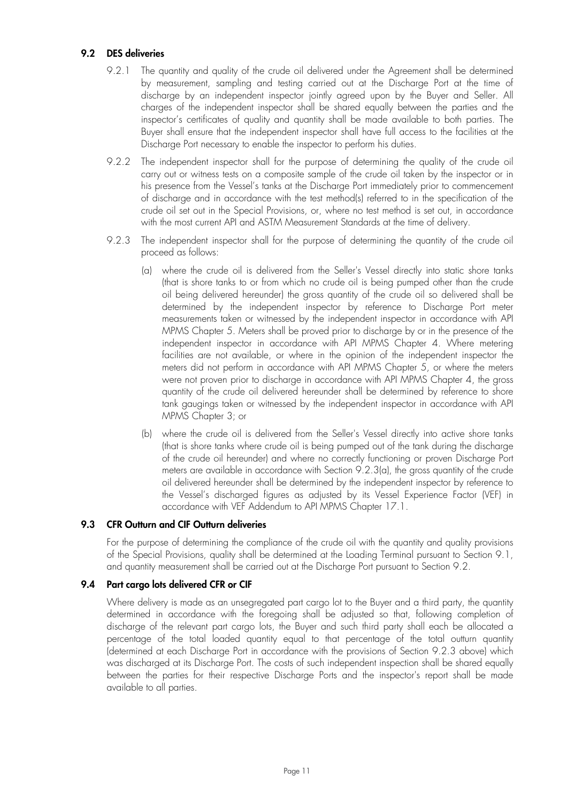## **9.2 DES deliveries**

- 9.2.1 The quantity and quality of the crude oil delivered under the Agreement shall be determined by measurement, sampling and testing carried out at the Discharge Port at the time of discharge by an independent inspector jointly agreed upon by the Buyer and Seller. All charges of the independent inspector shall be shared equally between the parties and the inspector's certificates of quality and quantity shall be made available to both parties. The Buyer shall ensure that the independent inspector shall have full access to the facilities at the Discharge Port necessary to enable the inspector to perform his duties.
- 9.2.2 The independent inspector shall for the purpose of determining the quality of the crude oil carry out or witness tests on a composite sample of the crude oil taken by the inspector or in his presence from the Vessel's tanks at the Discharge Port immediately prior to commencement of discharge and in accordance with the test method(s) referred to in the specification of the crude oil set out in the Special Provisions, or, where no test method is set out, in accordance with the most current API and ASTM Measurement Standards at the time of delivery.
- 9.2.3 The independent inspector shall for the purpose of determining the quantity of the crude oil proceed as follows:
	- (a) where the crude oil is delivered from the Seller's Vessel directly into static shore tanks (that is shore tanks to or from which no crude oil is being pumped other than the crude oil being delivered hereunder) the gross quantity of the crude oil so delivered shall be determined by the independent inspector by reference to Discharge Port meter measurements taken or witnessed by the independent inspector in accordance with API MPMS Chapter 5. Meters shall be proved prior to discharge by or in the presence of the independent inspector in accordance with API MPMS Chapter 4. Where metering facilities are not available, or where in the opinion of the independent inspector the meters did not perform in accordance with API MPMS Chapter 5, or where the meters were not proven prior to discharge in accordance with API MPMS Chapter 4, the gross quantity of the crude oil delivered hereunder shall be determined by reference to shore tank gaugings taken or witnessed by the independent inspector in accordance with API MPMS Chapter 3; or
	- (b) where the crude oil is delivered from the Seller's Vessel directly into active shore tanks (that is shore tanks where crude oil is being pumped out of the tank during the discharge of the crude oil hereunder) and where no correctly functioning or proven Discharge Port meters are available in accordance with Section 9.2.3(a), the gross quantity of the crude oil delivered hereunder shall be determined by the independent inspector by reference to the Vessel's discharged figures as adjusted by its Vessel Experience Factor (VEF) in accordance with VEF Addendum to API MPMS Chapter 17.1.

## **9.3 CFR Outturn and CIF Outturn deliveries**

For the purpose of determining the compliance of the crude oil with the quantity and quality provisions of the Special Provisions, quality shall be determined at the Loading Terminal pursuant to Section 9.1, and quantity measurement shall be carried out at the Discharge Port pursuant to Section 9.2.

#### **9.4 Part cargo lots delivered CFR or CIF**

Where delivery is made as an unsegregated part cargo lot to the Buyer and a third party, the quantity determined in accordance with the foregoing shall be adjusted so that, following completion of discharge of the relevant part cargo lots, the Buyer and such third party shall each be allocated a percentage of the total loaded quantity equal to that percentage of the total outturn quantity (determined at each Discharge Port in accordance with the provisions of Section 9.2.3 above) which was discharged at its Discharge Port. The costs of such independent inspection shall be shared equally between the parties for their respective Discharge Ports and the inspector's report shall be made available to all parties.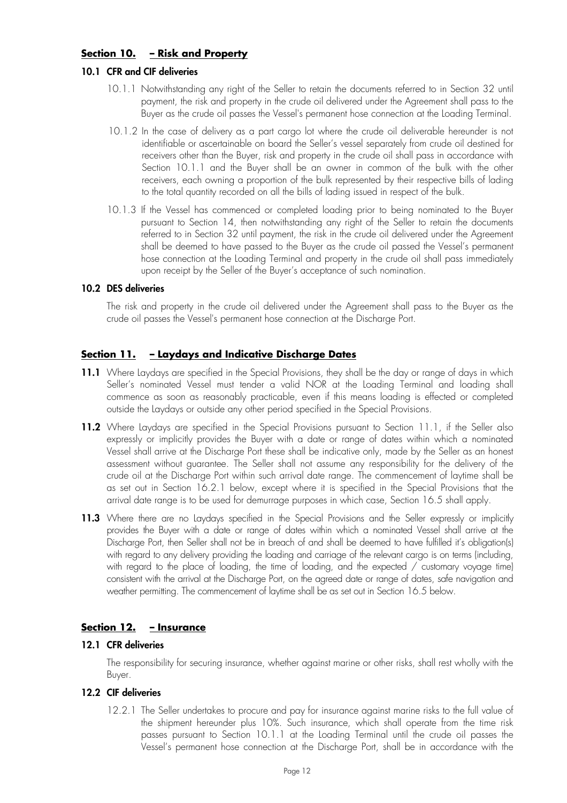## **Section 10. – Risk and Property**

## **10.1 CFR and CIF deliveries**

- 10.1.1 Notwithstanding any right of the Seller to retain the documents referred to in Section 32 until payment, the risk and property in the crude oil delivered under the Agreement shall pass to the Buyer as the crude oil passes the Vessel's permanent hose connection at the Loading Terminal.
- 10.1.2 In the case of delivery as a part cargo lot where the crude oil deliverable hereunder is not identifiable or ascertainable on board the Seller's vessel separately from crude oil destined for receivers other than the Buyer, risk and property in the crude oil shall pass in accordance with Section 10.1.1 and the Buyer shall be an owner in common of the bulk with the other receivers, each owning a proportion of the bulk represented by their respective bills of lading to the total quantity recorded on all the bills of lading issued in respect of the bulk.
- 10.1.3 If the Vessel has commenced or completed loading prior to being nominated to the Buyer pursuant to Section 14, then notwithstanding any right of the Seller to retain the documents referred to in Section 32 until payment, the risk in the crude oil delivered under the Agreement shall be deemed to have passed to the Buyer as the crude oil passed the Vessel's permanent hose connection at the Loading Terminal and property in the crude oil shall pass immediately upon receipt by the Seller of the Buyer's acceptance of such nomination.

## **10.2 DES deliveries**

The risk and property in the crude oil delivered under the Agreement shall pass to the Buyer as the crude oil passes the Vessel's permanent hose connection at the Discharge Port.

## **Section 11. – Laydays and Indicative Discharge Dates**

- 11.1 Where Laydays are specified in the Special Provisions, they shall be the day or range of days in which Seller's nominated Vessel must tender a valid NOR at the Loading Terminal and loading shall commence as soon as reasonably practicable, even if this means loading is effected or completed outside the Laydays or outside any other period specified in the Special Provisions.
- 11.2 Where Laydays are specified in the Special Provisions pursuant to Section 11.1, if the Seller also expressly or implicitly provides the Buyer with a date or range of dates within which a nominated Vessel shall arrive at the Discharge Port these shall be indicative only, made by the Seller as an honest assessment without guarantee. The Seller shall not assume any responsibility for the delivery of the crude oil at the Discharge Port within such arrival date range. The commencement of laytime shall be as set out in Section 16.2.1 below, except where it is specified in the Special Provisions that the arrival date range is to be used for demurrage purposes in which case, Section 16.5 shall apply.
- **11.3** Where there are no Laydays specified in the Special Provisions and the Seller expressly or implicitly provides the Buyer with a date or range of dates within which a nominated Vessel shall arrive at the Discharge Port, then Seller shall not be in breach of and shall be deemed to have fulfilled it's obligation(s) with regard to any delivery providing the loading and carriage of the relevant cargo is on terms (including, with regard to the place of loading, the time of loading, and the expected / customary voyage time) consistent with the arrival at the Discharge Port, on the agreed date or range of dates, safe navigation and weather permitting. The commencement of laytime shall be as set out in Section 16.5 below.

## **Section 12. – Insurance**

#### **12.1 CFR deliveries**

The responsibility for securing insurance, whether against marine or other risks, shall rest wholly with the Buyer.

## **12.2 CIF deliveries**

12.2.1 The Seller undertakes to procure and pay for insurance against marine risks to the full value of the shipment hereunder plus 10%. Such insurance, which shall operate from the time risk passes pursuant to Section 10.1.1 at the Loading Terminal until the crude oil passes the Vessel's permanent hose connection at the Discharge Port, shall be in accordance with the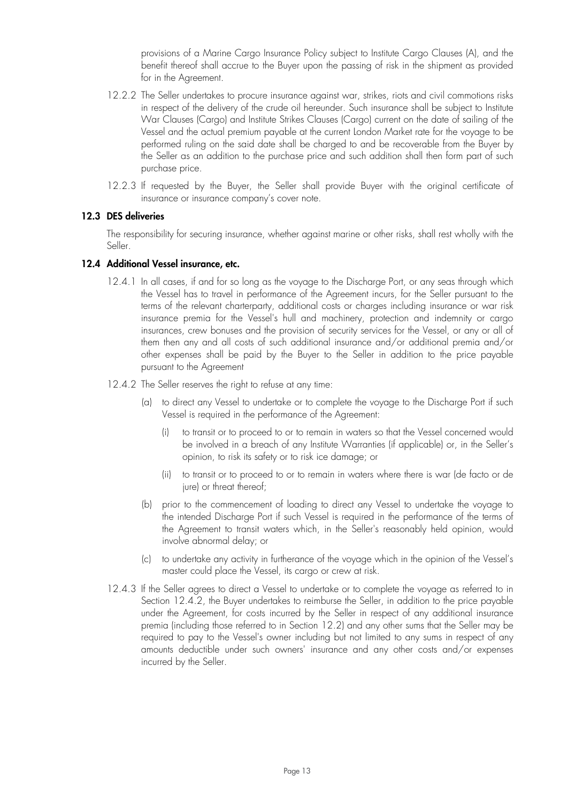provisions of a Marine Cargo Insurance Policy subject to Institute Cargo Clauses (A), and the benefit thereof shall accrue to the Buyer upon the passing of risk in the shipment as provided for in the Agreement.

- 12.2.2 The Seller undertakes to procure insurance against war, strikes, riots and civil commotions risks in respect of the delivery of the crude oil hereunder. Such insurance shall be subject to Institute War Clauses (Cargo) and Institute Strikes Clauses (Cargo) current on the date of sailing of the Vessel and the actual premium payable at the current London Market rate for the voyage to be performed ruling on the said date shall be charged to and be recoverable from the Buyer by the Seller as an addition to the purchase price and such addition shall then form part of such purchase price.
- 12.2.3 If requested by the Buyer, the Seller shall provide Buyer with the original certificate of insurance or insurance company's cover note.

## **12.3 DES deliveries**

The responsibility for securing insurance, whether against marine or other risks, shall rest wholly with the Seller.

#### **12.4 Additional Vessel insurance, etc.**

- 12.4.1 In all cases, if and for so long as the voyage to the Discharge Port, or any seas through which the Vessel has to travel in performance of the Agreement incurs, for the Seller pursuant to the terms of the relevant charterparty, additional costs or charges including insurance or war risk insurance premia for the Vessel's hull and machinery, protection and indemnity or cargo insurances, crew bonuses and the provision of security services for the Vessel, or any or all of them then any and all costs of such additional insurance and/or additional premia and/or other expenses shall be paid by the Buyer to the Seller in addition to the price payable pursuant to the Agreement
- 12.4.2 The Seller reserves the right to refuse at any time:
	- (a) to direct any Vessel to undertake or to complete the voyage to the Discharge Port if such Vessel is required in the performance of the Agreement:
		- (i) to transit or to proceed to or to remain in waters so that the Vessel concerned would be involved in a breach of any Institute Warranties (if applicable) or, in the Seller's opinion, to risk its safety or to risk ice damage; or
		- (ii) to transit or to proceed to or to remain in waters where there is war (de facto or de jure) or threat thereof;
	- (b) prior to the commencement of loading to direct any Vessel to undertake the voyage to the intended Discharge Port if such Vessel is required in the performance of the terms of the Agreement to transit waters which, in the Seller's reasonably held opinion, would involve abnormal delay; or
	- (c) to undertake any activity in furtherance of the voyage which in the opinion of the Vessel's master could place the Vessel, its cargo or crew at risk.
- 12.4.3 If the Seller agrees to direct a Vessel to undertake or to complete the voyage as referred to in Section 12.4.2, the Buyer undertakes to reimburse the Seller, in addition to the price payable under the Agreement, for costs incurred by the Seller in respect of any additional insurance premia (including those referred to in Section 12.2) and any other sums that the Seller may be required to pay to the Vessel's owner including but not limited to any sums in respect of any amounts deductible under such owners' insurance and any other costs and/or expenses incurred by the Seller.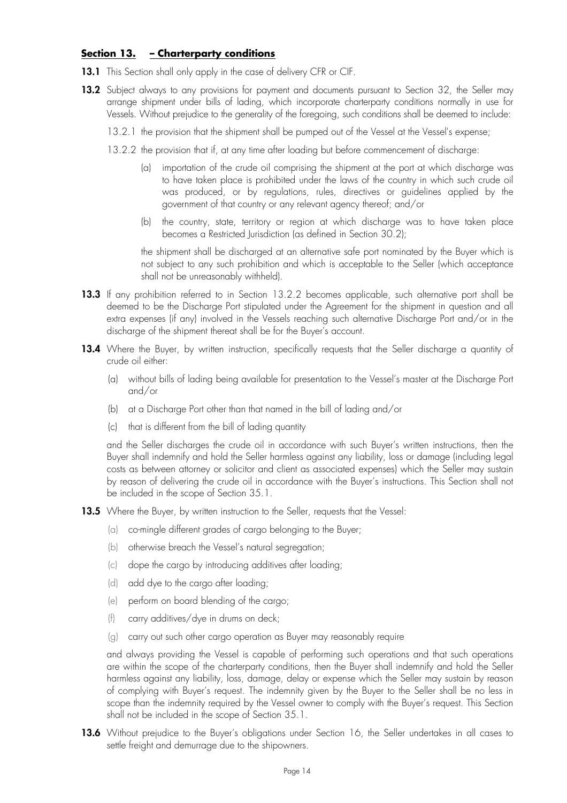## **Section 13. – Charterparty conditions**

- 13.1 This Section shall only apply in the case of delivery CFR or CIF.
- 13.2 Subject always to any provisions for payment and documents pursuant to Section 32, the Seller may arrange shipment under bills of lading, which incorporate charterparty conditions normally in use for Vessels. Without prejudice to the generality of the foregoing, such conditions shall be deemed to include:
	- 13.2.1 the provision that the shipment shall be pumped out of the Vessel at the Vessel's expense;
	- 13.2.2 the provision that if, at any time after loading but before commencement of discharge:
		- (a) importation of the crude oil comprising the shipment at the port at which discharge was to have taken place is prohibited under the laws of the country in which such crude oil was produced, or by regulations, rules, directives or guidelines applied by the government of that country or any relevant agency thereof; and/or
		- (b) the country, state, territory or region at which discharge was to have taken place becomes a Restricted Jurisdiction (as defined in Section 30.2);

the shipment shall be discharged at an alternative safe port nominated by the Buyer which is not subject to any such prohibition and which is acceptable to the Seller (which acceptance shall not be unreasonably withheld).

- **13.3** If any prohibition referred to in Section 13.2.2 becomes applicable, such alternative port shall be deemed to be the Discharge Port stipulated under the Agreement for the shipment in question and all extra expenses (if any) involved in the Vessels reaching such alternative Discharge Port and/or in the discharge of the shipment thereat shall be for the Buyer's account.
- 13.4 Where the Buyer, by written instruction, specifically requests that the Seller discharge a quantity of crude oil either:
	- (a) without bills of lading being available for presentation to the Vessel's master at the Discharge Port and/or
	- (b) at a Discharge Port other than that named in the bill of lading and/or
	- (c) that is different from the bill of lading quantity

and the Seller discharges the crude oil in accordance with such Buyer's written instructions, then the Buyer shall indemnify and hold the Seller harmless against any liability, loss or damage (including legal costs as between attorney or solicitor and client as associated expenses) which the Seller may sustain by reason of delivering the crude oil in accordance with the Buyer's instructions. This Section shall not be included in the scope of Section 35.1.

- **13.5** Where the Buyer, by written instruction to the Seller, requests that the Vessel:
	- (a) co-mingle different grades of cargo belonging to the Buyer;
	- (b) otherwise breach the Vessel's natural segregation;
	- (c) dope the cargo by introducing additives after loading;
	- (d) add dye to the cargo after loading;
	- (e) perform on board blending of the cargo;
	- (f) carry additives/dye in drums on deck;
	- (g) carry out such other cargo operation as Buyer may reasonably require

and always providing the Vessel is capable of performing such operations and that such operations are within the scope of the charterparty conditions, then the Buyer shall indemnify and hold the Seller harmless against any liability, loss, damage, delay or expense which the Seller may sustain by reason of complying with Buyer's request. The indemnity given by the Buyer to the Seller shall be no less in scope than the indemnity required by the Vessel owner to comply with the Buyer's request. This Section shall not be included in the scope of Section 35.1.

13.6 Without prejudice to the Buyer's obligations under Section 16, the Seller undertakes in all cases to settle freight and demurrage due to the shipowners.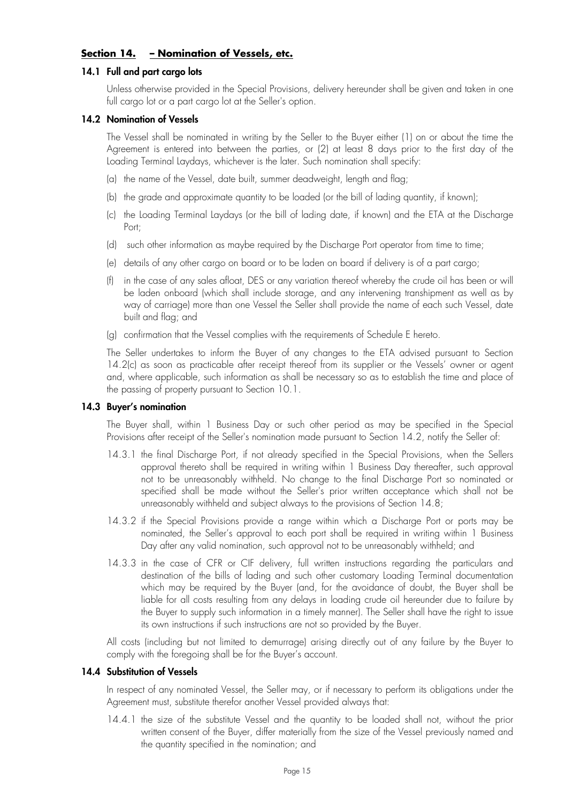## **Section 14. – Nomination of Vessels, etc.**

## **14.1 Full and part cargo lots**

Unless otherwise provided in the Special Provisions, delivery hereunder shall be given and taken in one full cargo lot or a part cargo lot at the Seller's option.

## **14.2 Nomination of Vessels**

The Vessel shall be nominated in writing by the Seller to the Buyer either (1) on or about the time the Agreement is entered into between the parties, or (2) at least 8 days prior to the first day of the Loading Terminal Laydays, whichever is the later. Such nomination shall specify:

- (a) the name of the Vessel, date built, summer deadweight, length and flag;
- (b) the grade and approximate quantity to be loaded (or the bill of lading quantity, if known);
- (c) the Loading Terminal Laydays (or the bill of lading date, if known) and the ETA at the Discharge Port;
- (d) such other information as maybe required by the Discharge Port operator from time to time;
- (e) details of any other cargo on board or to be laden on board if delivery is of a part cargo;
- (f) in the case of any sales afloat, DES or any variation thereof whereby the crude oil has been or will be laden onboard (which shall include storage, and any intervening transhipment as well as by way of carriage) more than one Vessel the Seller shall provide the name of each such Vessel, date built and flag; and
- (g) confirmation that the Vessel complies with the requirements of Schedule E hereto.

The Seller undertakes to inform the Buyer of any changes to the ETA advised pursuant to Section 14.2(c) as soon as practicable after receipt thereof from its supplier or the Vessels' owner or agent and, where applicable, such information as shall be necessary so as to establish the time and place of the passing of property pursuant to Section 10.1.

## **14.3 Buyer's nomination**

The Buyer shall, within 1 Business Day or such other period as may be specified in the Special Provisions after receipt of the Seller's nomination made pursuant to Section 14.2, notify the Seller of:

- 14.3.1 the final Discharge Port, if not already specified in the Special Provisions, when the Sellers approval thereto shall be required in writing within 1 Business Day thereafter, such approval not to be unreasonably withheld. No change to the final Discharge Port so nominated or specified shall be made without the Seller's prior written acceptance which shall not be unreasonably withheld and subject always to the provisions of Section 14.8;
- 14.3.2 if the Special Provisions provide a range within which a Discharge Port or ports may be nominated, the Seller's approval to each port shall be required in writing within 1 Business Day after any valid nomination, such approval not to be unreasonably withheld; and
- 14.3.3 in the case of CFR or CIF delivery, full written instructions regarding the particulars and destination of the bills of lading and such other customary Loading Terminal documentation which may be required by the Buyer (and, for the avoidance of doubt, the Buyer shall be liable for all costs resulting from any delays in loading crude oil hereunder due to failure by the Buyer to supply such information in a timely manner). The Seller shall have the right to issue its own instructions if such instructions are not so provided by the Buyer.

All costs (including but not limited to demurrage) arising directly out of any failure by the Buyer to comply with the foregoing shall be for the Buyer's account.

## **14.4 Substitution of Vessels**

In respect of any nominated Vessel, the Seller may, or if necessary to perform its obligations under the Agreement must, substitute therefor another Vessel provided always that:

14.4.1 the size of the substitute Vessel and the quantity to be loaded shall not, without the prior written consent of the Buyer, differ materially from the size of the Vessel previously named and the quantity specified in the nomination; and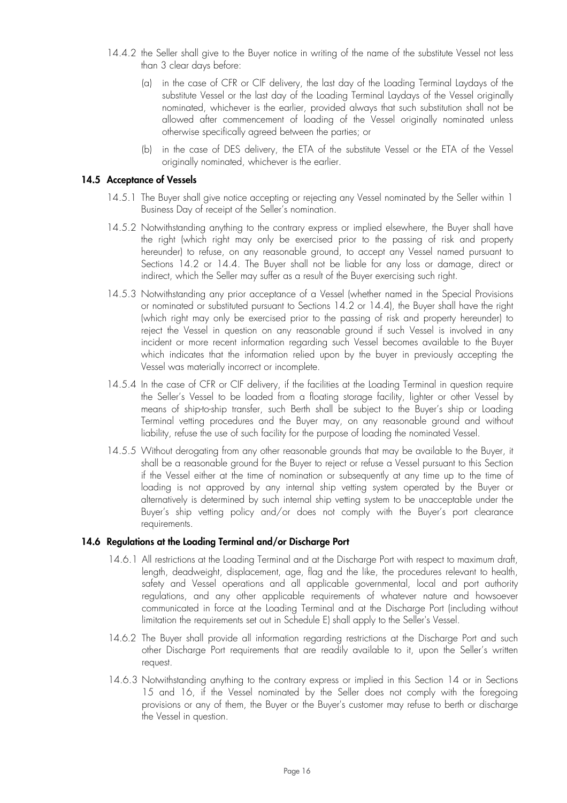- 14.4.2 the Seller shall give to the Buyer notice in writing of the name of the substitute Vessel not less than 3 clear days before:
	- (a) in the case of CFR or CIF delivery, the last day of the Loading Terminal Laydays of the substitute Vessel or the last day of the Loading Terminal Laydays of the Vessel originally nominated, whichever is the earlier, provided always that such substitution shall not be allowed after commencement of loading of the Vessel originally nominated unless otherwise specifically agreed between the parties; or
	- (b) in the case of DES delivery, the ETA of the substitute Vessel or the ETA of the Vessel originally nominated, whichever is the earlier.

#### **14.5 Acceptance of Vessels**

- 14.5.1 The Buyer shall give notice accepting or rejecting any Vessel nominated by the Seller within 1 Business Day of receipt of the Seller's nomination.
- 14.5.2 Notwithstanding anything to the contrary express or implied elsewhere, the Buyer shall have the right (which right may only be exercised prior to the passing of risk and property hereunder) to refuse, on any reasonable ground, to accept any Vessel named pursuant to Sections 14.2 or 14.4. The Buyer shall not be liable for any loss or damage, direct or indirect, which the Seller may suffer as a result of the Buyer exercising such right.
- 14.5.3 Notwithstanding any prior acceptance of a Vessel (whether named in the Special Provisions or nominated or substituted pursuant to Sections 14.2 or 14.4), the Buyer shall have the right (which right may only be exercised prior to the passing of risk and property hereunder) to reject the Vessel in question on any reasonable ground if such Vessel is involved in any incident or more recent information regarding such Vessel becomes available to the Buyer which indicates that the information relied upon by the buyer in previously accepting the Vessel was materially incorrect or incomplete.
- 14.5.4 In the case of CFR or CIF delivery, if the facilities at the Loading Terminal in question require the Seller's Vessel to be loaded from a floating storage facility, lighter or other Vessel by means of ship-to-ship transfer, such Berth shall be subject to the Buyer's ship or Loading Terminal vetting procedures and the Buyer may, on any reasonable ground and without liability, refuse the use of such facility for the purpose of loading the nominated Vessel.
- 14.5.5 Without derogating from any other reasonable grounds that may be available to the Buyer, it shall be a reasonable ground for the Buyer to reject or refuse a Vessel pursuant to this Section if the Vessel either at the time of nomination or subsequently at any time up to the time of loading is not approved by any internal ship vetting system operated by the Buyer or alternatively is determined by such internal ship vetting system to be unacceptable under the Buyer's ship vetting policy and/or does not comply with the Buyer's port clearance requirements.

#### **14.6 Regulations at the Loading Terminal and/or Discharge Port**

- 14.6.1 All restrictions at the Loading Terminal and at the Discharge Port with respect to maximum draft, length, deadweight, displacement, age, flag and the like, the procedures relevant to health, safety and Vessel operations and all applicable governmental, local and port authority regulations, and any other applicable requirements of whatever nature and howsoever communicated in force at the Loading Terminal and at the Discharge Port (including without limitation the requirements set out in Schedule E) shall apply to the Seller's Vessel.
- 14.6.2 The Buyer shall provide all information regarding restrictions at the Discharge Port and such other Discharge Port requirements that are readily available to it, upon the Seller's written request.
- 14.6.3 Notwithstanding anything to the contrary express or implied in this Section 14 or in Sections 15 and 16, if the Vessel nominated by the Seller does not comply with the foregoing provisions or any of them, the Buyer or the Buyer's customer may refuse to berth or discharge the Vessel in question.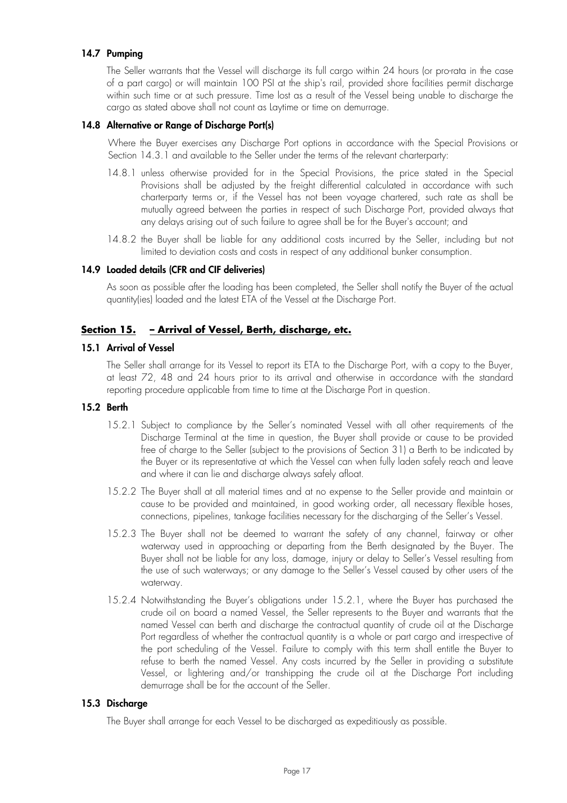## **14.7 Pumping**

The Seller warrants that the Vessel will discharge its full cargo within 24 hours (or pro-rata in the case of a part cargo) or will maintain 100 PSI at the ship's rail, provided shore facilities permit discharge within such time or at such pressure. Time lost as a result of the Vessel being unable to discharge the cargo as stated above shall not count as Laytime or time on demurrage.

## **14.8 Alternative or Range of Discharge Port(s)**

Where the Buyer exercises any Discharge Port options in accordance with the Special Provisions or Section 14.3.1 and available to the Seller under the terms of the relevant charterparty:

- 14.8.1 unless otherwise provided for in the Special Provisions, the price stated in the Special Provisions shall be adjusted by the freight differential calculated in accordance with such charterparty terms or, if the Vessel has not been voyage chartered, such rate as shall be mutually agreed between the parties in respect of such Discharge Port, provided always that any delays arising out of such failure to agree shall be for the Buyer's account; and
- 14.8.2 the Buyer shall be liable for any additional costs incurred by the Seller, including but not limited to deviation costs and costs in respect of any additional bunker consumption.

## **14.9 Loaded details (CFR and CIF deliveries)**

As soon as possible after the loading has been completed, the Seller shall notify the Buyer of the actual quantity(ies) loaded and the latest ETA of the Vessel at the Discharge Port.

## **Section 15. – Arrival of Vessel, Berth, discharge, etc.**

## **15.1 Arrival of Vessel**

The Seller shall arrange for its Vessel to report its ETA to the Discharge Port, with a copy to the Buyer, at least 72, 48 and 24 hours prior to its arrival and otherwise in accordance with the standard reporting procedure applicable from time to time at the Discharge Port in question.

## **15.2 Berth**

- 15.2.1 Subject to compliance by the Seller's nominated Vessel with all other requirements of the Discharge Terminal at the time in question, the Buyer shall provide or cause to be provided free of charge to the Seller (subject to the provisions of Section 31) a Berth to be indicated by the Buyer or its representative at which the Vessel can when fully laden safely reach and leave and where it can lie and discharge always safely afloat.
- 15.2.2 The Buyer shall at all material times and at no expense to the Seller provide and maintain or cause to be provided and maintained, in good working order, all necessary flexible hoses, connections, pipelines, tankage facilities necessary for the discharging of the Seller's Vessel.
- 15.2.3 The Buyer shall not be deemed to warrant the safety of any channel, fairway or other waterway used in approaching or departing from the Berth designated by the Buyer. The Buyer shall not be liable for any loss, damage, injury or delay to Seller's Vessel resulting from the use of such waterways; or any damage to the Seller's Vessel caused by other users of the waterway.
- 15.2.4 Notwithstanding the Buyer's obligations under 15.2.1, where the Buyer has purchased the crude oil on board a named Vessel, the Seller represents to the Buyer and warrants that the named Vessel can berth and discharge the contractual quantity of crude oil at the Discharge Port regardless of whether the contractual quantity is a whole or part cargo and irrespective of the port scheduling of the Vessel. Failure to comply with this term shall entitle the Buyer to refuse to berth the named Vessel. Any costs incurred by the Seller in providing a substitute Vessel, or lightering and/or transhipping the crude oil at the Discharge Port including demurrage shall be for the account of the Seller.

## **15.3 Discharge**

The Buyer shall arrange for each Vessel to be discharged as expeditiously as possible.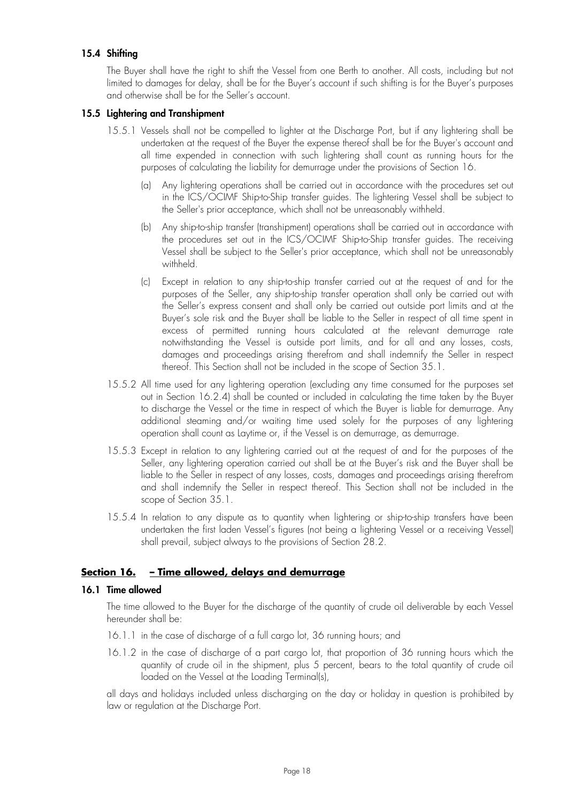## **15.4 Shifting**

The Buyer shall have the right to shift the Vessel from one Berth to another. All costs, including but not limited to damages for delay, shall be for the Buyer's account if such shifting is for the Buyer's purposes and otherwise shall be for the Seller's account.

#### **15.5 Lightering and Transhipment**

- 15.5.1 Vessels shall not be compelled to lighter at the Discharge Port, but if any lightering shall be undertaken at the request of the Buyer the expense thereof shall be for the Buyer's account and all time expended in connection with such lightering shall count as running hours for the purposes of calculating the liability for demurrage under the provisions of Section 16.
	- (a) Any lightering operations shall be carried out in accordance with the procedures set out in the ICS/OCIMF Ship-to-Ship transfer guides. The lightering Vessel shall be subject to the Seller's prior acceptance, which shall not be unreasonably withheld.
	- (b) Any ship-to-ship transfer (transhipment) operations shall be carried out in accordance with the procedures set out in the ICS/OCIMF Ship-to-Ship transfer guides. The receiving Vessel shall be subject to the Seller's prior acceptance, which shall not be unreasonably withheld.
	- (c) Except in relation to any ship-to-ship transfer carried out at the request of and for the purposes of the Seller, any ship-to-ship transfer operation shall only be carried out with the Seller's express consent and shall only be carried out outside port limits and at the Buyer's sole risk and the Buyer shall be liable to the Seller in respect of all time spent in excess of permitted running hours calculated at the relevant demurrage rate notwithstanding the Vessel is outside port limits, and for all and any losses, costs, damages and proceedings arising therefrom and shall indemnify the Seller in respect thereof. This Section shall not be included in the scope of Section 35.1.
- 15.5.2 All time used for any lightering operation (excluding any time consumed for the purposes set out in Section 16.2.4) shall be counted or included in calculating the time taken by the Buyer to discharge the Vessel or the time in respect of which the Buyer is liable for demurrage. Any additional steaming and/or waiting time used solely for the purposes of any lightering operation shall count as Laytime or, if the Vessel is on demurrage, as demurrage.
- 15.5.3 Except in relation to any lightering carried out at the request of and for the purposes of the Seller, any lightering operation carried out shall be at the Buyer's risk and the Buyer shall be liable to the Seller in respect of any losses, costs, damages and proceedings arising therefrom and shall indemnify the Seller in respect thereof. This Section shall not be included in the scope of Section 35.1.
- 15.5.4 In relation to any dispute as to quantity when lightering or ship-to-ship transfers have been undertaken the first laden Vessel's figures (not being a lightering Vessel or a receiving Vessel) shall prevail, subject always to the provisions of Section 28.2.

## **Section 16. – Time allowed, delays and demurrage**

#### **16.1 Time allowed**

The time allowed to the Buyer for the discharge of the quantity of crude oil deliverable by each Vessel hereunder shall be:

- 16.1.1 in the case of discharge of a full cargo lot, 36 running hours; and
- 16.1.2 in the case of discharge of a part cargo lot, that proportion of 36 running hours which the quantity of crude oil in the shipment, plus 5 percent, bears to the total quantity of crude oil loaded on the Vessel at the Loading Terminal(s),

all days and holidays included unless discharging on the day or holiday in question is prohibited by law or regulation at the Discharge Port.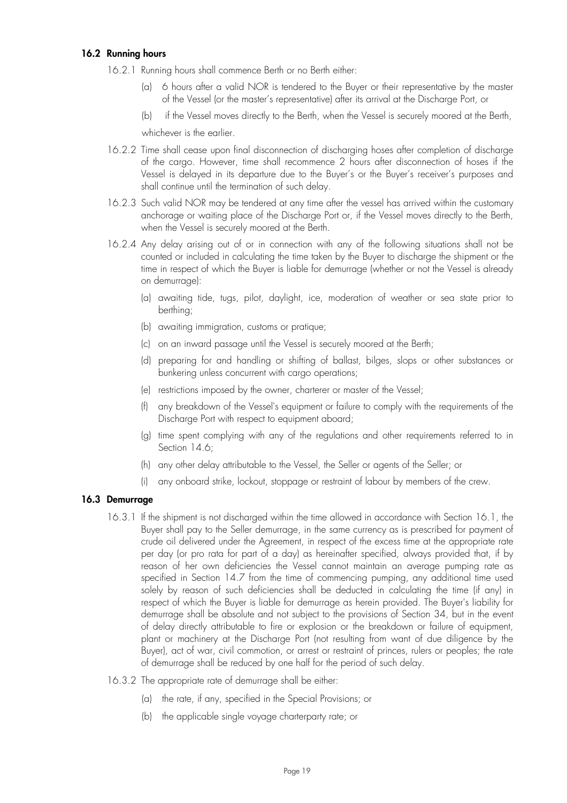## **16.2 Running hours**

- 16.2.1 Running hours shall commence Berth or no Berth either:
	- (a) 6 hours after a valid NOR is tendered to the Buyer or their representative by the master of the Vessel (or the master's representative) after its arrival at the Discharge Port, or
	- (b) if the Vessel moves directly to the Berth, when the Vessel is securely moored at the Berth,

whichever is the earlier.

- 16.2.2 Time shall cease upon final disconnection of discharging hoses after completion of discharge of the cargo. However, time shall recommence 2 hours after disconnection of hoses if the Vessel is delayed in its departure due to the Buyer's or the Buyer's receiver's purposes and shall continue until the termination of such delay.
- 16.2.3 Such valid NOR may be tendered at any time after the vessel has arrived within the customary anchorage or waiting place of the Discharge Port or, if the Vessel moves directly to the Berth, when the Vessel is securely moored at the Berth.
- 16.2.4 Any delay arising out of or in connection with any of the following situations shall not be counted or included in calculating the time taken by the Buyer to discharge the shipment or the time in respect of which the Buyer is liable for demurrage (whether or not the Vessel is already on demurrage):
	- (a) awaiting tide, tugs, pilot, daylight, ice, moderation of weather or sea state prior to berthing;
	- (b) awaiting immigration, customs or pratique;
	- (c) on an inward passage until the Vessel is securely moored at the Berth;
	- (d) preparing for and handling or shifting of ballast, bilges, slops or other substances or bunkering unless concurrent with cargo operations;
	- (e) restrictions imposed by the owner, charterer or master of the Vessel;
	- (f) any breakdown of the Vessel's equipment or failure to comply with the requirements of the Discharge Port with respect to equipment aboard;
	- (g) time spent complying with any of the regulations and other requirements referred to in Section 14.6;
	- (h) any other delay attributable to the Vessel, the Seller or agents of the Seller; or
	- (i) any onboard strike, lockout, stoppage or restraint of labour by members of the crew.

## **16.3 Demurrage**

- 16.3.1 If the shipment is not discharged within the time allowed in accordance with Section 16.1, the Buyer shall pay to the Seller demurrage, in the same currency as is prescribed for payment of crude oil delivered under the Agreement, in respect of the excess time at the appropriate rate per day (or pro rata for part of a day) as hereinafter specified, always provided that, if by reason of her own deficiencies the Vessel cannot maintain an average pumping rate as specified in Section 14.7 from the time of commencing pumping, any additional time used solely by reason of such deficiencies shall be deducted in calculating the time (if any) in respect of which the Buyer is liable for demurrage as herein provided. The Buyer's liability for demurrage shall be absolute and not subject to the provisions of Section 34, but in the event of delay directly attributable to fire or explosion or the breakdown or failure of equipment, plant or machinery at the Discharge Port (not resulting from want of due diligence by the Buyer), act of war, civil commotion, or arrest or restraint of princes, rulers or peoples; the rate of demurrage shall be reduced by one half for the period of such delay.
- 16.3.2 The appropriate rate of demurrage shall be either:
	- (a) the rate, if any, specified in the Special Provisions; or
	- (b) the applicable single voyage charterparty rate; or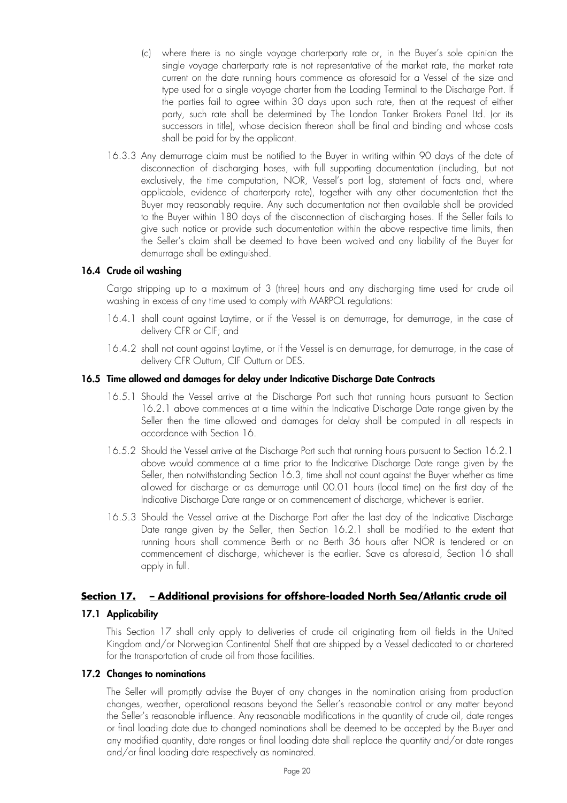- (c) where there is no single voyage charterparty rate or, in the Buyer's sole opinion the single voyage charterparty rate is not representative of the market rate, the market rate current on the date running hours commence as aforesaid for a Vessel of the size and type used for a single voyage charter from the Loading Terminal to the Discharge Port. If the parties fail to agree within 30 days upon such rate, then at the request of either party, such rate shall be determined by The London Tanker Brokers Panel Ltd. (or its successors in title), whose decision thereon shall be final and binding and whose costs shall be paid for by the applicant.
- 16.3.3 Any demurrage claim must be notified to the Buyer in writing within 90 days of the date of disconnection of discharging hoses, with full supporting documentation (including, but not exclusively, the time computation, NOR, Vessel's port log, statement of facts and, where applicable, evidence of charterparty rate), together with any other documentation that the Buyer may reasonably require. Any such documentation not then available shall be provided to the Buyer within 180 days of the disconnection of discharging hoses. If the Seller fails to give such notice or provide such documentation within the above respective time limits, then the Seller's claim shall be deemed to have been waived and any liability of the Buyer for demurrage shall be extinguished.

## **16.4 Crude oil washing**

Cargo stripping up to a maximum of 3 (three) hours and any discharging time used for crude oil washing in excess of any time used to comply with MARPOL regulations:

- 16.4.1 shall count against Laytime, or if the Vessel is on demurrage, for demurrage, in the case of delivery CFR or CIF; and
- 16.4.2 shall not count against Laytime, or if the Vessel is on demurrage, for demurrage, in the case of delivery CFR Outturn, CIF Outturn or DES.

## **16.5 Time allowed and damages for delay under Indicative Discharge Date Contracts**

- 16.5.1 Should the Vessel arrive at the Discharge Port such that running hours pursuant to Section 16.2.1 above commences at a time within the Indicative Discharge Date range given by the Seller then the time allowed and damages for delay shall be computed in all respects in accordance with Section 16.
- 16.5.2 Should the Vessel arrive at the Discharge Port such that running hours pursuant to Section 16.2.1 above would commence at a time prior to the Indicative Discharge Date range given by the Seller, then notwithstanding Section 16.3, time shall not count against the Buyer whether as time allowed for discharge or as demurrage until 00.01 hours (local time) on the first day of the Indicative Discharge Date range or on commencement of discharge, whichever is earlier.
- 16.5.3 Should the Vessel arrive at the Discharge Port after the last day of the Indicative Discharge Date range given by the Seller, then Section 16.2.1 shall be modified to the extent that running hours shall commence Berth or no Berth 36 hours after NOR is tendered or on commencement of discharge, whichever is the earlier. Save as aforesaid, Section 16 shall apply in full.

## **Section 17. – Additional provisions for offshore-loaded North Sea/Atlantic crude oil**

## **17.1 Applicability**

This Section 17 shall only apply to deliveries of crude oil originating from oil fields in the United Kingdom and/or Norwegian Continental Shelf that are shipped by a Vessel dedicated to or chartered for the transportation of crude oil from those facilities.

## **17.2 Changes to nominations**

The Seller will promptly advise the Buyer of any changes in the nomination arising from production changes, weather, operational reasons beyond the Seller's reasonable control or any matter beyond the Seller's reasonable influence. Any reasonable modifications in the quantity of crude oil, date ranges or final loading date due to changed nominations shall be deemed to be accepted by the Buyer and any modified quantity, date ranges or final loading date shall replace the quantity and/or date ranges and/or final loading date respectively as nominated.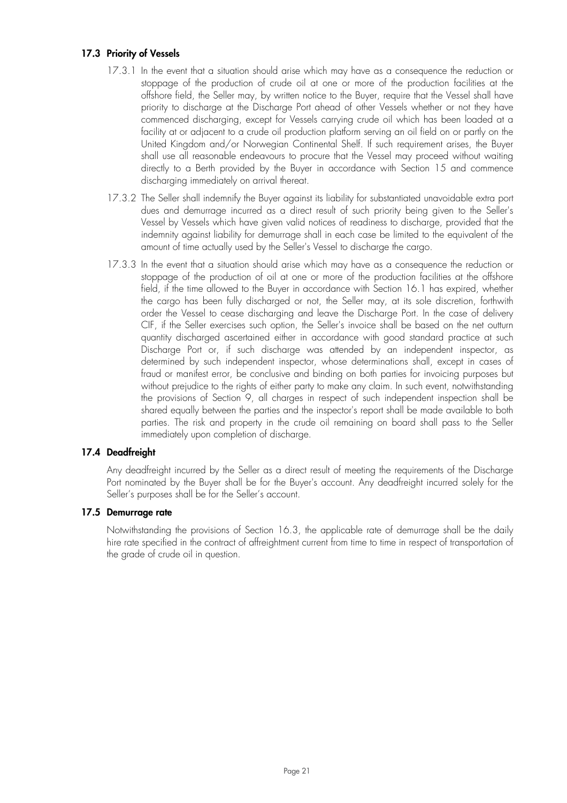## **17.3 Priority of Vessels**

- 17.3.1 In the event that a situation should arise which may have as a consequence the reduction or stoppage of the production of crude oil at one or more of the production facilities at the offshore field, the Seller may, by written notice to the Buyer, require that the Vessel shall have priority to discharge at the Discharge Port ahead of other Vessels whether or not they have commenced discharging, except for Vessels carrying crude oil which has been loaded at a facility at or adjacent to a crude oil production platform serving an oil field on or partly on the United Kingdom and/or Norwegian Continental Shelf. If such requirement arises, the Buyer shall use all reasonable endeavours to procure that the Vessel may proceed without waiting directly to a Berth provided by the Buyer in accordance with Section 15 and commence discharging immediately on arrival thereat.
- 17.3.2 The Seller shall indemnify the Buyer against its liability for substantiated unavoidable extra port dues and demurrage incurred as a direct result of such priority being given to the Seller's Vessel by Vessels which have given valid notices of readiness to discharge, provided that the indemnity against liability for demurrage shall in each case be limited to the equivalent of the amount of time actually used by the Seller's Vessel to discharge the cargo.
- 17.3.3 In the event that a situation should arise which may have as a consequence the reduction or stoppage of the production of oil at one or more of the production facilities at the offshore field, if the time allowed to the Buyer in accordance with Section 16.1 has expired, whether the cargo has been fully discharged or not, the Seller may, at its sole discretion, forthwith order the Vessel to cease discharging and leave the Discharge Port. In the case of delivery CIF, if the Seller exercises such option, the Seller's invoice shall be based on the net outturn quantity discharged ascertained either in accordance with good standard practice at such Discharge Port or, if such discharge was attended by an independent inspector, as determined by such independent inspector, whose determinations shall, except in cases of fraud or manifest error, be conclusive and binding on both parties for invoicing purposes but without prejudice to the rights of either party to make any claim. In such event, notwithstanding the provisions of Section 9, all charges in respect of such independent inspection shall be shared equally between the parties and the inspector's report shall be made available to both parties. The risk and property in the crude oil remaining on board shall pass to the Seller immediately upon completion of discharge.

## **17.4 Deadfreight**

Any deadfreight incurred by the Seller as a direct result of meeting the requirements of the Discharge Port nominated by the Buyer shall be for the Buyer's account. Any deadfreight incurred solely for the Seller's purposes shall be for the Seller's account.

## **17.5 Demurrage rate**

Notwithstanding the provisions of Section 16.3, the applicable rate of demurrage shall be the daily hire rate specified in the contract of affreightment current from time to time in respect of transportation of the grade of crude oil in question.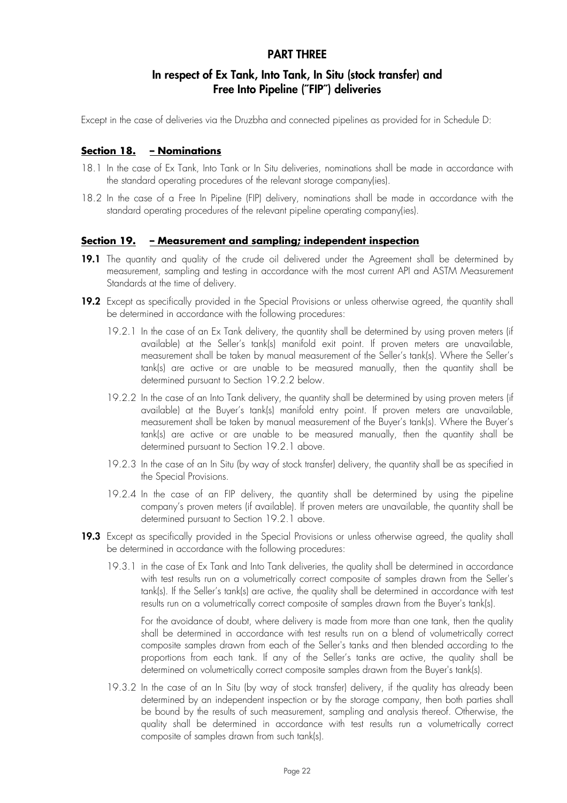## **PART THREE**

## **In respect of Ex Tank, Into Tank, In Situ (stock transfer) and Free Into Pipeline (˝FIP˝) deliveries**

Except in the case of deliveries via the Druzbha and connected pipelines as provided for in Schedule D:

### **Section 18. – Nominations**

- 18.1 In the case of Ex Tank, Into Tank or In Situ deliveries, nominations shall be made in accordance with the standard operating procedures of the relevant storage company(ies).
- 18.2 In the case of a Free In Pipeline (FIP) delivery, nominations shall be made in accordance with the standard operating procedures of the relevant pipeline operating company(ies).

#### **Section 19. – Measurement and sampling; independent inspection**

- 19.1 The quantity and quality of the crude oil delivered under the Agreement shall be determined by measurement, sampling and testing in accordance with the most current API and ASTM Measurement Standards at the time of delivery.
- **19.2** Except as specifically provided in the Special Provisions or unless otherwise agreed, the quantity shall be determined in accordance with the following procedures:
	- 19.2.1 In the case of an Ex Tank delivery, the quantity shall be determined by using proven meters (if available) at the Seller's tank(s) manifold exit point. If proven meters are unavailable, measurement shall be taken by manual measurement of the Seller's tank(s). Where the Seller's tank(s) are active or are unable to be measured manually, then the quantity shall be determined pursuant to Section 19.2.2 below.
	- 19.2.2 In the case of an Into Tank delivery, the quantity shall be determined by using proven meters (if available) at the Buyer's tank(s) manifold entry point. If proven meters are unavailable, measurement shall be taken by manual measurement of the Buyer's tank(s). Where the Buyer's tank(s) are active or are unable to be measured manually, then the quantity shall be determined pursuant to Section 19.2.1 above.
	- 19.2.3 In the case of an In Situ (by way of stock transfer) delivery, the quantity shall be as specified in the Special Provisions.
	- 19.2.4 In the case of an FIP delivery, the quantity shall be determined by using the pipeline company's proven meters (if available). If proven meters are unavailable, the quantity shall be determined pursuant to Section 19.2.1 above.
- 19.3 Except as specifically provided in the Special Provisions or unless otherwise agreed, the quality shall be determined in accordance with the following procedures:
	- 19.3.1 in the case of Ex Tank and Into Tank deliveries, the quality shall be determined in accordance with test results run on a volumetrically correct composite of samples drawn from the Seller's tank(s). If the Seller's tank(s) are active, the quality shall be determined in accordance with test results run on a volumetrically correct composite of samples drawn from the Buyer's tank(s).

For the avoidance of doubt, where delivery is made from more than one tank, then the quality shall be determined in accordance with test results run on a blend of volumetrically correct composite samples drawn from each of the Seller's tanks and then blended according to the proportions from each tank. If any of the Seller's tanks are active, the quality shall be determined on volumetrically correct composite samples drawn from the Buyer's tank(s).

19.3.2 In the case of an In Situ (by way of stock transfer) delivery, if the quality has already been determined by an independent inspection or by the storage company, then both parties shall be bound by the results of such measurement, sampling and analysis thereof. Otherwise, the quality shall be determined in accordance with test results run a volumetrically correct composite of samples drawn from such tank(s).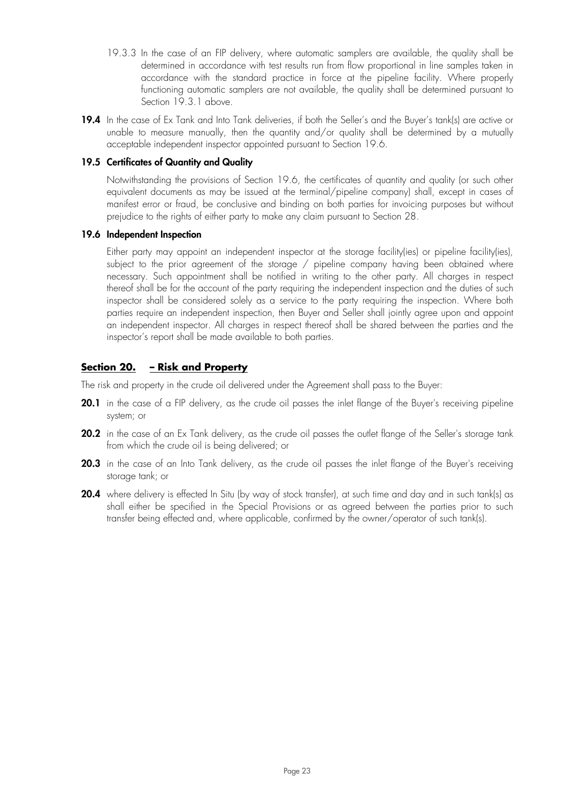- 19.3.3 In the case of an FIP delivery, where automatic samplers are available, the quality shall be determined in accordance with test results run from flow proportional in line samples taken in accordance with the standard practice in force at the pipeline facility. Where properly functioning automatic samplers are not available, the quality shall be determined pursuant to Section 19.3.1 above.
- 19.4 In the case of Ex Tank and Into Tank deliveries, if both the Seller's and the Buyer's tank(s) are active or unable to measure manually, then the quantity and/or quality shall be determined by a mutually acceptable independent inspector appointed pursuant to Section 19.6.

### **19.5 Certificates of Quantity and Quality**

Notwithstanding the provisions of Section 19.6, the certificates of quantity and quality (or such other equivalent documents as may be issued at the terminal/pipeline company) shall, except in cases of manifest error or fraud, be conclusive and binding on both parties for invoicing purposes but without prejudice to the rights of either party to make any claim pursuant to Section 28.

## **19.6 Independent Inspection**

Either party may appoint an independent inspector at the storage facility(ies) or pipeline facility(ies), subject to the prior agreement of the storage / pipeline company having been obtained where necessary. Such appointment shall be notified in writing to the other party. All charges in respect thereof shall be for the account of the party requiring the independent inspection and the duties of such inspector shall be considered solely as a service to the party requiring the inspection. Where both parties require an independent inspection, then Buyer and Seller shall jointly agree upon and appoint an independent inspector. All charges in respect thereof shall be shared between the parties and the inspector's report shall be made available to both parties.

## **Section 20. – Risk and Property**

The risk and property in the crude oil delivered under the Agreement shall pass to the Buyer:

- **20.1** in the case of a FIP delivery, as the crude oil passes the inlet flange of the Buyer's receiving pipeline system; or
- **20.2** in the case of an Ex Tank delivery, as the crude oil passes the outlet flange of the Seller's storage tank from which the crude oil is being delivered; or
- **20.3** in the case of an Into Tank delivery, as the crude oil passes the inlet flange of the Buyer's receiving storage tank; or
- **20.4** where delivery is effected In Situ (by way of stock transfer), at such time and day and in such tank(s) as shall either be specified in the Special Provisions or as agreed between the parties prior to such transfer being effected and, where applicable, confirmed by the owner/operator of such tank(s).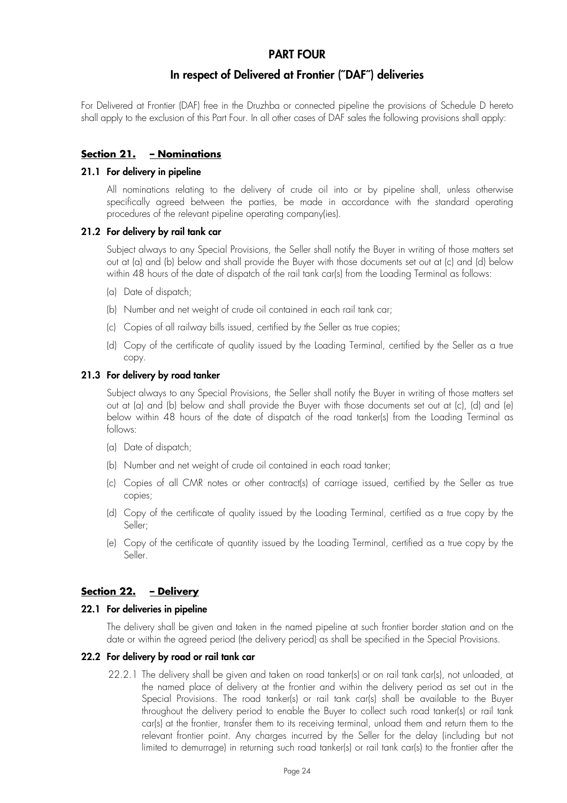## **PART FOUR**

## **In respect of Delivered at Frontier (˝DAF˝) deliveries**

For Delivered at Frontier (DAF) free in the Druzhba or connected pipeline the provisions of Schedule D hereto shall apply to the exclusion of this Part Four. In all other cases of DAF sales the following provisions shall apply:

## **Section 21. – Nominations**

#### **21.1 For delivery in pipeline**

All nominations relating to the delivery of crude oil into or by pipeline shall, unless otherwise specifically agreed between the parties, be made in accordance with the standard operating procedures of the relevant pipeline operating company(ies).

#### **21.2 For delivery by rail tank car**

Subject always to any Special Provisions, the Seller shall notify the Buyer in writing of those matters set out at (a) and (b) below and shall provide the Buyer with those documents set out at (c) and (d) below within 48 hours of the date of dispatch of the rail tank car(s) from the Loading Terminal as follows:

- (a) Date of dispatch;
- (b) Number and net weight of crude oil contained in each rail tank car;
- (c) Copies of all railway bills issued, certified by the Seller as true copies;
- (d) Copy of the certificate of quality issued by the Loading Terminal, certified by the Seller as a true copy.

#### **21.3 For delivery by road tanker**

Subject always to any Special Provisions, the Seller shall notify the Buyer in writing of those matters set out at (a) and (b) below and shall provide the Buyer with those documents set out at (c), (d) and (e) below within 48 hours of the date of dispatch of the road tanker(s) from the Loading Terminal as follows:

- (a) Date of dispatch;
- (b) Number and net weight of crude oil contained in each road tanker;
- (c) Copies of all CMR notes or other contract(s) of carriage issued, certified by the Seller as true copies;
- (d) Copy of the certificate of quality issued by the Loading Terminal, certified as a true copy by the Seller;
- (e) Copy of the certificate of quantity issued by the Loading Terminal, certified as a true copy by the Seller.

## **Section 22. – Delivery**

#### **22.1 For deliveries in pipeline**

The delivery shall be given and taken in the named pipeline at such frontier border station and on the date or within the agreed period (the delivery period) as shall be specified in the Special Provisions.

#### **22.2 For delivery by road or rail tank car**

22.2.1 The delivery shall be given and taken on road tanker(s) or on rail tank car(s), not unloaded, at the named place of delivery at the frontier and within the delivery period as set out in the Special Provisions. The road tanker(s) or rail tank car(s) shall be available to the Buyer throughout the delivery period to enable the Buyer to collect such road tanker(s) or rail tank car(s) at the frontier, transfer them to its receiving terminal, unload them and return them to the relevant frontier point. Any charges incurred by the Seller for the delay (including but not limited to demurrage) in returning such road tanker(s) or rail tank car(s) to the frontier after the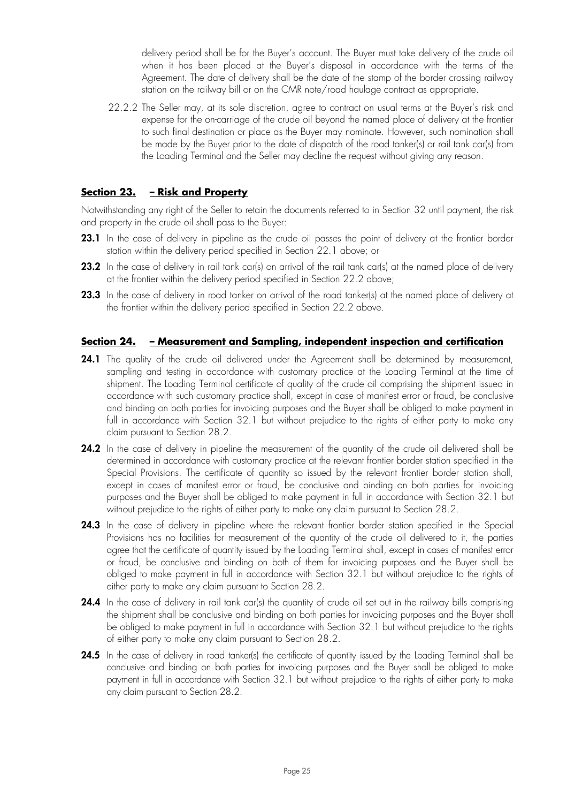delivery period shall be for the Buyer's account. The Buyer must take delivery of the crude oil when it has been placed at the Buyer's disposal in accordance with the terms of the Agreement. The date of delivery shall be the date of the stamp of the border crossing railway station on the railway bill or on the CMR note/road haulage contract as appropriate.

22.2.2 The Seller may, at its sole discretion, agree to contract on usual terms at the Buyer's risk and expense for the on-carriage of the crude oil beyond the named place of delivery at the frontier to such final destination or place as the Buyer may nominate. However, such nomination shall be made by the Buyer prior to the date of dispatch of the road tanker(s) or rail tank car(s) from the Loading Terminal and the Seller may decline the request without giving any reason.

## **Section 23. – Risk and Property**

Notwithstanding any right of the Seller to retain the documents referred to in Section 32 until payment, the risk and property in the crude oil shall pass to the Buyer:

- **23.1** In the case of delivery in pipeline as the crude oil passes the point of delivery at the frontier border station within the delivery period specified in Section 22.1 above; or
- **23.2** In the case of delivery in rail tank car(s) on arrival of the rail tank car(s) at the named place of delivery at the frontier within the delivery period specified in Section 22.2 above;
- **23.3** In the case of delivery in road tanker on arrival of the road tanker(s) at the named place of delivery at the frontier within the delivery period specified in Section 22.2 above.

## **Section 24. – Measurement and Sampling, independent inspection and certification**

- 24.1 The quality of the crude oil delivered under the Agreement shall be determined by measurement, sampling and testing in accordance with customary practice at the Loading Terminal at the time of shipment. The Loading Terminal certificate of quality of the crude oil comprising the shipment issued in accordance with such customary practice shall, except in case of manifest error or fraud, be conclusive and binding on both parties for invoicing purposes and the Buyer shall be obliged to make payment in full in accordance with Section 32.1 but without prejudice to the rights of either party to make any claim pursuant to Section 28.2.
- 24.2 In the case of delivery in pipeline the measurement of the quantity of the crude oil delivered shall be determined in accordance with customary practice at the relevant frontier border station specified in the Special Provisions. The certificate of quantity so issued by the relevant frontier border station shall, except in cases of manifest error or fraud, be conclusive and binding on both parties for invoicing purposes and the Buyer shall be obliged to make payment in full in accordance with Section 32.1 but without prejudice to the rights of either party to make any claim pursuant to Section 28.2.
- **24.3** In the case of delivery in pipeline where the relevant frontier border station specified in the Special Provisions has no facilities for measurement of the quantity of the crude oil delivered to it, the parties agree that the certificate of quantity issued by the Loading Terminal shall, except in cases of manifest error or fraud, be conclusive and binding on both of them for invoicing purposes and the Buyer shall be obliged to make payment in full in accordance with Section 32.1 but without prejudice to the rights of either party to make any claim pursuant to Section 28.2.
- **24.4** In the case of delivery in rail tank car(s) the quantity of crude oil set out in the railway bills comprising the shipment shall be conclusive and binding on both parties for invoicing purposes and the Buyer shall be obliged to make payment in full in accordance with Section 32.1 but without prejudice to the rights of either party to make any claim pursuant to Section 28.2.
- 24.5 In the case of delivery in road tanker(s) the certificate of quantity issued by the Loading Terminal shall be conclusive and binding on both parties for invoicing purposes and the Buyer shall be obliged to make payment in full in accordance with Section 32.1 but without prejudice to the rights of either party to make any claim pursuant to Section 28.2.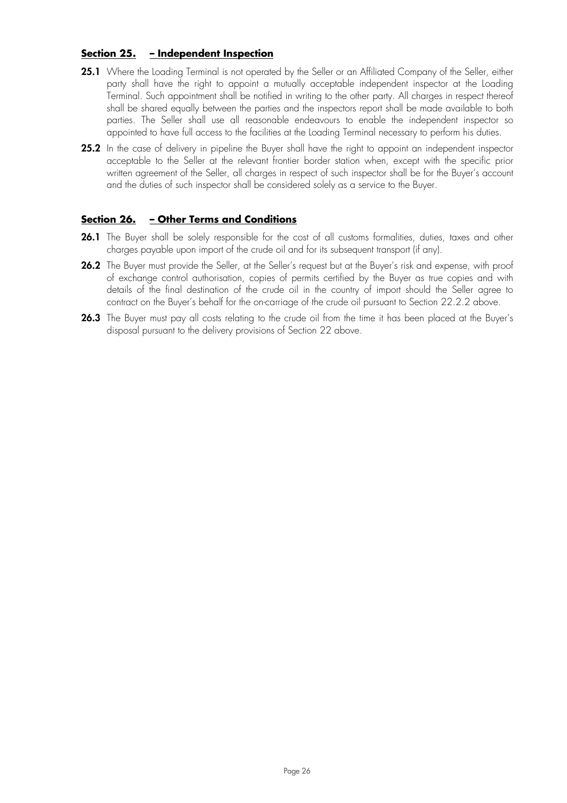## **Section 25. – Independent Inspection**

- **25.1** Where the Loading Terminal is not operated by the Seller or an Affiliated Company of the Seller, either party shall have the right to appoint a mutually acceptable independent inspector at the Loading Terminal. Such appointment shall be notified in writing to the other party. All charges in respect thereof shall be shared equally between the parties and the inspectors report shall be made available to both parties. The Seller shall use all reasonable endeavours to enable the independent inspector so appointed to have full access to the facilities at the Loading Terminal necessary to perform his duties.
- **25.2** In the case of delivery in pipeline the Buyer shall have the right to appoint an independent inspector acceptable to the Seller at the relevant frontier border station when, except with the specific prior written agreement of the Seller, all charges in respect of such inspector shall be for the Buyer's account and the duties of such inspector shall be considered solely as a service to the Buyer.

## **Section 26. – Other Terms and Conditions**

- **26.1** The Buyer shall be solely responsible for the cost of all customs formalities, duties, taxes and other charges payable upon import of the crude oil and for its subsequent transport (if any).
- **26.2** The Buyer must provide the Seller, at the Seller's request but at the Buyer's risk and expense, with proof of exchange control authorisation, copies of permits certified by the Buyer as true copies and with details of the final destination of the crude oil in the country of import should the Seller agree to contract on the Buyer's behalf for the on-carriage of the crude oil pursuant to Section 22.2.2 above.
- 26.3 The Buyer must pay all costs relating to the crude oil from the time it has been placed at the Buyer's disposal pursuant to the delivery provisions of Section 22 above.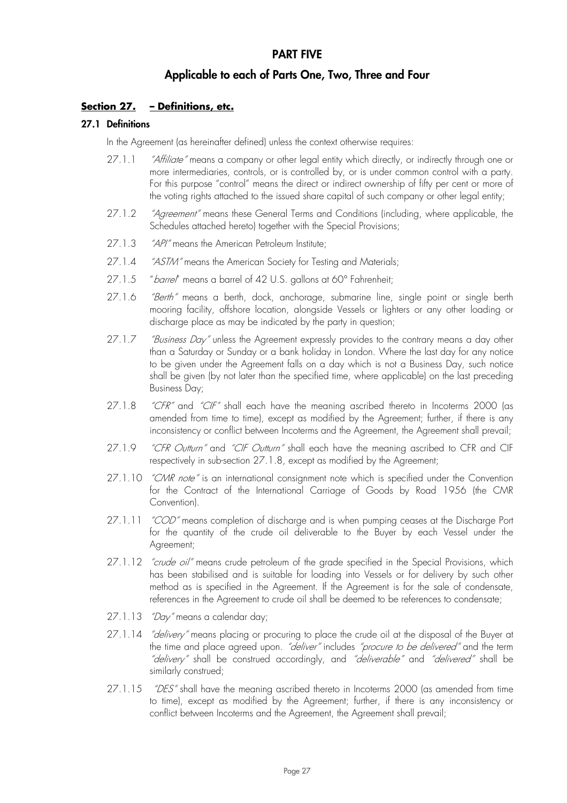## **PART FIVE**

## **Applicable to each of Parts One, Two, Three and Four**

## **Section 27. – Definitions, etc.**

#### **27.1 Definitions**

In the Agreement (as hereinafter defined) unless the context otherwise requires:

- 27.1.1 *"Affiliate"* means a company or other legal entity which directly, or indirectly through one or more intermediaries, controls, or is controlled by, or is under common control with a party. For this purpose "control" means the direct or indirect ownership of fifty per cent or more of the voting rights attached to the issued share capital of such company or other legal entity;
- 27.1.2 "Agreement" means these General Terms and Conditions (including, where applicable, the Schedules attached hereto) together with the Special Provisions;
- 27.1.3 *"API"* means the American Petroleum Institute;
- 27.1.4 "ASTM" means the American Society for Testing and Materials;
- 27.1.5 "barrel" means a barrel of 42 U.S. gallons at 60° Fahrenheit;
- 27.1.6 *"Berth"* means a berth, dock, anchorage, submarine line, single point or single berth mooring facility, offshore location, alongside Vessels or lighters or any other loading or discharge place as may be indicated by the party in question;
- 27.1.7 *"Business Day"* unless the Agreement expressly provides to the contrary means a day other than a Saturday or Sunday or a bank holiday in London. Where the last day for any notice to be given under the Agreement falls on a day which is not a Business Day, such notice shall be given (by not later than the specified time, where applicable) on the last preceding Business Day;
- 27.1.8 "CFR" and "CIF" shall each have the meaning ascribed thereto in Incoterms 2000 (as amended from time to time), except as modified by the Agreement; further, if there is any inconsistency or conflict between Incoterms and the Agreement, the Agreement shall prevail;
- 27.1.9 "CFR Outturn" and "CIF Outturn" shall each have the meaning ascribed to CFR and CIF respectively in sub-section 27.1.8, except as modified by the Agreement;
- 27.1.10 "CMR note" is an international consignment note which is specified under the Convention for the Contract of the International Carriage of Goods by Road 1956 (the CMR Convention).
- 27.1.11 "COD" means completion of discharge and is when pumping ceases at the Discharge Port for the quantity of the crude oil deliverable to the Buyer by each Vessel under the Agreement;
- 27.1.12 "crude oil" means crude petroleum of the grade specified in the Special Provisions, which has been stabilised and is suitable for loading into Vessels or for delivery by such other method as is specified in the Agreement. If the Agreement is for the sale of condensate, references in the Agreement to crude oil shall be deemed to be references to condensate;
- 27.1.13 *"Day"* means a calendar day;
- 27.1.14 *"delivery"* means placing or procuring to place the crude oil at the disposal of the Buyer at the time and place agreed upon. "deliver" includes "procure to be delivered" and the term "delivery" shall be construed accordingly, and "deliverable" and "delivered" shall be similarly construed;
- 27.1.15 *"DES"* shall have the meaning ascribed thereto in Incoterms 2000 (as amended from time to time), except as modified by the Agreement; further, if there is any inconsistency or conflict between Incoterms and the Agreement, the Agreement shall prevail;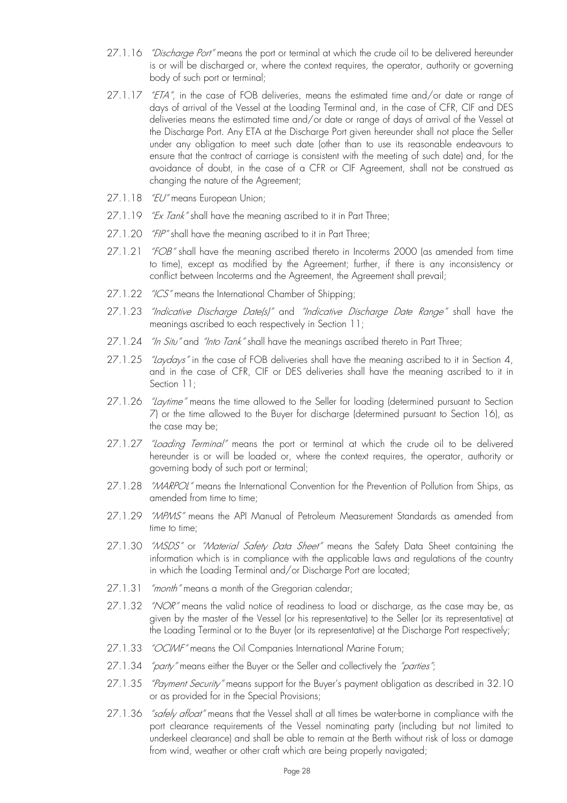- 27.1.16 *"Discharge Port"* means the port or terminal at which the crude oil to be delivered hereunder is or will be discharged or, where the context requires, the operator, authority or governing body of such port or terminal;
- 27.1.17 "ETA", in the case of FOB deliveries, means the estimated time and/or date or range of days of arrival of the Vessel at the Loading Terminal and, in the case of CFR, CIF and DES deliveries means the estimated time and/or date or range of days of arrival of the Vessel at the Discharge Port. Any ETA at the Discharge Port given hereunder shall not place the Seller under any obligation to meet such date (other than to use its reasonable endeavours to ensure that the contract of carriage is consistent with the meeting of such date) and, for the avoidance of doubt, in the case of a CFR or CIF Agreement, shall not be construed as changing the nature of the Agreement;
- 27.1.18 "EU" means European Union;
- 27.1.19 *"Ex Tank*" shall have the meaning ascribed to it in Part Three;
- 27.1.20 "FIP" shall have the meaning ascribed to it in Part Three;
- 27.1.21 "FOB" shall have the meaning ascribed thereto in Incoterms 2000 (as amended from time to time), except as modified by the Agreement; further, if there is any inconsistency or conflict between Incoterms and the Agreement, the Agreement shall prevail;
- 27.1.22 "ICS" means the International Chamber of Shipping;
- 27.1.23 "Indicative Discharge Date(s)" and "Indicative Discharge Date Range" shall have the meanings ascribed to each respectively in Section 11;
- 27.1.24 "In Situ" and "Into Tank" shall have the meanings ascribed thereto in Part Three;
- 27.1.25 "Laydays" in the case of FOB deliveries shall have the meaning ascribed to it in Section 4, and in the case of CFR, CIF or DES deliveries shall have the meaning ascribed to it in Section 11;
- 27.1.26 *"Laytime"* means the time allowed to the Seller for loading (determined pursuant to Section 7) or the time allowed to the Buyer for discharge (determined pursuant to Section 16), as the case may be;
- 27.1.27 "Loading Terminal" means the port or terminal at which the crude oil to be delivered hereunder is or will be loaded or, where the context requires, the operator, authority or governing body of such port or terminal;
- 27.1.28 "MARPOL" means the International Convention for the Prevention of Pollution from Ships, as amended from time to time;
- 27.1.29 "MPMS" means the API Manual of Petroleum Measurement Standards as amended from time to time;
- 27.1.30 "MSDS" or "Material Safety Data Sheet" means the Safety Data Sheet containing the information which is in compliance with the applicable laws and regulations of the country in which the Loading Terminal and/or Discharge Port are located;
- 27.1.31 "month" means a month of the Gregorian calendar;
- 27.1.32 "NOR" means the valid notice of readiness to load or discharge, as the case may be, as given by the master of the Vessel (or his representative) to the Seller (or its representative) at the Loading Terminal or to the Buyer (or its representative) at the Discharge Port respectively;
- 27.1.33 "OCIMF" means the Oil Companies International Marine Forum;
- 27.1.34 *"party"* means either the Buyer or the Seller and collectively the "parties";
- 27.1.35 "Payment Security" means support for the Buyer's payment obligation as described in 32.10 or as provided for in the Special Provisions;
- 27.1.36 *"safely afloat"* means that the Vessel shall at all times be water-borne in compliance with the port clearance requirements of the Vessel nominating party (including but not limited to underkeel clearance) and shall be able to remain at the Berth without risk of loss or damage from wind, weather or other craft which are being properly navigated;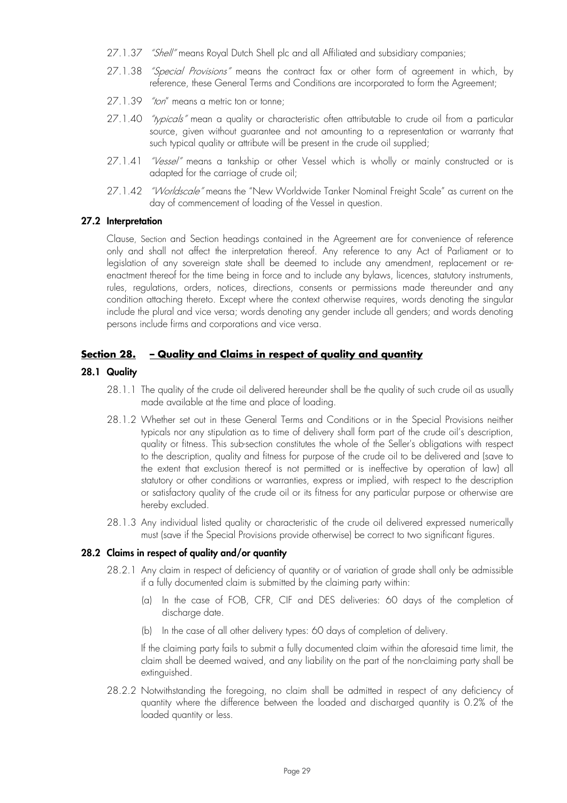- 27.1.37 *"Shell"* means Royal Dutch Shell plc and all Affiliated and subsidiary companies;
- 27.1.38 *"Special Provisions"* means the contract fax or other form of agreement in which, by reference, these General Terms and Conditions are incorporated to form the Agreement;
- 27.1.39 "ton" means a metric ton or tonne;
- 27.1.40 *"typicals"* mean a quality or characteristic often attributable to crude oil from a particular source, given without guarantee and not amounting to a representation or warranty that such typical quality or attribute will be present in the crude oil supplied;
- 27.1.41 "Vessel" means a tankship or other Vessel which is wholly or mainly constructed or is adapted for the carriage of crude oil;
- 27.1.42 "Worldscale" means the "New Worldwide Tanker Nominal Freight Scale" as current on the day of commencement of loading of the Vessel in question.

## **27.2 Interpretation**

Clause, Section and Section headings contained in the Agreement are for convenience of reference only and shall not affect the interpretation thereof. Any reference to any Act of Parliament or to legislation of any sovereign state shall be deemed to include any amendment, replacement or reenactment thereof for the time being in force and to include any bylaws, licences, statutory instruments, rules, regulations, orders, notices, directions, consents or permissions made thereunder and any condition attaching thereto. Except where the context otherwise requires, words denoting the singular include the plural and vice versa; words denoting any gender include all genders; and words denoting persons include firms and corporations and vice versa.

## **Section 28. – Quality and Claims in respect of quality and quantity**

#### **28.1 Quality**

- 28.1.1 The quality of the crude oil delivered hereunder shall be the quality of such crude oil as usually made available at the time and place of loading.
- 28.1.2 Whether set out in these General Terms and Conditions or in the Special Provisions neither typicals nor any stipulation as to time of delivery shall form part of the crude oil's description, quality or fitness. This sub-section constitutes the whole of the Seller's obligations with respect to the description, quality and fitness for purpose of the crude oil to be delivered and (save to the extent that exclusion thereof is not permitted or is ineffective by operation of law) all statutory or other conditions or warranties, express or implied, with respect to the description or satisfactory quality of the crude oil or its fitness for any particular purpose or otherwise are hereby excluded.
- 28.1.3 Any individual listed quality or characteristic of the crude oil delivered expressed numerically must (save if the Special Provisions provide otherwise) be correct to two significant figures.

#### **28.2 Claims in respect of quality and/or quantity**

- 28.2.1 Any claim in respect of deficiency of quantity or of variation of grade shall only be admissible if a fully documented claim is submitted by the claiming party within:
	- (a) In the case of FOB, CFR, CIF and DES deliveries: 60 days of the completion of discharge date.
	- (b) In the case of all other delivery types: 60 days of completion of delivery.

If the claiming party fails to submit a fully documented claim within the aforesaid time limit, the claim shall be deemed waived, and any liability on the part of the non-claiming party shall be extinguished.

28.2.2 Notwithstanding the foregoing, no claim shall be admitted in respect of any deficiency of quantity where the difference between the loaded and discharged quantity is 0.2% of the loaded quantity or less.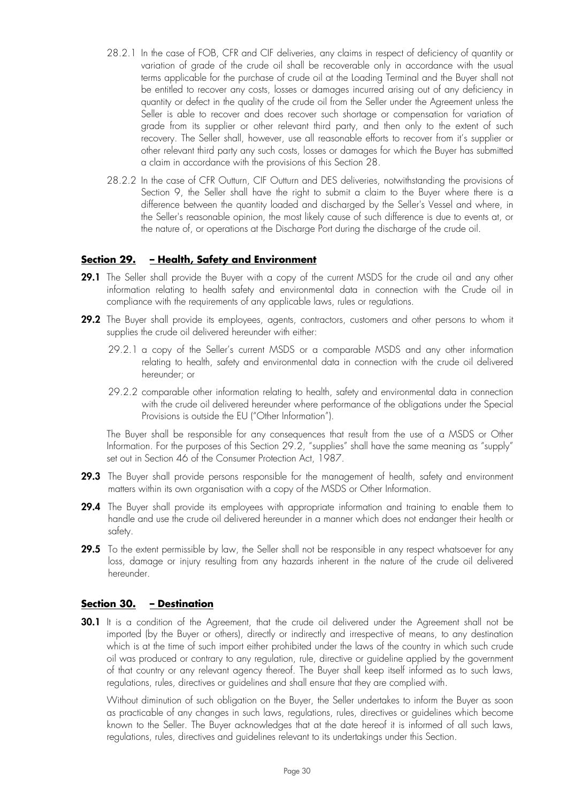- 28.2.1 In the case of FOB, CFR and CIF deliveries, any claims in respect of deficiency of quantity or variation of grade of the crude oil shall be recoverable only in accordance with the usual terms applicable for the purchase of crude oil at the Loading Terminal and the Buyer shall not be entitled to recover any costs, losses or damages incurred arising out of any deficiency in quantity or defect in the quality of the crude oil from the Seller under the Agreement unless the Seller is able to recover and does recover such shortage or compensation for variation of grade from its supplier or other relevant third party, and then only to the extent of such recovery. The Seller shall, however, use all reasonable efforts to recover from it's supplier or other relevant third party any such costs, losses or damages for which the Buyer has submitted a claim in accordance with the provisions of this Section 28.
- 28.2.2 In the case of CFR Outturn, CIF Outturn and DES deliveries, notwithstanding the provisions of Section 9, the Seller shall have the right to submit a claim to the Buyer where there is a difference between the quantity loaded and discharged by the Seller's Vessel and where, in the Seller's reasonable opinion, the most likely cause of such difference is due to events at, or the nature of, or operations at the Discharge Port during the discharge of the crude oil.

## **Section 29. – Health, Safety and Environment**

- **29.1** The Seller shall provide the Buyer with a copy of the current MSDS for the crude oil and any other information relating to health safety and environmental data in connection with the Crude oil in compliance with the requirements of any applicable laws, rules or regulations.
- **29.2** The Buyer shall provide its employees, agents, contractors, customers and other persons to whom it supplies the crude oil delivered hereunder with either:
	- 29.2.1 a copy of the Seller's current MSDS or a comparable MSDS and any other information relating to health, safety and environmental data in connection with the crude oil delivered hereunder; or
	- 29.2.2 comparable other information relating to health, safety and environmental data in connection with the crude oil delivered hereunder where performance of the obligations under the Special Provisions is outside the EU ("Other Information").

The Buyer shall be responsible for any consequences that result from the use of a MSDS or Other Information. For the purposes of this Section 29.2, "supplies" shall have the same meaning as "supply" set out in Section 46 of the Consumer Protection Act, 1987.

- **29.3** The Buyer shall provide persons responsible for the management of health, safety and environment matters within its own organisation with a copy of the MSDS or Other Information.
- **29.4** The Buyer shall provide its employees with appropriate information and training to enable them to handle and use the crude oil delivered hereunder in a manner which does not endanger their health or safety.
- **29.5** To the extent permissible by law, the Seller shall not be responsible in any respect whatsoever for any loss, damage or injury resulting from any hazards inherent in the nature of the crude oil delivered hereunder.

#### **Section 30. – Destination**

**30.1** It is a condition of the Agreement, that the crude oil delivered under the Agreement shall not be imported (by the Buyer or others), directly or indirectly and irrespective of means, to any destination which is at the time of such import either prohibited under the laws of the country in which such crude oil was produced or contrary to any regulation, rule, directive or guideline applied by the government of that country or any relevant agency thereof. The Buyer shall keep itself informed as to such laws, regulations, rules, directives or guidelines and shall ensure that they are complied with.

Without diminution of such obligation on the Buyer, the Seller undertakes to inform the Buyer as soon as practicable of any changes in such laws, regulations, rules, directives or guidelines which become known to the Seller. The Buyer acknowledges that at the date hereof it is informed of all such laws, regulations, rules, directives and guidelines relevant to its undertakings under this Section.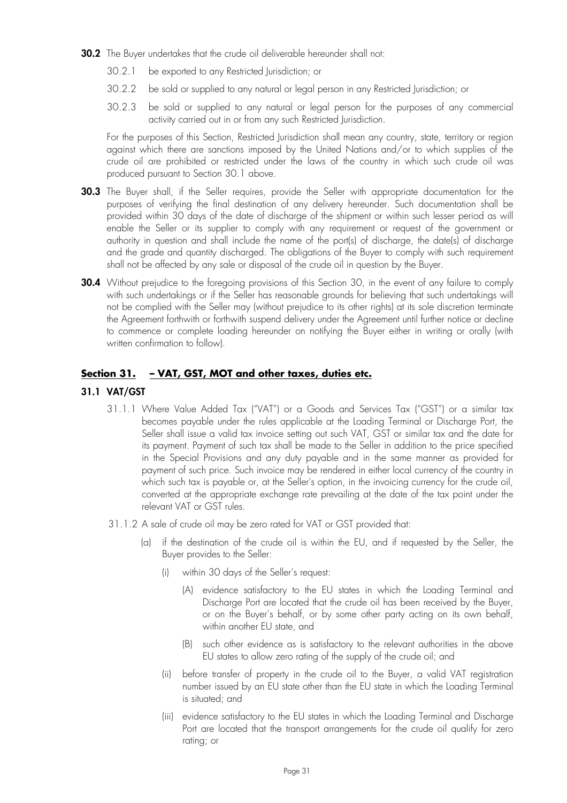- **30.2** The Buyer undertakes that the crude oil deliverable hereunder shall not:
	- 30.2.1 be exported to any Restricted Jurisdiction; or
	- 30.2.2 be sold or supplied to any natural or legal person in any Restricted Jurisdiction; or
	- 30.2.3 be sold or supplied to any natural or legal person for the purposes of any commercial activity carried out in or from any such Restricted Jurisdiction.

For the purposes of this Section, Restricted Jurisdiction shall mean any country, state, territory or region against which there are sanctions imposed by the United Nations and/or to which supplies of the crude oil are prohibited or restricted under the laws of the country in which such crude oil was produced pursuant to Section 30.1 above.

- **30.3** The Buyer shall, if the Seller requires, provide the Seller with appropriate documentation for the purposes of verifying the final destination of any delivery hereunder. Such documentation shall be provided within 30 days of the date of discharge of the shipment or within such lesser period as will enable the Seller or its supplier to comply with any requirement or request of the government or authority in question and shall include the name of the port(s) of discharge, the date(s) of discharge and the grade and quantity discharged. The obligations of the Buyer to comply with such requirement shall not be affected by any sale or disposal of the crude oil in question by the Buyer.
- **30.4** Without prejudice to the foregoing provisions of this Section 30, in the event of any failure to comply with such undertakings or if the Seller has reasonable grounds for believing that such undertakings will not be complied with the Seller may (without prejudice to its other rights) at its sole discretion terminate the Agreement forthwith or forthwith suspend delivery under the Agreement until further notice or decline to commence or complete loading hereunder on notifying the Buyer either in writing or orally (with written confirmation to follow).

## **Section 31. – VAT, GST, MOT and other taxes, duties etc.**

## **31.1 VAT/GST**

- 31.1.1 Where Value Added Tax ("VAT") or a Goods and Services Tax ("GST") or a similar tax becomes payable under the rules applicable at the Loading Terminal or Discharge Port, the Seller shall issue a valid tax invoice setting out such VAT, GST or similar tax and the date for its payment. Payment of such tax shall be made to the Seller in addition to the price specified in the Special Provisions and any duty payable and in the same manner as provided for payment of such price. Such invoice may be rendered in either local currency of the country in which such tax is payable or, at the Seller's option, in the invoicing currency for the crude oil, converted at the appropriate exchange rate prevailing at the date of the tax point under the relevant VAT or GST rules.
- 31.1.2 A sale of crude oil may be zero rated for VAT or GST provided that:
	- (a) if the destination of the crude oil is within the EU, and if requested by the Seller, the Buyer provides to the Seller:
		- (i) within 30 days of the Seller's request:
			- (A) evidence satisfactory to the EU states in which the Loading Terminal and Discharge Port are located that the crude oil has been received by the Buyer, or on the Buyer's behalf, or by some other party acting on its own behalf, within another EU state, and
			- (B) such other evidence as is satisfactory to the relevant authorities in the above EU states to allow zero rating of the supply of the crude oil; and
		- (ii) before transfer of property in the crude oil to the Buyer, a valid VAT registration number issued by an EU state other than the EU state in which the Loading Terminal is situated; and
		- (iii) evidence satisfactory to the EU states in which the Loading Terminal and Discharge Port are located that the transport arrangements for the crude oil qualify for zero rating; or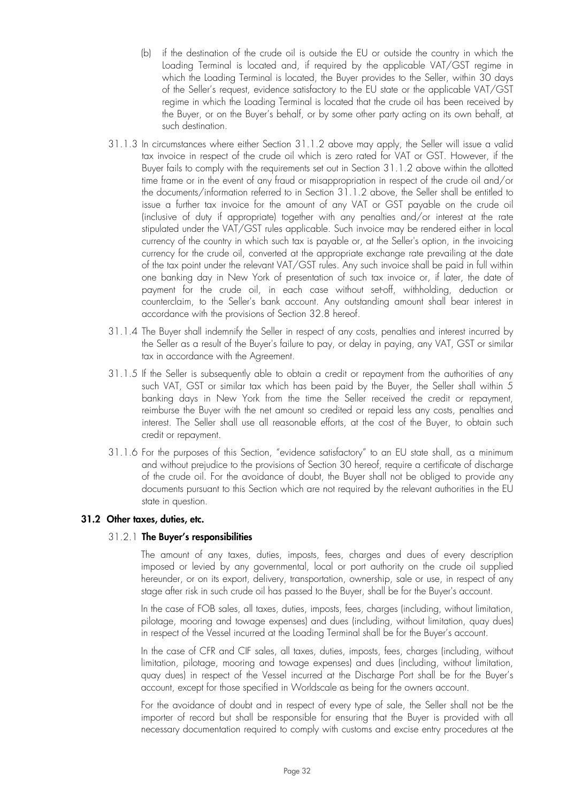- (b) if the destination of the crude oil is outside the EU or outside the country in which the Loading Terminal is located and, if required by the applicable VAT/GST regime in which the Loading Terminal is located, the Buyer provides to the Seller, within 30 days of the Seller's request, evidence satisfactory to the EU state or the applicable VAT/GST regime in which the Loading Terminal is located that the crude oil has been received by the Buyer, or on the Buyer's behalf, or by some other party acting on its own behalf, at such destination.
- 31.1.3 In circumstances where either Section 31.1.2 above may apply, the Seller will issue a valid tax invoice in respect of the crude oil which is zero rated for VAT or GST. However, if the Buyer fails to comply with the requirements set out in Section 31.1.2 above within the allotted time frame or in the event of any fraud or misappropriation in respect of the crude oil and/or the documents/information referred to in Section 31.1.2 above, the Seller shall be entitled to issue a further tax invoice for the amount of any VAT or GST payable on the crude oil (inclusive of duty if appropriate) together with any penalties and/or interest at the rate stipulated under the VAT/GST rules applicable. Such invoice may be rendered either in local currency of the country in which such tax is payable or, at the Seller's option, in the invoicing currency for the crude oil, converted at the appropriate exchange rate prevailing at the date of the tax point under the relevant VAT/GST rules. Any such invoice shall be paid in full within one banking day in New York of presentation of such tax invoice or, if later, the date of payment for the crude oil, in each case without set-off, withholding, deduction or counterclaim, to the Seller's bank account. Any outstanding amount shall bear interest in accordance with the provisions of Section 32.8 hereof.
- 31.1.4 The Buyer shall indemnify the Seller in respect of any costs, penalties and interest incurred by the Seller as a result of the Buyer's failure to pay, or delay in paying, any VAT, GST or similar tax in accordance with the Agreement.
- 31.1.5 If the Seller is subsequently able to obtain a credit or repayment from the authorities of any such VAT, GST or similar tax which has been paid by the Buyer, the Seller shall within 5 banking days in New York from the time the Seller received the credit or repayment, reimburse the Buyer with the net amount so credited or repaid less any costs, penalties and interest. The Seller shall use all reasonable efforts, at the cost of the Buyer, to obtain such credit or repayment.
- 31.1.6 For the purposes of this Section, "evidence satisfactory" to an EU state shall, as a minimum and without prejudice to the provisions of Section 30 hereof, require a certificate of discharge of the crude oil. For the avoidance of doubt, the Buyer shall not be obliged to provide any documents pursuant to this Section which are not required by the relevant authorities in the EU state in question.

#### **31.2 Other taxes, duties, etc.**

#### 31.2.1 **The Buyer's responsibilities**

The amount of any taxes, duties, imposts, fees, charges and dues of every description imposed or levied by any governmental, local or port authority on the crude oil supplied hereunder, or on its export, delivery, transportation, ownership, sale or use, in respect of any stage after risk in such crude oil has passed to the Buyer, shall be for the Buyer's account.

In the case of FOB sales, all taxes, duties, imposts, fees, charges (including, without limitation, pilotage, mooring and towage expenses) and dues (including, without limitation, quay dues) in respect of the Vessel incurred at the Loading Terminal shall be for the Buyer's account.

In the case of CFR and CIF sales, all taxes, duties, imposts, fees, charges (including, without limitation, pilotage, mooring and towage expenses) and dues (including, without limitation, quay dues) in respect of the Vessel incurred at the Discharge Port shall be for the Buyer's account, except for those specified in Worldscale as being for the owners account.

For the avoidance of doubt and in respect of every type of sale, the Seller shall not be the importer of record but shall be responsible for ensuring that the Buyer is provided with all necessary documentation required to comply with customs and excise entry procedures at the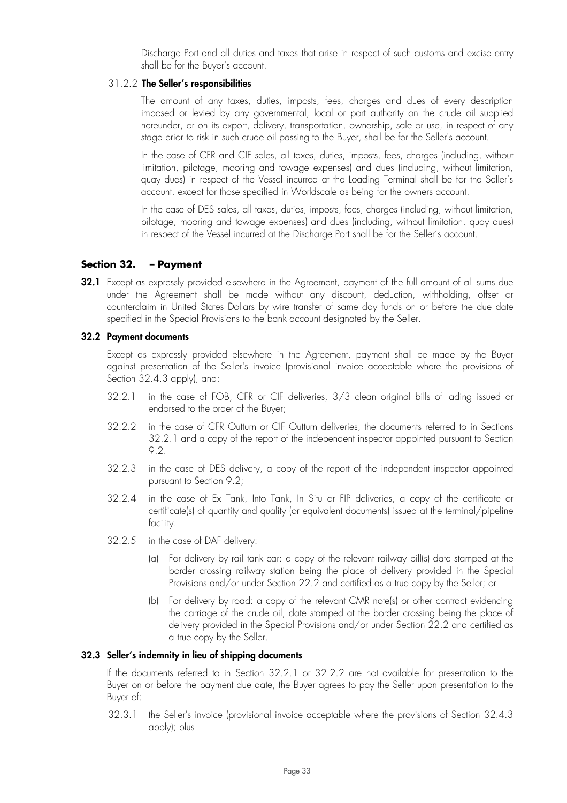Discharge Port and all duties and taxes that arise in respect of such customs and excise entry shall be for the Buyer's account.

#### 31.2.2 **The Seller's responsibilities**

The amount of any taxes, duties, imposts, fees, charges and dues of every description imposed or levied by any governmental, local or port authority on the crude oil supplied hereunder, or on its export, delivery, transportation, ownership, sale or use, in respect of any stage prior to risk in such crude oil passing to the Buyer, shall be for the Seller's account.

In the case of CFR and CIF sales, all taxes, duties, imposts, fees, charges (including, without limitation, pilotage, mooring and towage expenses) and dues (including, without limitation, quay dues) in respect of the Vessel incurred at the Loading Terminal shall be for the Seller's account, except for those specified in Worldscale as being for the owners account.

In the case of DES sales, all taxes, duties, imposts, fees, charges (including, without limitation, pilotage, mooring and towage expenses) and dues (including, without limitation, quay dues) in respect of the Vessel incurred at the Discharge Port shall be for the Seller's account.

## **Section 32. – Payment**

**32.1** Except as expressly provided elsewhere in the Agreement, payment of the full amount of all sums due under the Agreement shall be made without any discount, deduction, withholding, offset or counterclaim in United States Dollars by wire transfer of same day funds on or before the due date specified in the Special Provisions to the bank account designated by the Seller.

#### **32.2 Payment documents**

Except as expressly provided elsewhere in the Agreement, payment shall be made by the Buyer against presentation of the Seller's invoice (provisional invoice acceptable where the provisions of Section 32.4.3 apply), and:

- 32.2.1 in the case of FOB, CFR or CIF deliveries, 3/3 clean original bills of lading issued or endorsed to the order of the Buyer;
- 32.2.2 in the case of CFR Outturn or CIF Outturn deliveries, the documents referred to in Sections 32.2.1 and a copy of the report of the independent inspector appointed pursuant to Section 9.2.
- 32.2.3 in the case of DES delivery, a copy of the report of the independent inspector appointed pursuant to Section 9.2;
- 32.2.4 in the case of Ex Tank, Into Tank, In Situ or FIP deliveries, a copy of the certificate or certificate(s) of quantity and quality (or equivalent documents) issued at the terminal/pipeline facility.
- 32.2.5 in the case of DAF delivery:
	- (a) For delivery by rail tank car: a copy of the relevant railway bill(s) date stamped at the border crossing railway station being the place of delivery provided in the Special Provisions and/or under Section 22.2 and certified as a true copy by the Seller; or
	- (b) For delivery by road: a copy of the relevant CMR note(s) or other contract evidencing the carriage of the crude oil, date stamped at the border crossing being the place of delivery provided in the Special Provisions and/or under Section 22.2 and certified as a true copy by the Seller.

#### **32.3 Seller's indemnity in lieu of shipping documents**

If the documents referred to in Section 32.2.1 or 32.2.2 are not available for presentation to the Buyer on or before the payment due date, the Buyer agrees to pay the Seller upon presentation to the Buyer of:

32.3.1 the Seller's invoice (provisional invoice acceptable where the provisions of Section 32.4.3 apply); plus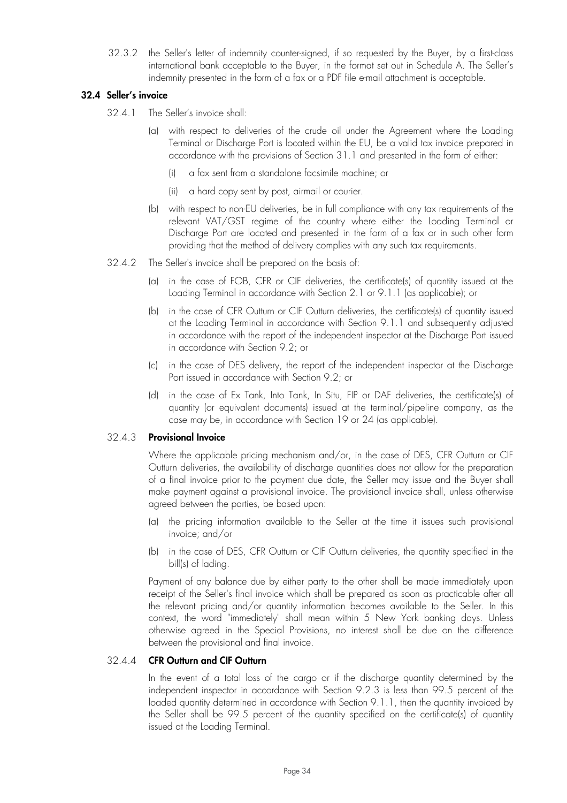32.3.2 the Seller's letter of indemnity counter-signed, if so requested by the Buyer, by a first-class international bank acceptable to the Buyer, in the format set out in Schedule A. The Seller's indemnity presented in the form of a fax or a PDF file e-mail attachment is acceptable.

#### **32.4 Seller's invoice**

- 32.4.1 The Seller's invoice shall:
	- (a) with respect to deliveries of the crude oil under the Agreement where the Loading Terminal or Discharge Port is located within the EU, be a valid tax invoice prepared in accordance with the provisions of Section 31.1 and presented in the form of either:
		- (i) a fax sent from a standalone facsimile machine; or
		- (ii) a hard copy sent by post, airmail or courier.
	- (b) with respect to non-EU deliveries, be in full compliance with any tax requirements of the relevant VAT/GST regime of the country where either the Loading Terminal or Discharge Port are located and presented in the form of a fax or in such other form providing that the method of delivery complies with any such tax requirements.
- 32.4.2 The Seller's invoice shall be prepared on the basis of:
	- (a) in the case of FOB, CFR or CIF deliveries, the certificate(s) of quantity issued at the Loading Terminal in accordance with Section 2.1 or 9.1.1 (as applicable); or
	- (b) in the case of CFR Outturn or CIF Outturn deliveries, the certificate(s) of quantity issued at the Loading Terminal in accordance with Section 9.1.1 and subsequently adjusted in accordance with the report of the independent inspector at the Discharge Port issued in accordance with Section 9.2; or
	- (c) in the case of DES delivery, the report of the independent inspector at the Discharge Port issued in accordance with Section 9.2; or
	- (d) in the case of Ex Tank, Into Tank, In Situ, FIP or DAF deliveries, the certificate(s) of quantity (or equivalent documents) issued at the terminal/pipeline company, as the case may be, in accordance with Section 19 or 24 (as applicable).

## 32.4.3 **Provisional Invoice**

Where the applicable pricing mechanism and/or, in the case of DES, CFR Outturn or CIF Outturn deliveries, the availability of discharge quantities does not allow for the preparation of a final invoice prior to the payment due date, the Seller may issue and the Buyer shall make payment against a provisional invoice. The provisional invoice shall, unless otherwise agreed between the parties, be based upon:

- (a) the pricing information available to the Seller at the time it issues such provisional invoice; and/or
- (b) in the case of DES, CFR Outturn or CIF Outturn deliveries, the quantity specified in the bill(s) of lading.

Payment of any balance due by either party to the other shall be made immediately upon receipt of the Seller's final invoice which shall be prepared as soon as practicable after all the relevant pricing and/or quantity information becomes available to the Seller. In this context, the word "immediately" shall mean within 5 New York banking days. Unless otherwise agreed in the Special Provisions, no interest shall be due on the difference between the provisional and final invoice.

## 32.4.4 **CFR Outturn and CIF Outturn**

In the event of a total loss of the cargo or if the discharge quantity determined by the independent inspector in accordance with Section 9.2.3 is less than 99.5 percent of the loaded quantity determined in accordance with Section 9.1.1, then the quantity invoiced by the Seller shall be 99.5 percent of the quantity specified on the certificate(s) of quantity issued at the Loading Terminal.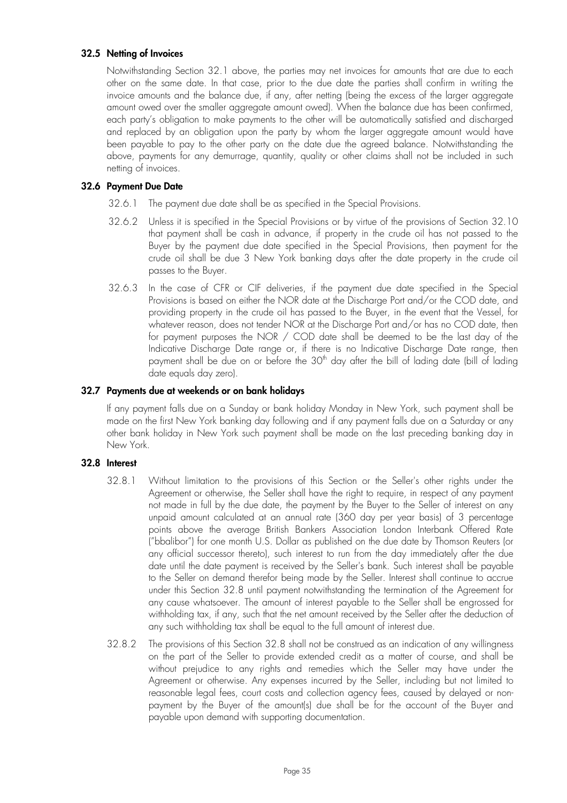### **32.5 Netting of Invoices**

Notwithstanding Section 32.1 above, the parties may net invoices for amounts that are due to each other on the same date. In that case, prior to the due date the parties shall confirm in writing the invoice amounts and the balance due, if any, after netting (being the excess of the larger aggregate amount owed over the smaller aggregate amount owed). When the balance due has been confirmed, each party's obligation to make payments to the other will be automatically satisfied and discharged and replaced by an obligation upon the party by whom the larger aggregate amount would have been payable to pay to the other party on the date due the agreed balance. Notwithstanding the above, payments for any demurrage, quantity, quality or other claims shall not be included in such netting of invoices.

#### **32.6 Payment Due Date**

- 32.6.1 The payment due date shall be as specified in the Special Provisions.
- 32.6.2 Unless it is specified in the Special Provisions or by virtue of the provisions of Section 32.10 that payment shall be cash in advance, if property in the crude oil has not passed to the Buyer by the payment due date specified in the Special Provisions, then payment for the crude oil shall be due 3 New York banking days after the date property in the crude oil passes to the Buyer.
- 32.6.3 In the case of CFR or CIF deliveries, if the payment due date specified in the Special Provisions is based on either the NOR date at the Discharge Port and/or the COD date, and providing property in the crude oil has passed to the Buyer, in the event that the Vessel, for whatever reason, does not tender NOR at the Discharge Port and/or has no COD date, then for payment purposes the NOR / COD date shall be deemed to be the last day of the Indicative Discharge Date range or, if there is no Indicative Discharge Date range, then payment shall be due on or before the 30<sup>th</sup> day after the bill of lading date (bill of lading date equals day zero).

## **32.7 Payments due at weekends or on bank holidays**

If any payment falls due on a Sunday or bank holiday Monday in New York, such payment shall be made on the first New York banking day following and if any payment falls due on a Saturday or any other bank holiday in New York such payment shall be made on the last preceding banking day in New York.

## **32.8 Interest**

- 32.8.1 Without limitation to the provisions of this Section or the Seller's other rights under the Agreement or otherwise, the Seller shall have the right to require, in respect of any payment not made in full by the due date, the payment by the Buyer to the Seller of interest on any unpaid amount calculated at an annual rate (360 day per year basis) of 3 percentage points above the average British Bankers Association London Interbank Offered Rate ("bbalibor") for one month U.S. Dollar as published on the due date by Thomson Reuters (or any official successor thereto), such interest to run from the day immediately after the due date until the date payment is received by the Seller's bank. Such interest shall be payable to the Seller on demand therefor being made by the Seller. Interest shall continue to accrue under this Section 32.8 until payment notwithstanding the termination of the Agreement for any cause whatsoever. The amount of interest payable to the Seller shall be engrossed for withholding tax, if any, such that the net amount received by the Seller after the deduction of any such withholding tax shall be equal to the full amount of interest due.
- 32.8.2 The provisions of this Section 32.8 shall not be construed as an indication of any willingness on the part of the Seller to provide extended credit as a matter of course, and shall be without prejudice to any rights and remedies which the Seller may have under the Agreement or otherwise. Any expenses incurred by the Seller, including but not limited to reasonable legal fees, court costs and collection agency fees, caused by delayed or nonpayment by the Buyer of the amount(s) due shall be for the account of the Buyer and payable upon demand with supporting documentation.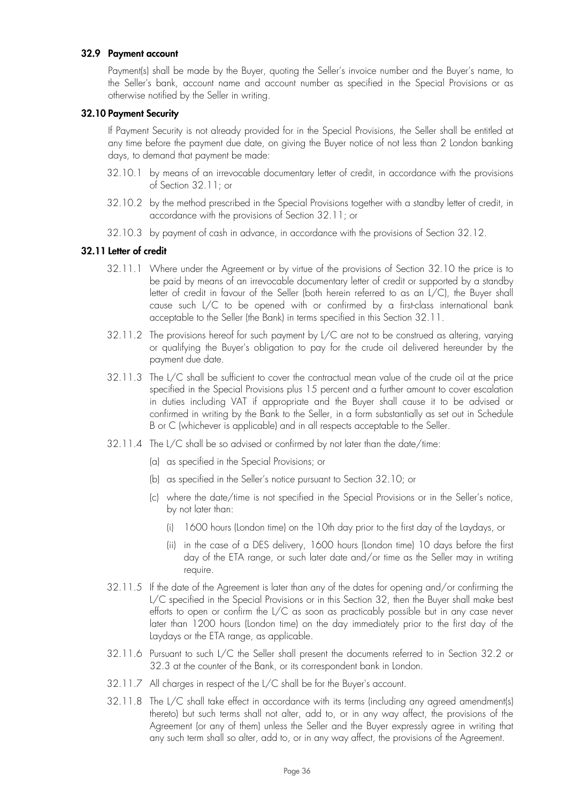#### **32.9 Payment account**

Payment(s) shall be made by the Buyer, quoting the Seller's invoice number and the Buyer's name, to the Seller's bank, account name and account number as specified in the Special Provisions or as otherwise notified by the Seller in writing.

#### **32.10 Payment Security**

If Payment Security is not already provided for in the Special Provisions, the Seller shall be entitled at any time before the payment due date, on giving the Buyer notice of not less than 2 London banking days, to demand that payment be made:

- 32.10.1 by means of an irrevocable documentary letter of credit, in accordance with the provisions of Section 32.11; or
- 32.10.2 by the method prescribed in the Special Provisions together with a standby letter of credit, in accordance with the provisions of Section 32.11; or
- 32.10.3 by payment of cash in advance, in accordance with the provisions of Section 32.12.

#### **32.11 Letter of credit**

- 32.11.1 Where under the Agreement or by virtue of the provisions of Section 32.10 the price is to be paid by means of an irrevocable documentary letter of credit or supported by a standby letter of credit in favour of the Seller (both herein referred to as an L/C), the Buyer shall cause such L/C to be opened with or confirmed by a first-class international bank acceptable to the Seller (the Bank) in terms specified in this Section 32.11.
- 32.11.2 The provisions hereof for such payment by L/C are not to be construed as altering, varying or qualifying the Buyer's obligation to pay for the crude oil delivered hereunder by the payment due date.
- 32.11.3 The L/C shall be sufficient to cover the contractual mean value of the crude oil at the price specified in the Special Provisions plus 15 percent and a further amount to cover escalation in duties including VAT if appropriate and the Buyer shall cause it to be advised or confirmed in writing by the Bank to the Seller, in a form substantially as set out in Schedule B or C (whichever is applicable) and in all respects acceptable to the Seller.
- 32.11.4 The L/C shall be so advised or confirmed by not later than the date/time:
	- (a) as specified in the Special Provisions; or
	- (b) as specified in the Seller's notice pursuant to Section 32.10; or
	- (c) where the date/time is not specified in the Special Provisions or in the Seller's notice, by not later than:
		- (i) 1600 hours (London time) on the 10th day prior to the first day of the Laydays, or
		- (ii) in the case of a DES delivery, 1600 hours (London time) 10 days before the first day of the ETA range, or such later date and/or time as the Seller may in writing require.
- 32.11.5 If the date of the Agreement is later than any of the dates for opening and/or confirming the L/C specified in the Special Provisions or in this Section 32, then the Buyer shall make best efforts to open or confirm the L/C as soon as practicably possible but in any case never later than 1200 hours (London time) on the day immediately prior to the first day of the Laydays or the ETA range, as applicable.
- 32.11.6 Pursuant to such L/C the Seller shall present the documents referred to in Section 32.2 or 32.3 at the counter of the Bank, or its correspondent bank in London.
- 32.11.7 All charges in respect of the L/C shall be for the Buyer's account.
- 32.11.8 The L/C shall take effect in accordance with its terms (including any agreed amendment(s) thereto) but such terms shall not alter, add to, or in any way affect, the provisions of the Agreement (or any of them) unless the Seller and the Buyer expressly agree in writing that any such term shall so alter, add to, or in any way affect, the provisions of the Agreement.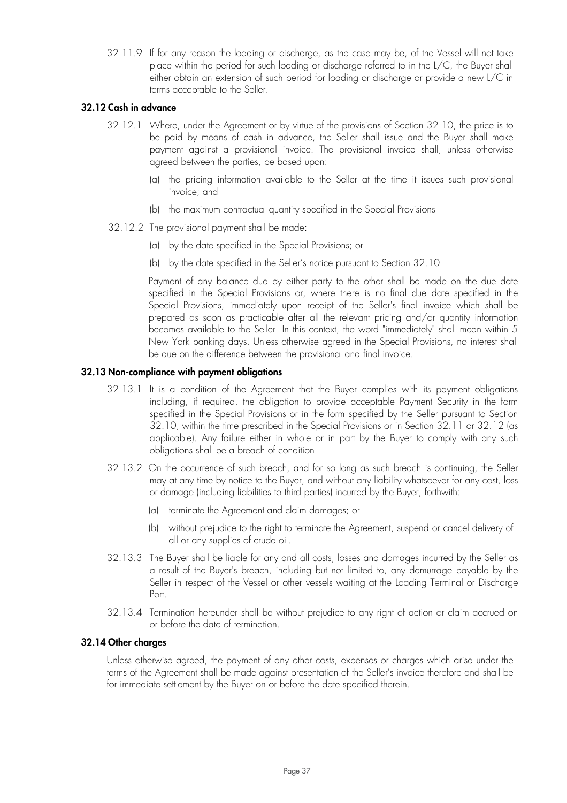32.11.9 If for any reason the loading or discharge, as the case may be, of the Vessel will not take place within the period for such loading or discharge referred to in the L/C, the Buyer shall either obtain an extension of such period for loading or discharge or provide a new L/C in terms acceptable to the Seller.

## **32.12 Cash in advance**

- 32.12.1 Where, under the Agreement or by virtue of the provisions of Section 32.10, the price is to be paid by means of cash in advance, the Seller shall issue and the Buyer shall make payment against a provisional invoice. The provisional invoice shall, unless otherwise agreed between the parties, be based upon:
	- (a) the pricing information available to the Seller at the time it issues such provisional invoice; and
	- (b) the maximum contractual quantity specified in the Special Provisions
- 32.12.2 The provisional payment shall be made:
	- (a) by the date specified in the Special Provisions; or
	- (b) by the date specified in the Seller's notice pursuant to Section 32.10

Payment of any balance due by either party to the other shall be made on the due date specified in the Special Provisions or, where there is no final due date specified in the Special Provisions, immediately upon receipt of the Seller's final invoice which shall be prepared as soon as practicable after all the relevant pricing and/or quantity information becomes available to the Seller. In this context, the word "immediately" shall mean within 5 New York banking days. Unless otherwise agreed in the Special Provisions, no interest shall be due on the difference between the provisional and final invoice.

#### **32.13 Non-compliance with payment obligations**

- 32.13.1 It is a condition of the Agreement that the Buyer complies with its payment obligations including, if required, the obligation to provide acceptable Payment Security in the form specified in the Special Provisions or in the form specified by the Seller pursuant to Section 32.10, within the time prescribed in the Special Provisions or in Section 32.11 or 32.12 (as applicable). Any failure either in whole or in part by the Buyer to comply with any such obligations shall be a breach of condition.
- 32.13.2 On the occurrence of such breach, and for so long as such breach is continuing, the Seller may at any time by notice to the Buyer, and without any liability whatsoever for any cost, loss or damage (including liabilities to third parties) incurred by the Buyer, forthwith:
	- (a) terminate the Agreement and claim damages; or
	- (b) without prejudice to the right to terminate the Agreement, suspend or cancel delivery of all or any supplies of crude oil.
- 32.13.3 The Buyer shall be liable for any and all costs, losses and damages incurred by the Seller as a result of the Buyer's breach, including but not limited to, any demurrage payable by the Seller in respect of the Vessel or other vessels waiting at the Loading Terminal or Discharge Port.
- 32.13.4 Termination hereunder shall be without prejudice to any right of action or claim accrued on or before the date of termination.

## **32.14 Other charges**

Unless otherwise agreed, the payment of any other costs, expenses or charges which arise under the terms of the Agreement shall be made against presentation of the Seller's invoice therefore and shall be for immediate settlement by the Buyer on or before the date specified therein.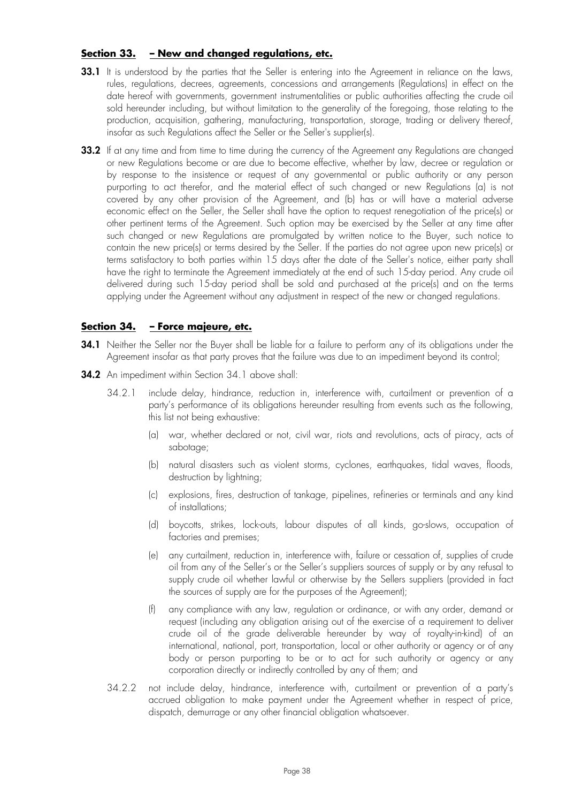## **Section 33. – New and changed regulations, etc.**

- **33.1** It is understood by the parties that the Seller is entering into the Agreement in reliance on the laws, rules, regulations, decrees, agreements, concessions and arrangements (Regulations) in effect on the date hereof with governments, government instrumentalities or public authorities affecting the crude oil sold hereunder including, but without limitation to the generality of the foregoing, those relating to the production, acquisition, gathering, manufacturing, transportation, storage, trading or delivery thereof, insofar as such Regulations affect the Seller or the Seller's supplier(s).
- **33.2** If at any time and from time to time during the currency of the Agreement any Regulations are changed or new Regulations become or are due to become effective, whether by law, decree or regulation or by response to the insistence or request of any governmental or public authority or any person purporting to act therefor, and the material effect of such changed or new Regulations (a) is not covered by any other provision of the Agreement, and (b) has or will have a material adverse economic effect on the Seller, the Seller shall have the option to request renegotiation of the price(s) or other pertinent terms of the Agreement. Such option may be exercised by the Seller at any time after such changed or new Regulations are promulgated by written notice to the Buyer, such notice to contain the new price(s) or terms desired by the Seller. If the parties do not agree upon new price(s) or terms satisfactory to both parties within 15 days after the date of the Seller's notice, either party shall have the right to terminate the Agreement immediately at the end of such 15-day period. Any crude oil delivered during such 15-day period shall be sold and purchased at the price(s) and on the terms applying under the Agreement without any adjustment in respect of the new or changed regulations.

## **Section 34. – Force majeure, etc.**

- **34.1** Neither the Seller nor the Buyer shall be liable for a failure to perform any of its obligations under the Agreement insofar as that party proves that the failure was due to an impediment beyond its control;
- **34.2** An impediment within Section 34.1 above shall:
	- 34.2.1 include delay, hindrance, reduction in, interference with, curtailment or prevention of a party's performance of its obligations hereunder resulting from events such as the following, this list not being exhaustive:
		- (a) war, whether declared or not, civil war, riots and revolutions, acts of piracy, acts of sabotage;
		- (b) natural disasters such as violent storms, cyclones, earthquakes, tidal waves, floods, destruction by lightning;
		- (c) explosions, fires, destruction of tankage, pipelines, refineries or terminals and any kind of installations;
		- (d) boycotts, strikes, lock-outs, labour disputes of all kinds, go-slows, occupation of factories and premises;
		- (e) any curtailment, reduction in, interference with, failure or cessation of, supplies of crude oil from any of the Seller's or the Seller's suppliers sources of supply or by any refusal to supply crude oil whether lawful or otherwise by the Sellers suppliers (provided in fact the sources of supply are for the purposes of the Agreement);
		- (f) any compliance with any law, regulation or ordinance, or with any order, demand or request (including any obligation arising out of the exercise of a requirement to deliver crude oil of the grade deliverable hereunder by way of royalty-in-kind) of an international, national, port, transportation, local or other authority or agency or of any body or person purporting to be or to act for such authority or agency or any corporation directly or indirectly controlled by any of them; and
	- 34.2.2 not include delay, hindrance, interference with, curtailment or prevention of a party's accrued obligation to make payment under the Agreement whether in respect of price, dispatch, demurrage or any other financial obligation whatsoever.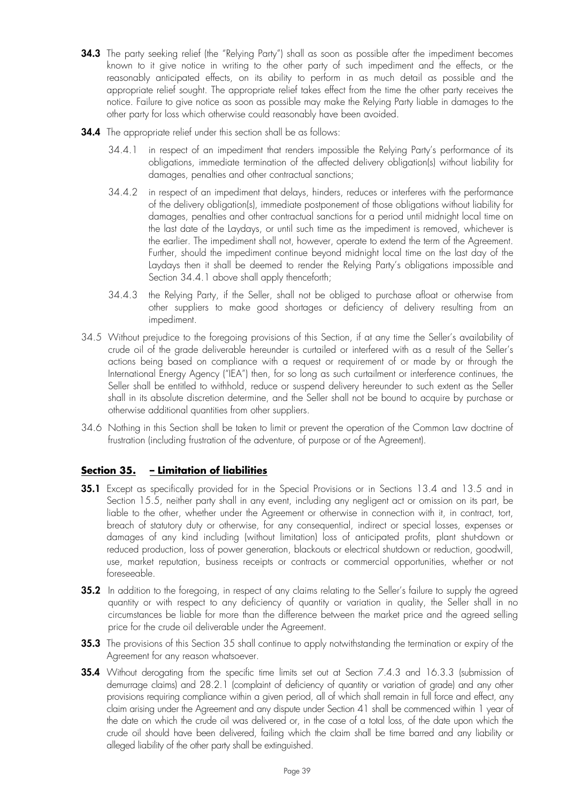- **34.3** The party seeking relief (the "Relying Party") shall as soon as possible after the impediment becomes known to it give notice in writing to the other party of such impediment and the effects, or the reasonably anticipated effects, on its ability to perform in as much detail as possible and the appropriate relief sought. The appropriate relief takes effect from the time the other party receives the notice. Failure to give notice as soon as possible may make the Relying Party liable in damages to the other party for loss which otherwise could reasonably have been avoided.
- **34.4** The appropriate relief under this section shall be as follows:
	- 34.4.1 in respect of an impediment that renders impossible the Relying Party's performance of its obligations, immediate termination of the affected delivery obligation(s) without liability for damages, penalties and other contractual sanctions;
	- 34.4.2 in respect of an impediment that delays, hinders, reduces or interferes with the performance of the delivery obligation(s), immediate postponement of those obligations without liability for damages, penalties and other contractual sanctions for a period until midnight local time on the last date of the Laydays, or until such time as the impediment is removed, whichever is the earlier. The impediment shall not, however, operate to extend the term of the Agreement. Further, should the impediment continue beyond midnight local time on the last day of the Laydays then it shall be deemed to render the Relying Party's obligations impossible and Section 34.4.1 above shall apply thenceforth;
	- 34.4.3 the Relying Party, if the Seller, shall not be obliged to purchase afloat or otherwise from other suppliers to make good shortages or deficiency of delivery resulting from an impediment.
- 34.5 Without prejudice to the foregoing provisions of this Section, if at any time the Seller's availability of crude oil of the grade deliverable hereunder is curtailed or interfered with as a result of the Seller's actions being based on compliance with a request or requirement of or made by or through the International Energy Agency ("IEA") then, for so long as such curtailment or interference continues, the Seller shall be entitled to withhold, reduce or suspend delivery hereunder to such extent as the Seller shall in its absolute discretion determine, and the Seller shall not be bound to acquire by purchase or otherwise additional quantities from other suppliers.
- 34.6 Nothing in this Section shall be taken to limit or prevent the operation of the Common Law doctrine of frustration (including frustration of the adventure, of purpose or of the Agreement).

## **Section 35. – Limitation of liabilities**

- **35.1** Except as specifically provided for in the Special Provisions or in Sections 13.4 and 13.5 and in Section 15.5, neither party shall in any event, including any negligent act or omission on its part, be liable to the other, whether under the Agreement or otherwise in connection with it, in contract, tort, breach of statutory duty or otherwise, for any consequential, indirect or special losses, expenses or damages of any kind including (without limitation) loss of anticipated profits, plant shut-down or reduced production, loss of power generation, blackouts or electrical shutdown or reduction, goodwill, use, market reputation, business receipts or contracts or commercial opportunities, whether or not foreseeable.
- **35.2** In addition to the foregoing, in respect of any claims relating to the Seller's failure to supply the agreed quantity or with respect to any deficiency of quantity or variation in quality, the Seller shall in no circumstances be liable for more than the difference between the market price and the agreed selling price for the crude oil deliverable under the Agreement.
- **35.3** The provisions of this Section 35 shall continue to apply notwithstanding the termination or expiry of the Agreement for any reason whatsoever.
- **35.4** Without derogating from the specific time limits set out at Section 7.4.3 and 16.3.3 (submission of demurrage claims) and 28.2.1 (complaint of deficiency of quantity or variation of grade) and any other provisions requiring compliance within a given period, all of which shall remain in full force and effect, any claim arising under the Agreement and any dispute under Section 41 shall be commenced within 1 year of the date on which the crude oil was delivered or, in the case of a total loss, of the date upon which the crude oil should have been delivered, failing which the claim shall be time barred and any liability or alleged liability of the other party shall be extinguished.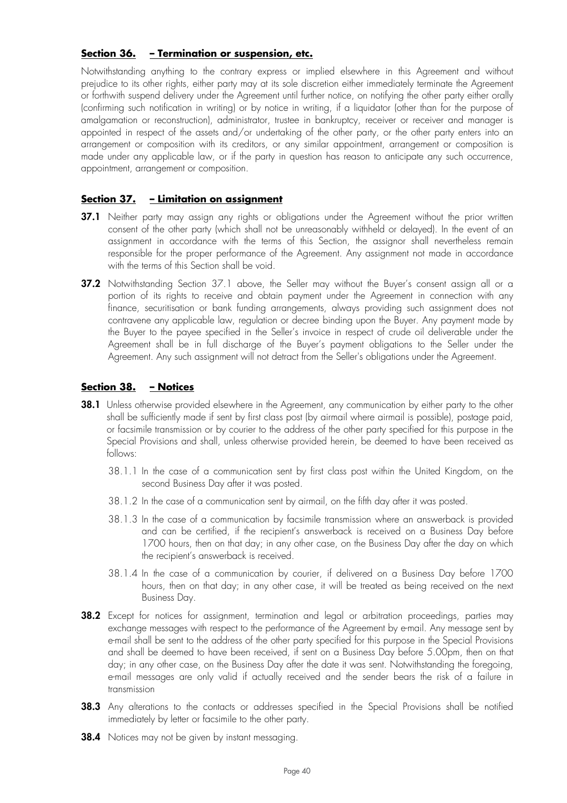## **Section 36. – Termination or suspension, etc.**

Notwithstanding anything to the contrary express or implied elsewhere in this Agreement and without prejudice to its other rights, either party may at its sole discretion either immediately terminate the Agreement or forthwith suspend delivery under the Agreement until further notice, on notifying the other party either orally (confirming such notification in writing) or by notice in writing, if a liquidator (other than for the purpose of amalgamation or reconstruction), administrator, trustee in bankruptcy, receiver or receiver and manager is appointed in respect of the assets and/or undertaking of the other party, or the other party enters into an arrangement or composition with its creditors, or any similar appointment, arrangement or composition is made under any applicable law, or if the party in question has reason to anticipate any such occurrence, appointment, arrangement or composition.

## **Section 37. – Limitation on assignment**

- **37.1** Neither party may assign any rights or obligations under the Agreement without the prior written consent of the other party (which shall not be unreasonably withheld or delayed). In the event of an assignment in accordance with the terms of this Section, the assignor shall nevertheless remain responsible for the proper performance of the Agreement. Any assignment not made in accordance with the terms of this Section shall be void.
- **37.2** Notwithstanding Section 37.1 above, the Seller may without the Buyer's consent assign all or a portion of its rights to receive and obtain payment under the Agreement in connection with any finance, securitisation or bank funding arrangements, always providing such assignment does not contravene any applicable law, regulation or decree binding upon the Buyer. Any payment made by the Buyer to the payee specified in the Seller's invoice in respect of crude oil deliverable under the Agreement shall be in full discharge of the Buyer's payment obligations to the Seller under the Agreement. Any such assignment will not detract from the Seller's obligations under the Agreement.

## **Section 38. – Notices**

- **38.1** Unless otherwise provided elsewhere in the Agreement, any communication by either party to the other shall be sufficiently made if sent by first class post (by airmail where airmail is possible), postage paid, or facsimile transmission or by courier to the address of the other party specified for this purpose in the Special Provisions and shall, unless otherwise provided herein, be deemed to have been received as follows:
	- 38.1.1 In the case of a communication sent by first class post within the United Kingdom, on the second Business Day after it was posted.
	- 38.1.2 In the case of a communication sent by airmail, on the fifth day after it was posted.
	- 38.1.3 In the case of a communication by facsimile transmission where an answerback is provided and can be certified, if the recipient's answerback is received on a Business Day before 1700 hours, then on that day; in any other case, on the Business Day after the day on which the recipient's answerback is received.
	- 38.1.4 In the case of a communication by courier, if delivered on a Business Day before 1700 hours, then on that day; in any other case, it will be treated as being received on the next Business Day.
- **38.2** Except for notices for assignment, termination and legal or arbitration proceedings, parties may exchange messages with respect to the performance of the Agreement by e-mail. Any message sent by e-mail shall be sent to the address of the other party specified for this purpose in the Special Provisions and shall be deemed to have been received, if sent on a Business Day before 5.00pm, then on that day; in any other case, on the Business Day after the date it was sent. Notwithstanding the foregoing, e-mail messages are only valid if actually received and the sender bears the risk of a failure in transmission
- **38.3** Any alterations to the contacts or addresses specified in the Special Provisions shall be notified immediately by letter or facsimile to the other party.
- **38.4** Notices may not be given by instant messaging.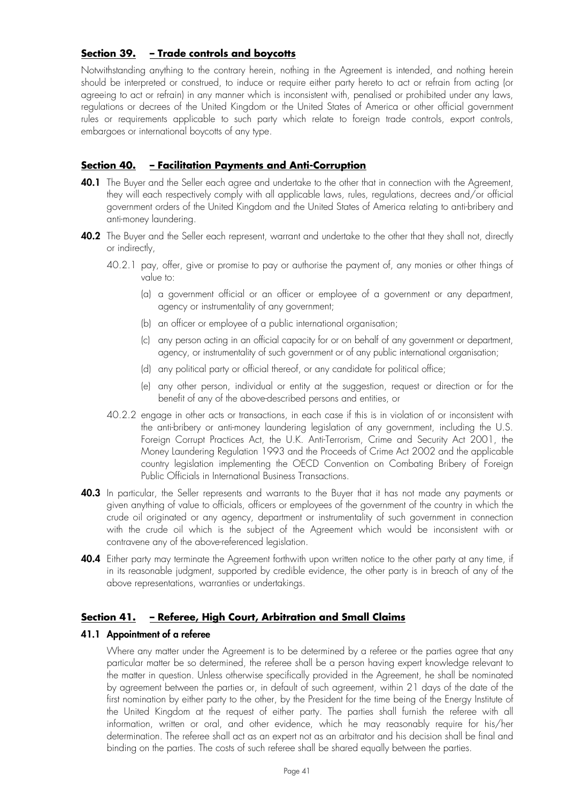## **Section 39. – Trade controls and boycotts**

Notwithstanding anything to the contrary herein, nothing in the Agreement is intended, and nothing herein should be interpreted or construed, to induce or require either party hereto to act or refrain from acting (or agreeing to act or refrain) in any manner which is inconsistent with, penalised or prohibited under any laws, regulations or decrees of the United Kingdom or the United States of America or other official government rules or requirements applicable to such party which relate to foreign trade controls, export controls, embargoes or international boycotts of any type.

## **Section 40. – Facilitation Payments and Anti-Corruption**

- **40.1** The Buyer and the Seller each agree and undertake to the other that in connection with the Agreement, they will each respectively comply with all applicable laws, rules, regulations, decrees and/or official government orders of the United Kingdom and the United States of America relating to anti-bribery and anti-money laundering.
- **40.2** The Buyer and the Seller each represent, warrant and undertake to the other that they shall not, directly or indirectly,
	- 40.2.1 pay, offer, give or promise to pay or authorise the payment of, any monies or other things of value to:
		- (a) a government official or an officer or employee of a government or any department, agency or instrumentality of any government;
		- (b) an officer or employee of a public international organisation;
		- (c) any person acting in an official capacity for or on behalf of any government or department, agency, or instrumentality of such government or of any public international organisation;
		- (d) any political party or official thereof, or any candidate for political office;
		- (e) any other person, individual or entity at the suggestion, request or direction or for the benefit of any of the above-described persons and entities, or
	- 40.2.2 engage in other acts or transactions, in each case if this is in violation of or inconsistent with the anti-bribery or anti-money laundering legislation of any government, including the U.S. Foreign Corrupt Practices Act, the U.K. Anti-Terrorism, Crime and Security Act 2001, the Money Laundering Regulation 1993 and the Proceeds of Crime Act 2002 and the applicable country legislation implementing the OECD Convention on Combating Bribery of Foreign Public Officials in International Business Transactions.
- **40.3** In particular, the Seller represents and warrants to the Buyer that it has not made any payments or given anything of value to officials, officers or employees of the government of the country in which the crude oil originated or any agency, department or instrumentality of such government in connection with the crude oil which is the subject of the Agreement which would be inconsistent with or contravene any of the above-referenced legislation.
- **40.4** Either party may terminate the Agreement forthwith upon written notice to the other party at any time, if in its reasonable judgment, supported by credible evidence, the other party is in breach of any of the above representations, warranties or undertakings.

## **Section 41. – Referee, High Court, Arbitration and Small Claims**

## **41.1 Appointment of a referee**

Where any matter under the Agreement is to be determined by a referee or the parties agree that any particular matter be so determined, the referee shall be a person having expert knowledge relevant to the matter in question. Unless otherwise specifically provided in the Agreement, he shall be nominated by agreement between the parties or, in default of such agreement, within 21 days of the date of the first nomination by either party to the other, by the President for the time being of the Energy Institute of the United Kingdom at the request of either party. The parties shall furnish the referee with all information, written or oral, and other evidence, which he may reasonably require for his/her determination. The referee shall act as an expert not as an arbitrator and his decision shall be final and binding on the parties. The costs of such referee shall be shared equally between the parties.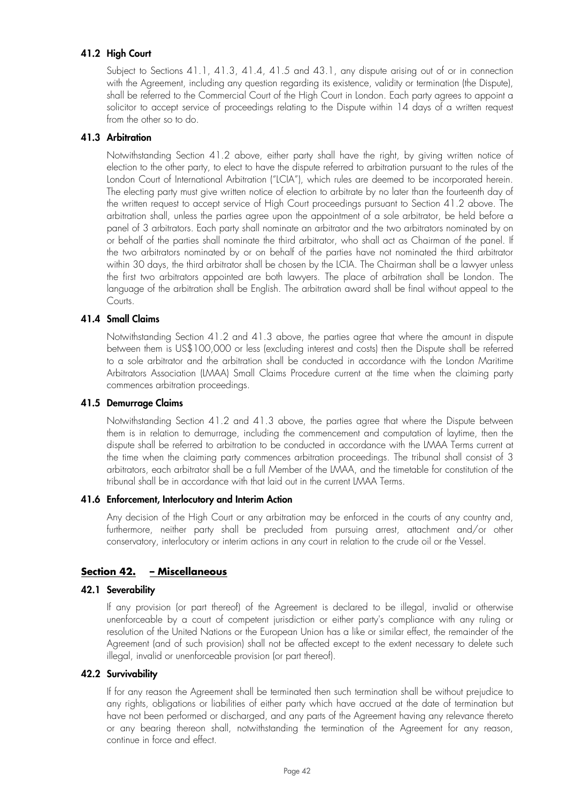## **41.2 High Court**

Subject to Sections 41.1, 41.3, 41.4, 41.5 and 43.1, any dispute arising out of or in connection with the Agreement, including any question regarding its existence, validity or termination (the Dispute), shall be referred to the Commercial Court of the High Court in London. Each party agrees to appoint a solicitor to accept service of proceedings relating to the Dispute within 14 days of a written request from the other so to do.

## **41.3 Arbitration**

Notwithstanding Section 41.2 above, either party shall have the right, by giving written notice of election to the other party, to elect to have the dispute referred to arbitration pursuant to the rules of the London Court of International Arbitration ("LCIA"), which rules are deemed to be incorporated herein. The electing party must give written notice of election to arbitrate by no later than the fourteenth day of the written request to accept service of High Court proceedings pursuant to Section 41.2 above. The arbitration shall, unless the parties agree upon the appointment of a sole arbitrator, be held before a panel of 3 arbitrators. Each party shall nominate an arbitrator and the two arbitrators nominated by on or behalf of the parties shall nominate the third arbitrator, who shall act as Chairman of the panel. If the two arbitrators nominated by or on behalf of the parties have not nominated the third arbitrator within 30 days, the third arbitrator shall be chosen by the LCIA. The Chairman shall be a lawyer unless the first two arbitrators appointed are both lawyers. The place of arbitration shall be London. The language of the arbitration shall be English. The arbitration award shall be final without appeal to the Courts.

## **41.4 Small Claims**

Notwithstanding Section 41.2 and 41.3 above, the parties agree that where the amount in dispute between them is US\$100,000 or less (excluding interest and costs) then the Dispute shall be referred to a sole arbitrator and the arbitration shall be conducted in accordance with the London Maritime Arbitrators Association (LMAA) Small Claims Procedure current at the time when the claiming party commences arbitration proceedings.

## **41.5 Demurrage Claims**

Notwithstanding Section 41.2 and 41.3 above, the parties agree that where the Dispute between them is in relation to demurrage, including the commencement and computation of laytime, then the dispute shall be referred to arbitration to be conducted in accordance with the LMAA Terms current at the time when the claiming party commences arbitration proceedings. The tribunal shall consist of 3 arbitrators, each arbitrator shall be a full Member of the LMAA, and the timetable for constitution of the tribunal shall be in accordance with that laid out in the current LMAA Terms.

## **41.6 Enforcement, Interlocutory and Interim Action**

Any decision of the High Court or any arbitration may be enforced in the courts of any country and, furthermore, neither party shall be precluded from pursuing arrest, attachment and/or other conservatory, interlocutory or interim actions in any court in relation to the crude oil or the Vessel.

## **Section 42. – Miscellaneous**

## **42.1 Severability**

If any provision (or part thereof) of the Agreement is declared to be illegal, invalid or otherwise unenforceable by a court of competent jurisdiction or either party's compliance with any ruling or resolution of the United Nations or the European Union has a like or similar effect, the remainder of the Agreement (and of such provision) shall not be affected except to the extent necessary to delete such illegal, invalid or unenforceable provision (or part thereof).

## **42.2 Survivability**

If for any reason the Agreement shall be terminated then such termination shall be without prejudice to any rights, obligations or liabilities of either party which have accrued at the date of termination but have not been performed or discharged, and any parts of the Agreement having any relevance thereto or any bearing thereon shall, notwithstanding the termination of the Agreement for any reason, continue in force and effect.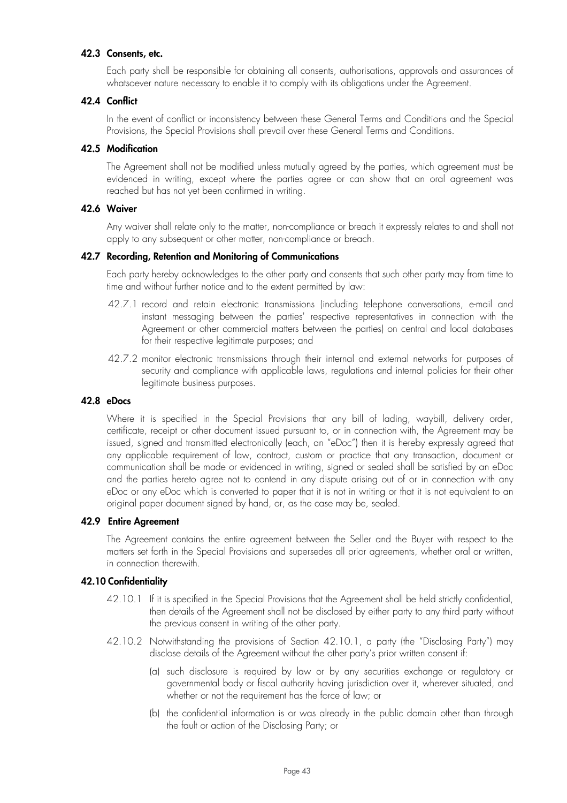#### **42.3 Consents, etc.**

Each party shall be responsible for obtaining all consents, authorisations, approvals and assurances of whatsoever nature necessary to enable it to comply with its obligations under the Agreement.

#### **42.4 Conflict**

In the event of conflict or inconsistency between these General Terms and Conditions and the Special Provisions, the Special Provisions shall prevail over these General Terms and Conditions.

#### **42.5 Modification**

The Agreement shall not be modified unless mutually agreed by the parties, which agreement must be evidenced in writing, except where the parties agree or can show that an oral agreement was reached but has not yet been confirmed in writing.

#### **42.6 Waiver**

Any waiver shall relate only to the matter, non-compliance or breach it expressly relates to and shall not apply to any subsequent or other matter, non-compliance or breach.

#### **42.7 Recording, Retention and Monitoring of Communications**

Each party hereby acknowledges to the other party and consents that such other party may from time to time and without further notice and to the extent permitted by law:

- 42.7.1 record and retain electronic transmissions (including telephone conversations, e-mail and instant messaging between the parties' respective representatives in connection with the Agreement or other commercial matters between the parties) on central and local databases for their respective legitimate purposes; and
- 42.7.2 monitor electronic transmissions through their internal and external networks for purposes of security and compliance with applicable laws, regulations and internal policies for their other legitimate business purposes.

#### **42.8 eDocs**

Where it is specified in the Special Provisions that any bill of lading, waybill, delivery order, certificate, receipt or other document issued pursuant to, or in connection with, the Agreement may be issued, signed and transmitted electronically (each, an "eDoc") then it is hereby expressly agreed that any applicable requirement of law, contract, custom or practice that any transaction, document or communication shall be made or evidenced in writing, signed or sealed shall be satisfied by an eDoc and the parties hereto agree not to contend in any dispute arising out of or in connection with any eDoc or any eDoc which is converted to paper that it is not in writing or that it is not equivalent to an original paper document signed by hand, or, as the case may be, sealed.

#### **42.9 Entire Agreement**

The Agreement contains the entire agreement between the Seller and the Buyer with respect to the matters set forth in the Special Provisions and supersedes all prior agreements, whether oral or written, in connection therewith.

#### **42.10 Confidentiality**

- 42.10.1 If it is specified in the Special Provisions that the Agreement shall be held strictly confidential, then details of the Agreement shall not be disclosed by either party to any third party without the previous consent in writing of the other party.
- 42.10.2 Notwithstanding the provisions of Section 42.10.1, a party (the "Disclosing Party") may disclose details of the Agreement without the other party's prior written consent if:
	- (a) such disclosure is required by law or by any securities exchange or regulatory or governmental body or fiscal authority having jurisdiction over it, wherever situated, and whether or not the requirement has the force of law; or
	- (b) the confidential information is or was already in the public domain other than through the fault or action of the Disclosing Party; or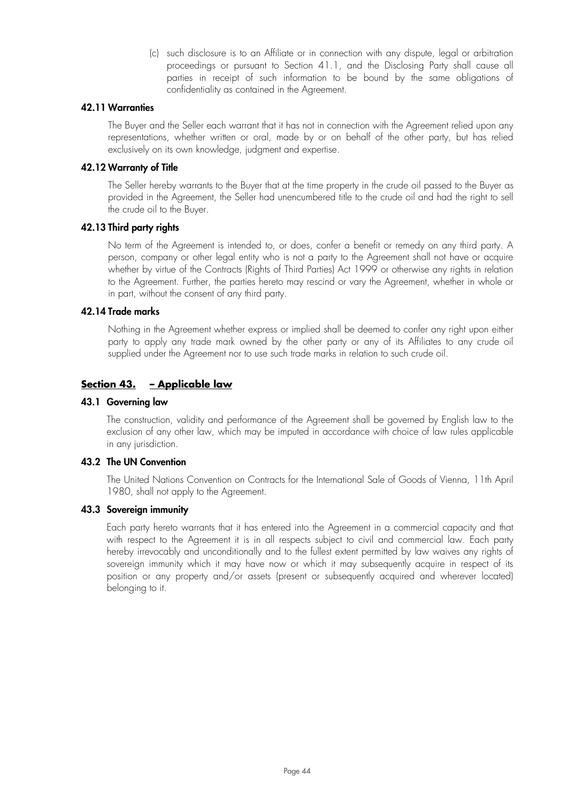(c) such disclosure is to an Affiliate or in connection with any dispute, legal or arbitration proceedings or pursuant to Section 41.1, and the Disclosing Party shall cause all parties in receipt of such information to be bound by the same obligations of confidentiality as contained in the Agreement.

### **42.11 Warranties**

The Buyer and the Seller each warrant that it has not in connection with the Agreement relied upon any representations, whether written or oral, made by or on behalf of the other party, but has relied exclusively on its own knowledge, judgment and expertise.

### **42.12 Warranty of Title**

The Seller hereby warrants to the Buyer that at the time property in the crude oil passed to the Buyer as provided in the Agreement, the Seller had unencumbered title to the crude oil and had the right to sell the crude oil to the Buyer.

#### **42.13 Third party rights**

No term of the Agreement is intended to, or does, confer a benefit or remedy on any third party. A person, company or other legal entity who is not a party to the Agreement shall not have or acquire whether by virtue of the Contracts (Rights of Third Parties) Act 1999 or otherwise any rights in relation to the Agreement. Further, the parties hereto may rescind or vary the Agreement, whether in whole or in part, without the consent of any third party.

#### **42.14 Trade marks**

Nothing in the Agreement whether express or implied shall be deemed to confer any right upon either party to apply any trade mark owned by the other party or any of its Affiliates to any crude oil supplied under the Agreement nor to use such trade marks in relation to such crude oil.

## **Section 43. – Applicable law**

#### **43.1 Governing law**

The construction, validity and performance of the Agreement shall be governed by English law to the exclusion of any other law, which may be imputed in accordance with choice of law rules applicable in any jurisdiction.

#### **43.2 The UN Convention**

The United Nations Convention on Contracts for the International Sale of Goods of Vienna, 11th April 1980, shall not apply to the Agreement.

#### **43.3 Sovereign immunity**

Each party hereto warrants that it has entered into the Agreement in a commercial capacity and that with respect to the Agreement it is in all respects subject to civil and commercial law. Each party hereby irrevocably and unconditionally and to the fullest extent permitted by law waives any rights of sovereign immunity which it may have now or which it may subsequently acquire in respect of its position or any property and/or assets (present or subsequently acquired and wherever located) belonging to it.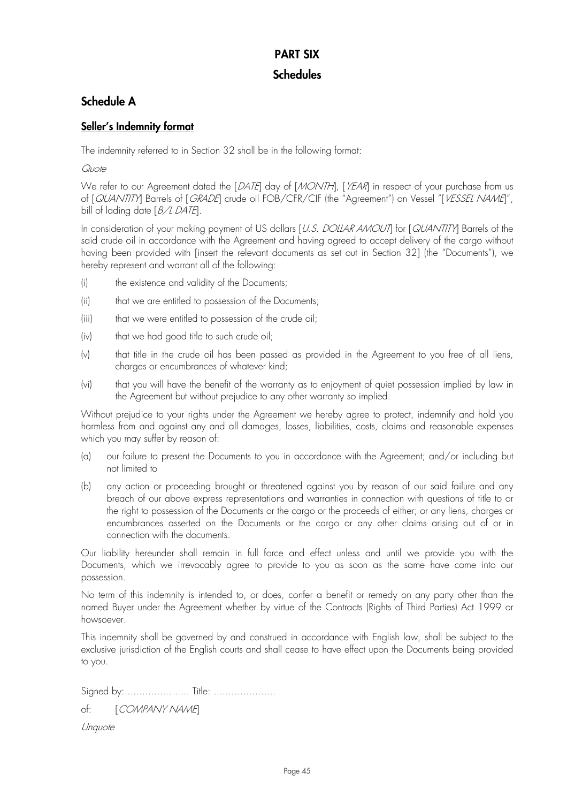## **PART SIX Schedules**

## **Schedule A**

## **Seller's Indemnity format**

The indemnity referred to in Section 32 shall be in the following format:

Quote

We refer to our Agreement dated the [DATE] day of [MONTH], [YEAR] in respect of your purchase from us of [QUANTITY] Barrels of [GRADE] crude oil FOB/CFR/CIF (the "Agreement") on Vessel "[VESSEL NAME]", bill of lading date [B/L DATE].

In consideration of your making payment of US dollars [U.S. DOLLAR AMOUT] for [QUANTITY] Barrels of the said crude oil in accordance with the Agreement and having agreed to accept delivery of the cargo without having been provided with [insert the relevant documents as set out in Section 32] (the "Documents"), we hereby represent and warrant all of the following:

- (i) the existence and validity of the Documents;
- (ii) that we are entitled to possession of the Documents;
- (iii) that we were entitled to possession of the crude oil;
- (iv) that we had good title to such crude oil;
- (v) that title in the crude oil has been passed as provided in the Agreement to you free of all liens, charges or encumbrances of whatever kind;
- (vi) that you will have the benefit of the warranty as to enjoyment of quiet possession implied by law in the Agreement but without prejudice to any other warranty so implied.

Without prejudice to your rights under the Agreement we hereby agree to protect, indemnify and hold you harmless from and against any and all damages, losses, liabilities, costs, claims and reasonable expenses which you may suffer by reason of:

- (a) our failure to present the Documents to you in accordance with the Agreement; and/or including but not limited to
- (b) any action or proceeding brought or threatened against you by reason of our said failure and any breach of our above express representations and warranties in connection with questions of title to or the right to possession of the Documents or the cargo or the proceeds of either; or any liens, charges or encumbrances asserted on the Documents or the cargo or any other claims arising out of or in connection with the documents.

Our liability hereunder shall remain in full force and effect unless and until we provide you with the Documents, which we irrevocably agree to provide to you as soon as the same have come into our possession.

No term of this indemnity is intended to, or does, confer a benefit or remedy on any party other than the named Buyer under the Agreement whether by virtue of the Contracts (Rights of Third Parties) Act 1999 or howsoever.

This indemnity shall be governed by and construed in accordance with English law, shall be subject to the exclusive jurisdiction of the English courts and shall cease to have effect upon the Documents being provided to you.

Signed by: ..................... Title: .....................

of: [COMPANY NAME]

Unquote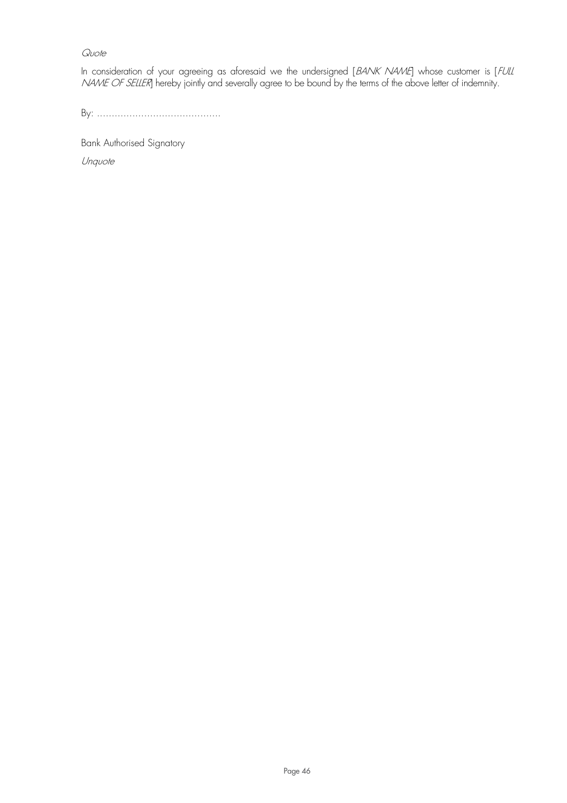## **Quote**

In consideration of your agreeing as aforesaid we the undersigned [BANK NAME] whose customer is [FULL *NAME OF SELLER*] hereby jointly and severally agree to be bound by the terms of the above letter of indemnity.

By: ..........................................

Bank Authorised Signatory Unquote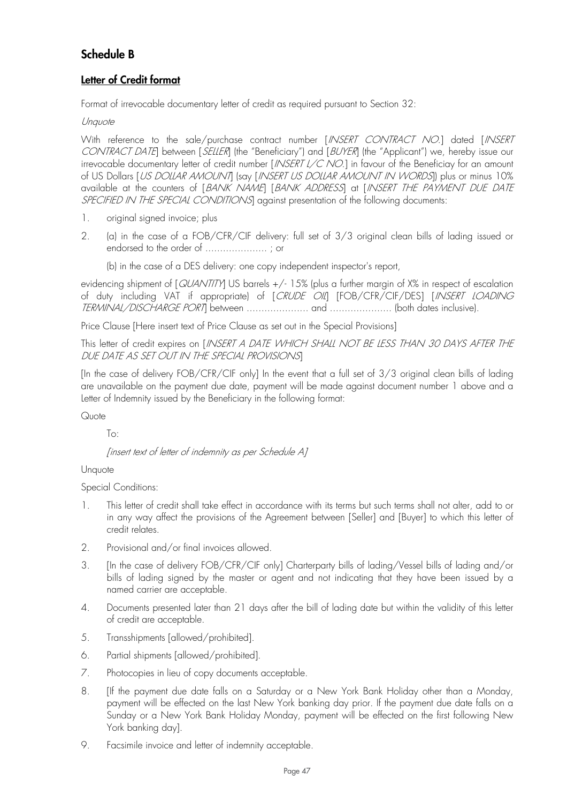## **Schedule B**

## **Letter of Credit format**

Format of irrevocable documentary letter of credit as required pursuant to Section 32:

## **Unquote**

With reference to the sale/purchase contract number [INSERT CONTRACT NO.] dated [INSERT CONTRACT DATE] between [SELLER] (the "Beneficiary") and [BUYER] (the "Applicant") we, hereby issue our irrevocable documentary letter of credit number [*INSERT L/C NO*.] in favour of the Beneficiay for an amount of US Dollars [US DOLLAR AMOUNTI (say [INSERT US DOLLAR AMOUNT IN WORDS]) plus or minus 10% available at the counters of [BANK NAME] [BANK ADDRESS] at [INSERT THE PAYMENT DUE DATE SPECIFIED IN THE SPECIAL CONDITIONS against presentation of the following documents:

- 1. original signed invoice; plus
- 2. (a) in the case of a FOB/CFR/CIF delivery: full set of 3/3 original clean bills of lading issued or endorsed to the order of ..................... ; or

(b) in the case of a DES delivery: one copy independent inspector's report,

evidencing shipment of [QUANTITY] US barrels +/- 15% (plus a further margin of X% in respect of escalation of duty including VAT if appropriate) of  $[$  CRUDE OIL]  $[$  FOB/CFR/CIF/DES]  $[$  INSERT LOADING TERMINAL/DISCHARGE PORT] between ..................... and ..................... (both dates inclusive).

Price Clause [Here insert text of Price Clause as set out in the Special Provisions]

This letter of credit expires on [INSERT A DATE WHICH SHALL NOT BE LESS THAN 30 DAYS AFTER THE DUE DATE AS SET OUT IN THE SPECIAL PROVISIONS]

[In the case of delivery FOB/CFR/CIF only] In the event that a full set of 3/3 original clean bills of lading are unavailable on the payment due date, payment will be made against document number 1 above and a Letter of Indemnity issued by the Beneficiary in the following format:

## Quote

## To:

[insert text of letter of indemnity as per Schedule A]

## Unquote

Special Conditions:

- 1. This letter of credit shall take effect in accordance with its terms but such terms shall not alter, add to or in any way affect the provisions of the Agreement between [Seller] and [Buyer] to which this letter of credit relates.
- 2. Provisional and/or final invoices allowed.
- 3. [In the case of delivery FOB/CFR/CIF only] Charterparty bills of lading/Vessel bills of lading and/or bills of lading signed by the master or agent and not indicating that they have been issued by a named carrier are acceptable.
- 4. Documents presented later than 21 days after the bill of lading date but within the validity of this letter of credit are acceptable.
- 5. Transshipments [allowed/prohibited].
- 6. Partial shipments [allowed/prohibited].
- 7. Photocopies in lieu of copy documents acceptable.
- 8. [If the payment due date falls on a Saturday or a New York Bank Holiday other than a Monday, payment will be effected on the last New York banking day prior. If the payment due date falls on a Sunday or a New York Bank Holiday Monday, payment will be effected on the first following New York banking day].
- 9. Facsimile invoice and letter of indemnity acceptable.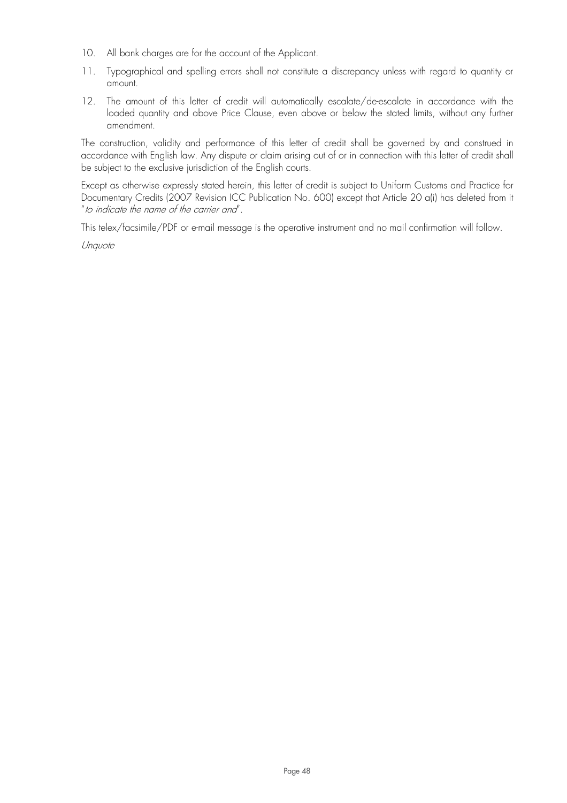- 10. All bank charges are for the account of the Applicant.
- 11. Typographical and spelling errors shall not constitute a discrepancy unless with regard to quantity or amount.
- 12. The amount of this letter of credit will automatically escalate/de-escalate in accordance with the loaded quantity and above Price Clause, even above or below the stated limits, without any further amendment.

The construction, validity and performance of this letter of credit shall be governed by and construed in accordance with English law. Any dispute or claim arising out of or in connection with this letter of credit shall be subject to the exclusive jurisdiction of the English courts.

Except as otherwise expressly stated herein, this letter of credit is subject to Uniform Customs and Practice for Documentary Credits (2007 Revision ICC Publication No. 600) except that Article 20 a(i) has deleted from it "to indicate the name of the carrier and".

This telex/facsimile/PDF or e-mail message is the operative instrument and no mail confirmation will follow.

Unquote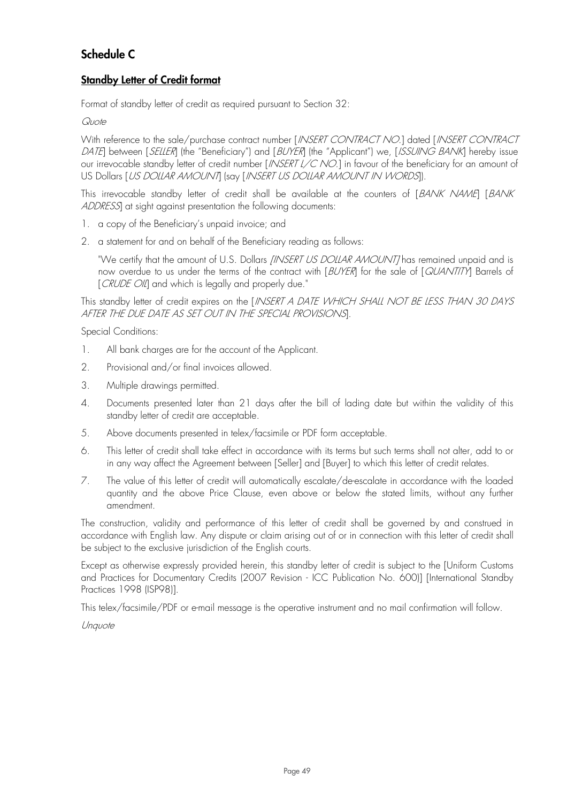## **Schedule C**

## **Standby Letter of Credit format**

Format of standby letter of credit as required pursuant to Section 32:

## Quote

With reference to the sale/purchase contract number [INSERT CONTRACT NO.] dated [INSERT CONTRACT DATE] between [SELLER] (the "Beneficiary") and [BUYER] (the "Applicant") we, [ISSUING BANK] hereby issue our irrevocable standby letter of credit number [/NSERT L/C NO.] in favour of the beneficiary for an amount of US Dollars [US DOLLAR AMOUNT] (say [INSERT US DOLLAR AMOUNT IN WORDS]).

This irrevocable standby letter of credit shall be available at the counters of [BANK NAME] [BANK ADDRESS] at sight against presentation the following documents:

- 1. a copy of the Beneficiary's unpaid invoice; and
- 2. a statement for and on behalf of the Beneficiary reading as follows:

"We certify that the amount of U.S. Dollars [INSERT US DOLLAR AMOUNT] has remained unpaid and is now overdue to us under the terms of the contract with [BUYER] for the sale of [QUANTITY] Barrels of [CRUDE OIL] and which is legally and properly due."

This standby letter of credit expires on the [INSERT A DATE WHICH SHALL NOT BE LESS THAN 30 DAYS AFTER THE DUE DATE AS SET OUT IN THE SPECIAL PROVISIONS].

Special Conditions:

- 1. All bank charges are for the account of the Applicant.
- 2. Provisional and/or final invoices allowed.
- 3. Multiple drawings permitted.
- 4. Documents presented later than 21 days after the bill of lading date but within the validity of this standby letter of credit are acceptable.
- 5. Above documents presented in telex/facsimile or PDF form acceptable.
- 6. This letter of credit shall take effect in accordance with its terms but such terms shall not alter, add to or in any way affect the Agreement between [Seller] and [Buyer] to which this letter of credit relates.
- 7. The value of this letter of credit will automatically escalate/de-escalate in accordance with the loaded quantity and the above Price Clause, even above or below the stated limits, without any further amendment.

The construction, validity and performance of this letter of credit shall be governed by and construed in accordance with English law. Any dispute or claim arising out of or in connection with this letter of credit shall be subject to the exclusive jurisdiction of the English courts.

Except as otherwise expressly provided herein, this standby letter of credit is subject to the [Uniform Customs and Practices for Documentary Credits (2007 Revision - ICC Publication No. 600)] [International Standby Practices 1998 (ISP98)].

This telex/facsimile/PDF or e-mail message is the operative instrument and no mail confirmation will follow.

Unquote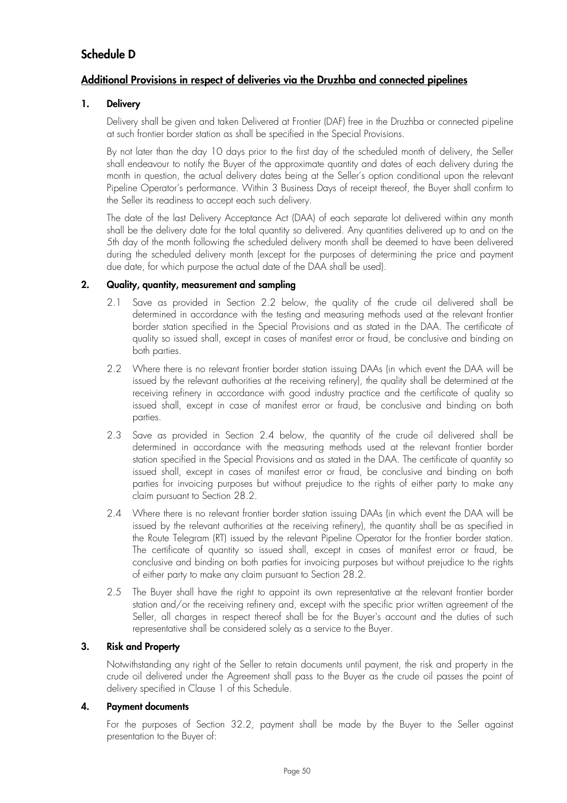## **Schedule D**

## **Additional Provisions in respect of deliveries via the Druzhba and connected pipelines**

## **1. Delivery**

Delivery shall be given and taken Delivered at Frontier (DAF) free in the Druzhba or connected pipeline at such frontier border station as shall be specified in the Special Provisions.

By not later than the day 10 days prior to the first day of the scheduled month of delivery, the Seller shall endeavour to notify the Buyer of the approximate quantity and dates of each delivery during the month in question, the actual delivery dates being at the Seller's option conditional upon the relevant Pipeline Operator's performance. Within 3 Business Days of receipt thereof, the Buyer shall confirm to the Seller its readiness to accept each such delivery.

The date of the last Delivery Acceptance Act (DAA) of each separate lot delivered within any month shall be the delivery date for the total quantity so delivered. Any quantities delivered up to and on the 5th day of the month following the scheduled delivery month shall be deemed to have been delivered during the scheduled delivery month (except for the purposes of determining the price and payment due date, for which purpose the actual date of the DAA shall be used).

## **2. Quality, quantity, measurement and sampling**

- 2.1 Save as provided in Section 2.2 below, the quality of the crude oil delivered shall be determined in accordance with the testing and measuring methods used at the relevant frontier border station specified in the Special Provisions and as stated in the DAA. The certificate of quality so issued shall, except in cases of manifest error or fraud, be conclusive and binding on both parties.
- 2.2 Where there is no relevant frontier border station issuing DAAs (in which event the DAA will be issued by the relevant authorities at the receiving refinery), the quality shall be determined at the receiving refinery in accordance with good industry practice and the certificate of quality so issued shall, except in case of manifest error or fraud, be conclusive and binding on both parties.
- 2.3 Save as provided in Section 2.4 below, the quantity of the crude oil delivered shall be determined in accordance with the measuring methods used at the relevant frontier border station specified in the Special Provisions and as stated in the DAA. The certificate of quantity so issued shall, except in cases of manifest error or fraud, be conclusive and binding on both parties for invoicing purposes but without prejudice to the rights of either party to make any claim pursuant to Section 28.2.
- 2.4 Where there is no relevant frontier border station issuing DAAs (in which event the DAA will be issued by the relevant authorities at the receiving refinery), the quantity shall be as specified in the Route Telegram (RT) issued by the relevant Pipeline Operator for the frontier border station. The certificate of quantity so issued shall, except in cases of manifest error or fraud, be conclusive and binding on both parties for invoicing purposes but without prejudice to the rights of either party to make any claim pursuant to Section 28.2.
- 2.5 The Buyer shall have the right to appoint its own representative at the relevant frontier border station and/or the receiving refinery and, except with the specific prior written agreement of the Seller, all charges in respect thereof shall be for the Buyer's account and the duties of such representative shall be considered solely as a service to the Buyer.

## **3. Risk and Property**

Notwithstanding any right of the Seller to retain documents until payment, the risk and property in the crude oil delivered under the Agreement shall pass to the Buyer as the crude oil passes the point of delivery specified in Clause 1 of this Schedule.

## **4. Payment documents**

For the purposes of Section 32.2, payment shall be made by the Buyer to the Seller against presentation to the Buyer of: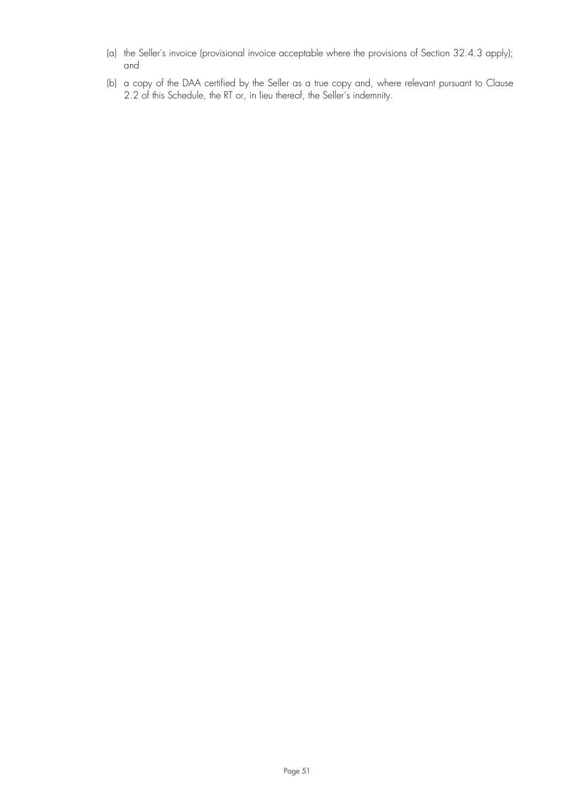- (a) the Seller's invoice (provisional invoice acceptable where the provisions of Section 32.4.3 apply); and
- (b) a copy of the DAA certified by the Seller as a true copy and, where relevant pursuant to Clause 2.2 of this Schedule, the RT or, in lieu thereof, the Seller's indemnity.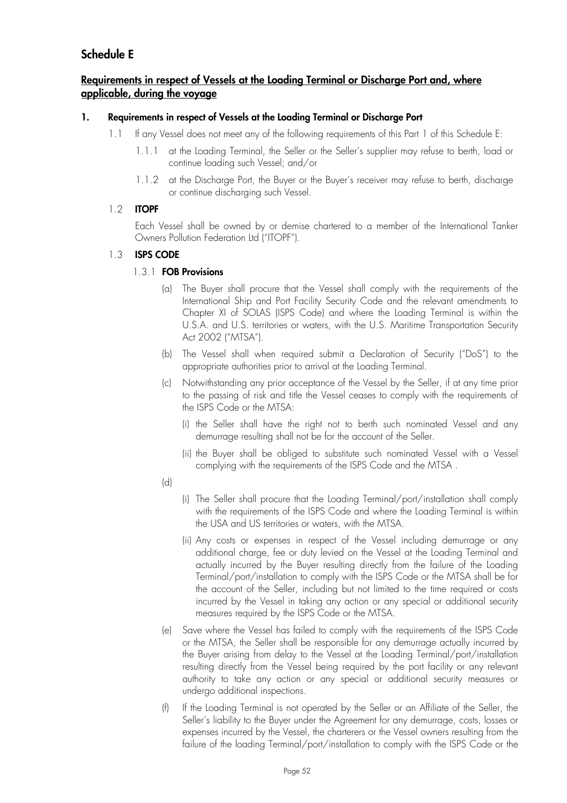## **Schedule E**

## **Requirements in respect of Vessels at the Loading Terminal or Discharge Port and, where applicable, during the voyage**

## **1. Requirements in respect of Vessels at the Loading Terminal or Discharge Port**

- 1.1 If any Vessel does not meet any of the following requirements of this Part 1 of this Schedule E:
	- 1.1.1 at the Loading Terminal, the Seller or the Seller's supplier may refuse to berth, load or continue loading such Vessel; and/or
	- 1.1.2 at the Discharge Port, the Buyer or the Buyer's receiver may refuse to berth, discharge or continue discharging such Vessel.

## 1.2 **ITOPF**

Each Vessel shall be owned by or demise chartered to a member of the International Tanker Owners Pollution Federation Ltd ("ITOPF").

## 1.3 **ISPS CODE**

## 1.3.1 **FOB Provisions**

- (a) The Buyer shall procure that the Vessel shall comply with the requirements of the International Ship and Port Facility Security Code and the relevant amendments to Chapter XI of SOLAS (ISPS Code) and where the Loading Terminal is within the U.S.A. and U.S. territories or waters, with the U.S. Maritime Transportation Security Act 2002 ("MTSA").
- (b) The Vessel shall when required submit a Declaration of Security ("DoS") to the appropriate authorities prior to arrival at the Loading Terminal.
- (c) Notwithstanding any prior acceptance of the Vessel by the Seller, if at any time prior to the passing of risk and title the Vessel ceases to comply with the requirements of the ISPS Code or the MTSA:
	- (i) the Seller shall have the right not to berth such nominated Vessel and any demurrage resulting shall not be for the account of the Seller.
	- (ii) the Buyer shall be obliged to substitute such nominated Vessel with a Vessel complying with the requirements of the ISPS Code and the MTSA .
- (d)
- (i) The Seller shall procure that the Loading Terminal/port/installation shall comply with the requirements of the ISPS Code and where the Loading Terminal is within the USA and US territories or waters, with the MTSA.
- (ii) Any costs or expenses in respect of the Vessel including demurrage or any additional charge, fee or duty levied on the Vessel at the Loading Terminal and actually incurred by the Buyer resulting directly from the failure of the Loading Terminal/port/installation to comply with the ISPS Code or the MTSA shall be for the account of the Seller, including but not limited to the time required or costs incurred by the Vessel in taking any action or any special or additional security measures required by the ISPS Code or the MTSA.
- (e) Save where the Vessel has failed to comply with the requirements of the ISPS Code or the MTSA, the Seller shall be responsible for any demurrage actually incurred by the Buyer arising from delay to the Vessel at the Loading Terminal/port/installation resulting directly from the Vessel being required by the port facility or any relevant authority to take any action or any special or additional security measures or undergo additional inspections.
- (f) If the Loading Terminal is not operated by the Seller or an Affiliate of the Seller, the Seller's liability to the Buyer under the Agreement for any demurrage, costs, losses or expenses incurred by the Vessel, the charterers or the Vessel owners resulting from the failure of the loading Terminal/port/installation to comply with the ISPS Code or the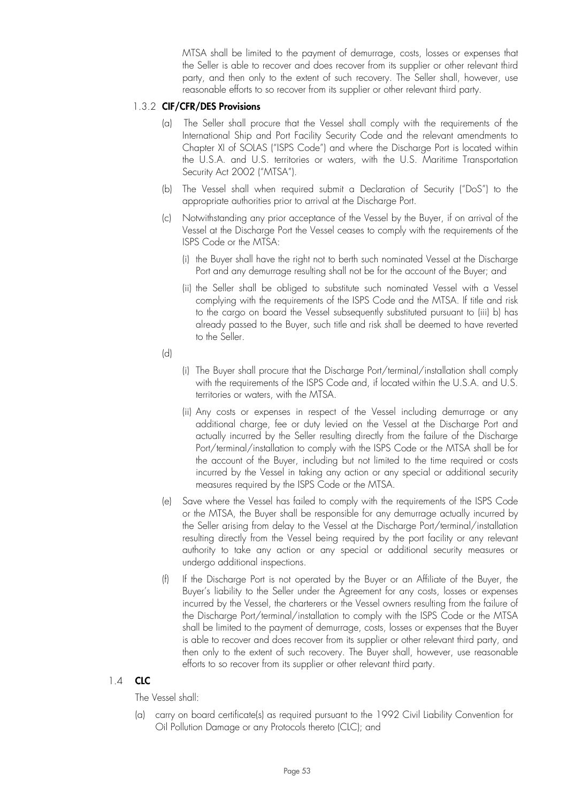MTSA shall be limited to the payment of demurrage, costs, losses or expenses that the Seller is able to recover and does recover from its supplier or other relevant third party, and then only to the extent of such recovery. The Seller shall, however, use reasonable efforts to so recover from its supplier or other relevant third party.

### 1.3.2 **CIF/CFR/DES Provisions**

- (a) The Seller shall procure that the Vessel shall comply with the requirements of the International Ship and Port Facility Security Code and the relevant amendments to Chapter XI of SOLAS ("ISPS Code") and where the Discharge Port is located within the U.S.A. and U.S. territories or waters, with the U.S. Maritime Transportation Security Act 2002 ("MTSA").
- (b) The Vessel shall when required submit a Declaration of Security ("DoS") to the appropriate authorities prior to arrival at the Discharge Port.
- (c) Notwithstanding any prior acceptance of the Vessel by the Buyer, if on arrival of the Vessel at the Discharge Port the Vessel ceases to comply with the requirements of the ISPS Code or the MTSA:
	- (i) the Buyer shall have the right not to berth such nominated Vessel at the Discharge Port and any demurrage resulting shall not be for the account of the Buyer; and
	- (ii) the Seller shall be obliged to substitute such nominated Vessel with a Vessel complying with the requirements of the ISPS Code and the MTSA. If title and risk to the cargo on board the Vessel subsequently substituted pursuant to (iii) b) has already passed to the Buyer, such title and risk shall be deemed to have reverted to the Seller.
- (d)
- (i) The Buyer shall procure that the Discharge Port/terminal/installation shall comply with the requirements of the ISPS Code and, if located within the U.S.A. and U.S. territories or waters, with the MTSA.
- (ii) Any costs or expenses in respect of the Vessel including demurrage or any additional charge, fee or duty levied on the Vessel at the Discharge Port and actually incurred by the Seller resulting directly from the failure of the Discharge Port/terminal/installation to comply with the ISPS Code or the MTSA shall be for the account of the Buyer, including but not limited to the time required or costs incurred by the Vessel in taking any action or any special or additional security measures required by the ISPS Code or the MTSA.
- (e) Save where the Vessel has failed to comply with the requirements of the ISPS Code or the MTSA, the Buyer shall be responsible for any demurrage actually incurred by the Seller arising from delay to the Vessel at the Discharge Port/terminal/installation resulting directly from the Vessel being required by the port facility or any relevant authority to take any action or any special or additional security measures or undergo additional inspections.
- (f) If the Discharge Port is not operated by the Buyer or an Affiliate of the Buyer, the Buyer's liability to the Seller under the Agreement for any costs, losses or expenses incurred by the Vessel, the charterers or the Vessel owners resulting from the failure of the Discharge Port/terminal/installation to comply with the ISPS Code or the MTSA shall be limited to the payment of demurrage, costs, losses or expenses that the Buyer is able to recover and does recover from its supplier or other relevant third party, and then only to the extent of such recovery. The Buyer shall, however, use reasonable efforts to so recover from its supplier or other relevant third party.

## 1.4 **CLC**

The Vessel shall:

(a) carry on board certificate(s) as required pursuant to the 1992 Civil Liability Convention for Oil Pollution Damage or any Protocols thereto (CLC); and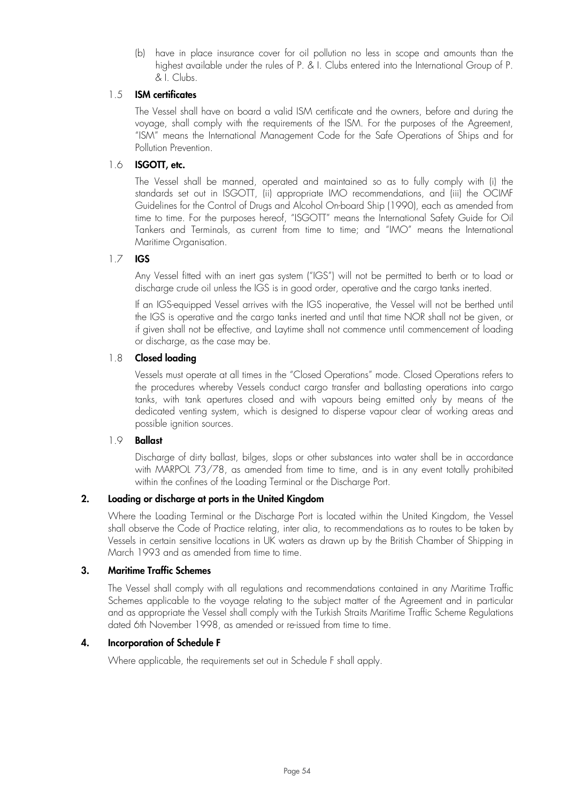(b) have in place insurance cover for oil pollution no less in scope and amounts than the highest available under the rules of P. & I. Clubs entered into the International Group of P. & I. Clubs.

## 1.5 **ISM certificates**

The Vessel shall have on board a valid ISM certificate and the owners, before and during the voyage, shall comply with the requirements of the ISM. For the purposes of the Agreement, "ISM" means the International Management Code for the Safe Operations of Ships and for Pollution Prevention.

## 1.6 **ISGOTT, etc.**

The Vessel shall be manned, operated and maintained so as to fully comply with (i) the standards set out in ISGOTT, (ii) appropriate IMO recommendations, and (iii) the OCIMF Guidelines for the Control of Drugs and Alcohol On-board Ship (1990), each as amended from time to time. For the purposes hereof, "ISGOTT" means the International Safety Guide for Oil Tankers and Terminals, as current from time to time; and "IMO" means the International Maritime Organisation.

## 1.7 **IGS**

Any Vessel fitted with an inert gas system ("IGS") will not be permitted to berth or to load or discharge crude oil unless the IGS is in good order, operative and the cargo tanks inerted.

If an IGS-equipped Vessel arrives with the IGS inoperative, the Vessel will not be berthed until the IGS is operative and the cargo tanks inerted and until that time NOR shall not be given, or if given shall not be effective, and Laytime shall not commence until commencement of loading or discharge, as the case may be.

## 1.8 **Closed loading**

Vessels must operate at all times in the "Closed Operations" mode. Closed Operations refers to the procedures whereby Vessels conduct cargo transfer and ballasting operations into cargo tanks, with tank apertures closed and with vapours being emitted only by means of the dedicated venting system, which is designed to disperse vapour clear of working areas and possible ignition sources.

## 1.9 **Ballast**

Discharge of dirty ballast, bilges, slops or other substances into water shall be in accordance with MARPOL 73/78, as amended from time to time, and is in any event totally prohibited within the confines of the Loading Terminal or the Discharge Port.

## **2. Loading or discharge at ports in the United Kingdom**

Where the Loading Terminal or the Discharge Port is located within the United Kingdom, the Vessel shall observe the Code of Practice relating, inter alia, to recommendations as to routes to be taken by Vessels in certain sensitive locations in UK waters as drawn up by the British Chamber of Shipping in March 1993 and as amended from time to time.

## **3. Maritime Traffic Schemes**

The Vessel shall comply with all regulations and recommendations contained in any Maritime Traffic Schemes applicable to the voyage relating to the subject matter of the Agreement and in particular and as appropriate the Vessel shall comply with the Turkish Straits Maritime Traffic Scheme Regulations dated 6th November 1998, as amended or re-issued from time to time.

## **4. Incorporation of Schedule F**

Where applicable, the requirements set out in Schedule F shall apply.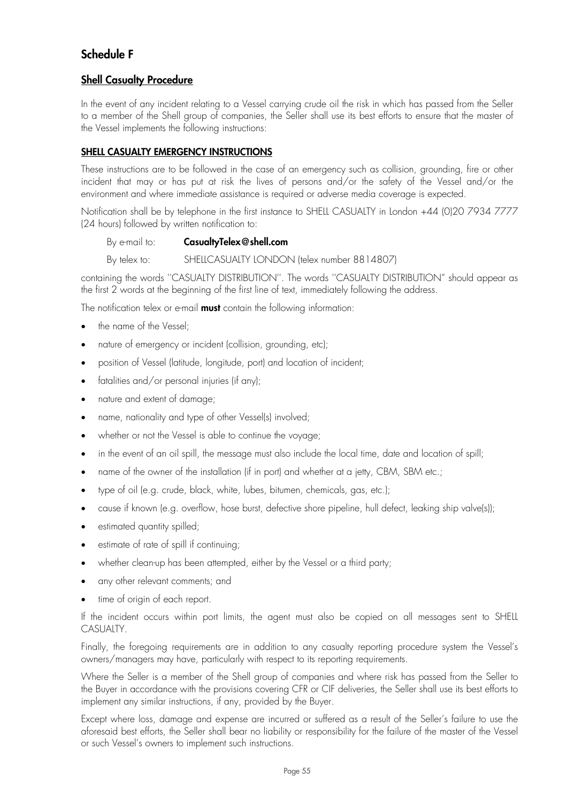## **Schedule F**

## **Shell Casualty Procedure**

In the event of any incident relating to a Vessel carrying crude oil the risk in which has passed from the Seller to a member of the Shell group of companies, the Seller shall use its best efforts to ensure that the master of the Vessel implements the following instructions:

## **SHELL CASUALTY EMERGENCY INSTRUCTIONS**

These instructions are to be followed in the case of an emergency such as collision, grounding, fire or other incident that may or has put at risk the lives of persons and/or the safety of the Vessel and/or the environment and where immediate assistance is required or adverse media coverage is expected.

Notification shall be by telephone in the first instance to SHELL CASUALTY in London +44 (0)20 7934 7777 (24 hours) followed by written notification to:

## By e-mail to: **CasualtyTelex@shell.com**

By telex to: SHELLCASUALTY LONDON (telex number 8814807)

containing the words ''CASUALTY DISTRIBUTION''. The words ''CASUALTY DISTRIBUTION" should appear as the first 2 words at the beginning of the first line of text, immediately following the address.

The notification telex or e-mail **must** contain the following information:

- the name of the Vessel:
- nature of emergency or incident (collision, grounding, etc);
- position of Vessel (latitude, longitude, port) and location of incident;
- fatalities and/or personal injuries (if any);
- nature and extent of damage;
- name, nationality and type of other Vessel(s) involved;
- whether or not the Vessel is able to continue the voyage;
- in the event of an oil spill, the message must also include the local time, date and location of spill;
- name of the owner of the installation (if in port) and whether at a jetty, CBM, SBM etc.;
- type of oil (e.g. crude, black, white, lubes, bitumen, chemicals, gas, etc.);
- cause if known (e.g. overflow, hose burst, defective shore pipeline, hull defect, leaking ship valve(s));
- estimated quantity spilled;
- estimate of rate of spill if continuing;
- whether clean-up has been attempted, either by the Vessel or a third party;
- any other relevant comments; and
- time of origin of each report.

If the incident occurs within port limits, the agent must also be copied on all messages sent to SHELL CASUALTY.

Finally, the foregoing requirements are in addition to any casualty reporting procedure system the Vessel's owners/managers may have, particularly with respect to its reporting requirements.

Where the Seller is a member of the Shell group of companies and where risk has passed from the Seller to the Buyer in accordance with the provisions covering CFR or CIF deliveries, the Seller shall use its best efforts to implement any similar instructions, if any, provided by the Buyer.

Except where loss, damage and expense are incurred or suffered as a result of the Seller's failure to use the aforesaid best efforts, the Seller shall bear no liability or responsibility for the failure of the master of the Vessel or such Vessel's owners to implement such instructions.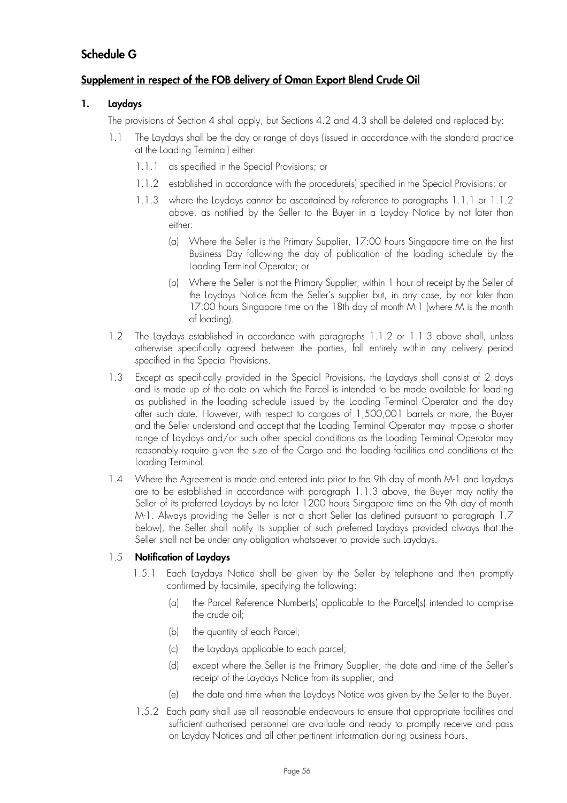## **Schedule G**

## **Supplement in respect of the FOB delivery of Oman Export Blend Crude Oil**

## **1. Laydays**

The provisions of Section 4 shall apply, but Sections 4.2 and 4.3 shall be deleted and replaced by:

- 1.1 The Laydays shall be the day or range of days (issued in accordance with the standard practice at the Loading Terminal) either:
	- 1.1.1 as specified in the Special Provisions; or
	- 1.1.2 established in accordance with the procedure(s) specified in the Special Provisions; or
	- 1.1.3 where the Laydays cannot be ascertained by reference to paragraphs 1.1.1 or 1.1.2 above, as notified by the Seller to the Buyer in a Layday Notice by not later than either:
		- (a) Where the Seller is the Primary Supplier, 17:00 hours Singapore time on the first Business Day following the day of publication of the loading schedule by the Loading Terminal Operator; or
		- (b) Where the Seller is not the Primary Supplier, within 1 hour of receipt by the Seller of the Laydays Notice from the Seller's supplier but, in any case, by not later than 17:00 hours Singapore time on the 18th day of month M-1 (where M is the month of loading).
- 1.2 The Laydays established in accordance with paragraphs 1.1.2 or 1.1.3 above shall, unless otherwise specifically agreed between the parties, fall entirely within any delivery period specified in the Special Provisions.
- 1.3 Except as specifically provided in the Special Provisions, the Laydays shall consist of 2 days and is made up of the date on which the Parcel is intended to be made available for loading as published in the loading schedule issued by the Loading Terminal Operator and the day after such date. However, with respect to cargoes of 1,500,001 barrels or more, the Buyer and the Seller understand and accept that the Loading Terminal Operator may impose a shorter range of Laydays and/or such other special conditions as the Loading Terminal Operator may reasonably require given the size of the Cargo and the loading facilities and conditions at the Loading Terminal.
- 1.4 Where the Agreement is made and entered into prior to the 9th day of month M-1 and Laydays are to be established in accordance with paragraph 1.1.3 above, the Buyer may notify the Seller of its preferred Laydays by no later 1200 hours Singapore time on the 9th day of month M-1. Always providing the Seller is not a short Seller (as defined pursuant to paragraph 1.7 below), the Seller shall notify its supplier of such preferred Laydays provided always that the Seller shall not be under any obligation whatsoever to provide such Laydays.

## 1.5 **Notification of Laydays**

- 1.5.1 Each Laydays Notice shall be given by the Seller by telephone and then promptly confirmed by facsimile, specifying the following:
	- (a) the Parcel Reference Number(s) applicable to the Parcel(s) intended to comprise the crude oil;
	- (b) the quantity of each Parcel;
	- (c) the Laydays applicable to each parcel;
	- (d) except where the Seller is the Primary Supplier, the date and time of the Seller's receipt of the Laydays Notice from its supplier; and
	- (e) the date and time when the Laydays Notice was given by the Seller to the Buyer.
- 1.5.2 Each party shall use all reasonable endeavours to ensure that appropriate facilities and sufficient authorised personnel are available and ready to promptly receive and pass on Layday Notices and all other pertinent information during business hours.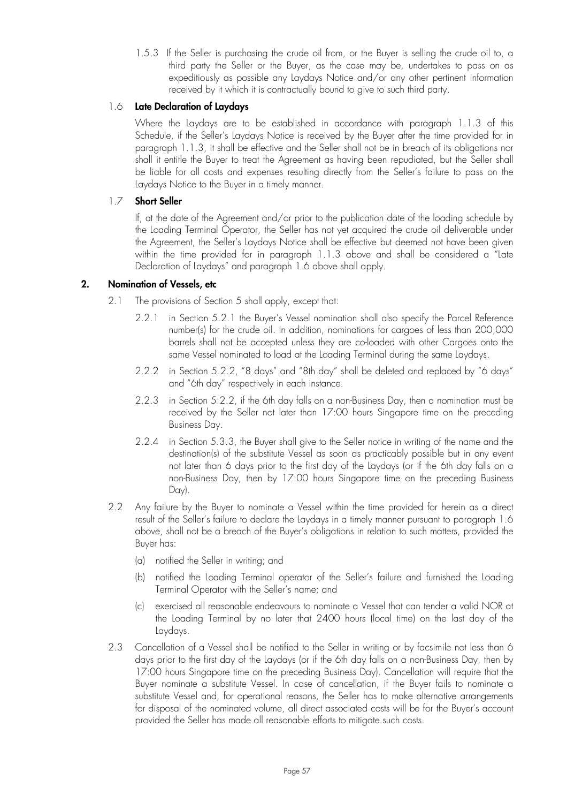1.5.3 If the Seller is purchasing the crude oil from, or the Buyer is selling the crude oil to, a third party the Seller or the Buyer, as the case may be, undertakes to pass on as expeditiously as possible any Laydays Notice and/or any other pertinent information received by it which it is contractually bound to give to such third party.

## 1.6 **Late Declaration of Laydays**

Where the Laydays are to be established in accordance with paragraph 1.1.3 of this Schedule, if the Seller's Laydays Notice is received by the Buyer after the time provided for in paragraph 1.1.3, it shall be effective and the Seller shall not be in breach of its obligations nor shall it entitle the Buyer to treat the Agreement as having been repudiated, but the Seller shall be liable for all costs and expenses resulting directly from the Seller's failure to pass on the Laydays Notice to the Buyer in a timely manner.

## 1.7 **Short Seller**

If, at the date of the Agreement and/or prior to the publication date of the loading schedule by the Loading Terminal Operator, the Seller has not yet acquired the crude oil deliverable under the Agreement, the Seller's Laydays Notice shall be effective but deemed not have been given within the time provided for in paragraph 1.1.3 above and shall be considered a "Late Declaration of Laydays" and paragraph 1.6 above shall apply.

## **2. Nomination of Vessels, etc**

- 2.1 The provisions of Section 5 shall apply, except that:
	- 2.2.1 in Section 5.2.1 the Buyer's Vessel nomination shall also specify the Parcel Reference number(s) for the crude oil. In addition, nominations for cargoes of less than 200,000 barrels shall not be accepted unless they are co-loaded with other Cargoes onto the same Vessel nominated to load at the Loading Terminal during the same Laydays.
	- 2.2.2 in Section 5.2.2, "8 days" and "8th day" shall be deleted and replaced by "6 days" and "6th day" respectively in each instance.
	- 2.2.3 in Section 5.2.2, if the 6th day falls on a non-Business Day, then a nomination must be received by the Seller not later than 17:00 hours Singapore time on the preceding Business Day.
	- 2.2.4 in Section 5.3.3, the Buyer shall give to the Seller notice in writing of the name and the destination(s) of the substitute Vessel as soon as practicably possible but in any event not later than 6 days prior to the first day of the Laydays (or if the 6th day falls on a non-Business Day, then by 17:00 hours Singapore time on the preceding Business Day).
- 2.2 Any failure by the Buyer to nominate a Vessel within the time provided for herein as a direct result of the Seller's failure to declare the Laydays in a timely manner pursuant to paragraph 1.6 above, shall not be a breach of the Buyer's obligations in relation to such matters, provided the Buyer has:
	- (a) notified the Seller in writing; and
	- (b) notified the Loading Terminal operator of the Seller's failure and furnished the Loading Terminal Operator with the Seller's name; and
	- (c) exercised all reasonable endeavours to nominate a Vessel that can tender a valid NOR at the Loading Terminal by no later that 2400 hours (local time) on the last day of the Laydays.
- 2.3 Cancellation of a Vessel shall be notified to the Seller in writing or by facsimile not less than 6 days prior to the first day of the Laydays (or if the 6th day falls on a non-Business Day, then by 17:00 hours Singapore time on the preceding Business Day). Cancellation will require that the Buyer nominate a substitute Vessel. In case of cancellation, if the Buyer fails to nominate a substitute Vessel and, for operational reasons, the Seller has to make alternative arrangements for disposal of the nominated volume, all direct associated costs will be for the Buyer's account provided the Seller has made all reasonable efforts to mitigate such costs.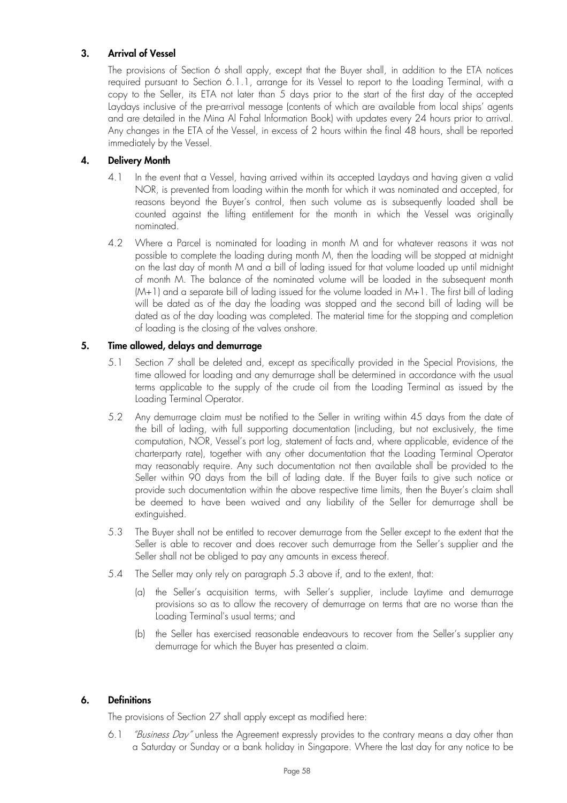## **3. Arrival of Vessel**

The provisions of Section 6 shall apply, except that the Buyer shall, in addition to the ETA notices required pursuant to Section 6.1.1, arrange for its Vessel to report to the Loading Terminal, with a copy to the Seller, its ETA not later than 5 days prior to the start of the first day of the accepted Laydays inclusive of the pre-arrival message (contents of which are available from local ships' agents and are detailed in the Mina Al Fahal Information Book) with updates every 24 hours prior to arrival. Any changes in the ETA of the Vessel, in excess of 2 hours within the final 48 hours, shall be reported immediately by the Vessel.

## **4. Delivery Month**

- 4.1 In the event that a Vessel, having arrived within its accepted Laydays and having given a valid NOR, is prevented from loading within the month for which it was nominated and accepted, for reasons beyond the Buyer's control, then such volume as is subsequently loaded shall be counted against the lifting entitlement for the month in which the Vessel was originally nominated.
- 4.2 Where a Parcel is nominated for loading in month M and for whatever reasons it was not possible to complete the loading during month M, then the loading will be stopped at midnight on the last day of month M and a bill of lading issued for that volume loaded up until midnight of month M. The balance of the nominated volume will be loaded in the subsequent month (M+1) and a separate bill of lading issued for the volume loaded in M+1. The first bill of lading will be dated as of the day the loading was stopped and the second bill of lading will be dated as of the day loading was completed. The material time for the stopping and completion of loading is the closing of the valves onshore.

## **5. Time allowed, delays and demurrage**

- 5.1 Section 7 shall be deleted and, except as specifically provided in the Special Provisions, the time allowed for loading and any demurrage shall be determined in accordance with the usual terms applicable to the supply of the crude oil from the Loading Terminal as issued by the Loading Terminal Operator.
- 5.2 Any demurrage claim must be notified to the Seller in writing within 45 days from the date of the bill of lading, with full supporting documentation (including, but not exclusively, the time computation, NOR, Vessel's port log, statement of facts and, where applicable, evidence of the charterparty rate), together with any other documentation that the Loading Terminal Operator may reasonably require. Any such documentation not then available shall be provided to the Seller within 90 days from the bill of lading date. If the Buyer fails to give such notice or provide such documentation within the above respective time limits, then the Buyer's claim shall be deemed to have been waived and any liability of the Seller for demurrage shall be extinguished.
- 5.3 The Buyer shall not be entitled to recover demurrage from the Seller except to the extent that the Seller is able to recover and does recover such demurrage from the Seller's supplier and the Seller shall not be obliged to pay any amounts in excess thereof.
- 5.4 The Seller may only rely on paragraph 5.3 above if, and to the extent, that:
	- (a) the Seller's acquisition terms, with Seller's supplier, include Laytime and demurrage provisions so as to allow the recovery of demurrage on terms that are no worse than the Loading Terminal's usual terms; and
	- (b) the Seller has exercised reasonable endeavours to recover from the Seller's supplier any demurrage for which the Buyer has presented a claim.

## **6. Definitions**

The provisions of Section 27 shall apply except as modified here:

6.1 *"Business Day"* unless the Agreement expressly provides to the contrary means a day other than a Saturday or Sunday or a bank holiday in Singapore. Where the last day for any notice to be